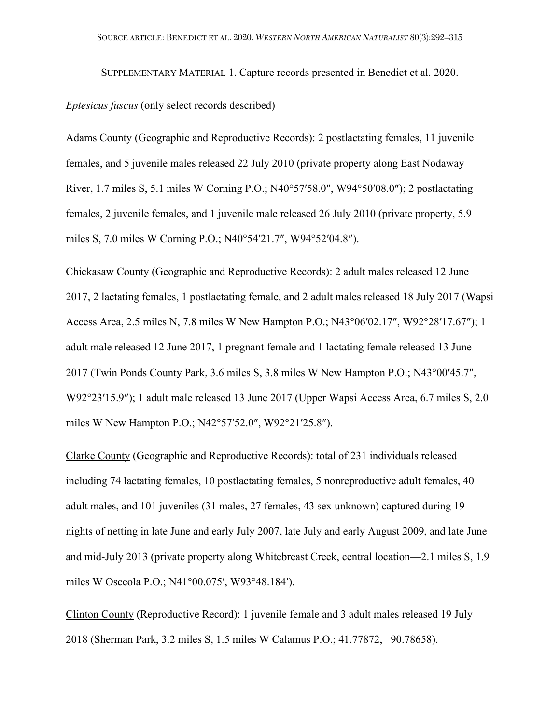SUPPLEMENTARY MATERIAL 1. Capture records presented in Benedict et al. 2020.

#### *Eptesicus fuscus* (only select records described)

Adams County (Geographic and Reproductive Records): 2 postlactating females, 11 juvenile females, and 5 juvenile males released 22 July 2010 (private property along East Nodaway River, 1.7 miles S, 5.1 miles W Corning P.O.; N40°57′58.0″, W94°50′08.0″); 2 postlactating females, 2 juvenile females, and 1 juvenile male released 26 July 2010 (private property, 5.9 miles S, 7.0 miles W Corning P.O.; N40°54′21.7″, W94°52′04.8″).

Chickasaw County (Geographic and Reproductive Records): 2 adult males released 12 June 2017, 2 lactating females, 1 postlactating female, and 2 adult males released 18 July 2017 (Wapsi Access Area, 2.5 miles N, 7.8 miles W New Hampton P.O.; N43°06′02.17″, W92°28′17.67″); 1 adult male released 12 June 2017, 1 pregnant female and 1 lactating female released 13 June 2017 (Twin Ponds County Park, 3.6 miles S, 3.8 miles W New Hampton P.O.; N43°00′45.7″, W92°23′15.9″); 1 adult male released 13 June 2017 (Upper Wapsi Access Area, 6.7 miles S, 2.0 miles W New Hampton P.O.; N42°57′52.0″, W92°21′25.8″).

Clarke County (Geographic and Reproductive Records): total of 231 individuals released including 74 lactating females, 10 postlactating females, 5 nonreproductive adult females, 40 adult males, and 101 juveniles (31 males, 27 females, 43 sex unknown) captured during 19 nights of netting in late June and early July 2007, late July and early August 2009, and late June and mid-July 2013 (private property along Whitebreast Creek, central location—2.1 miles S, 1.9 miles W Osceola P.O.; N41°00.075′, W93°48.184′).

Clinton County (Reproductive Record): 1 juvenile female and 3 adult males released 19 July 2018 (Sherman Park, 3.2 miles S, 1.5 miles W Calamus P.O.; 41.77872, –90.78658).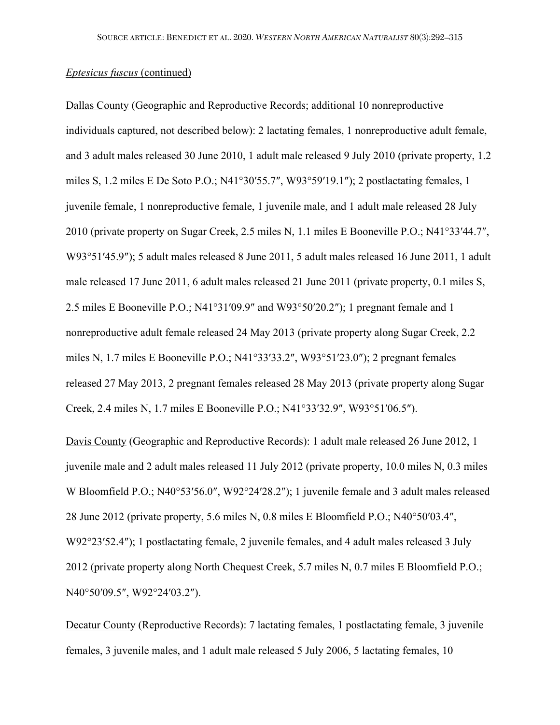Dallas County (Geographic and Reproductive Records; additional 10 nonreproductive individuals captured, not described below): 2 lactating females, 1 nonreproductive adult female, and 3 adult males released 30 June 2010, 1 adult male released 9 July 2010 (private property, 1.2 miles S, 1.2 miles E De Soto P.O.; N41°30′55.7″, W93°59′19.1″); 2 postlactating females, 1 juvenile female, 1 nonreproductive female, 1 juvenile male, and 1 adult male released 28 July 2010 (private property on Sugar Creek, 2.5 miles N, 1.1 miles E Booneville P.O.; N41°33′44.7″, W93°51′45.9″); 5 adult males released 8 June 2011, 5 adult males released 16 June 2011, 1 adult male released 17 June 2011, 6 adult males released 21 June 2011 (private property, 0.1 miles S, 2.5 miles E Booneville P.O.; N41°31′09.9″ and W93°50′20.2″); 1 pregnant female and 1 nonreproductive adult female released 24 May 2013 (private property along Sugar Creek, 2.2 miles N, 1.7 miles E Booneville P.O.; N41°33′33.2″, W93°51′23.0″); 2 pregnant females released 27 May 2013, 2 pregnant females released 28 May 2013 (private property along Sugar Creek, 2.4 miles N, 1.7 miles E Booneville P.O.; N41°33′32.9″, W93°51′06.5″).

Davis County (Geographic and Reproductive Records): 1 adult male released 26 June 2012, 1 juvenile male and 2 adult males released 11 July 2012 (private property, 10.0 miles N, 0.3 miles W Bloomfield P.O.; N40°53′56.0″, W92°24′28.2″); 1 juvenile female and 3 adult males released 28 June 2012 (private property, 5.6 miles N, 0.8 miles E Bloomfield P.O.; N40°50′03.4″, W92°23'52.4"); 1 postlactating female, 2 juvenile females, and 4 adult males released 3 July 2012 (private property along North Chequest Creek, 5.7 miles N, 0.7 miles E Bloomfield P.O.; N40°50′09.5″, W92°24′03.2″).

Decatur County (Reproductive Records): 7 lactating females, 1 postlactating female, 3 juvenile females, 3 juvenile males, and 1 adult male released 5 July 2006, 5 lactating females, 10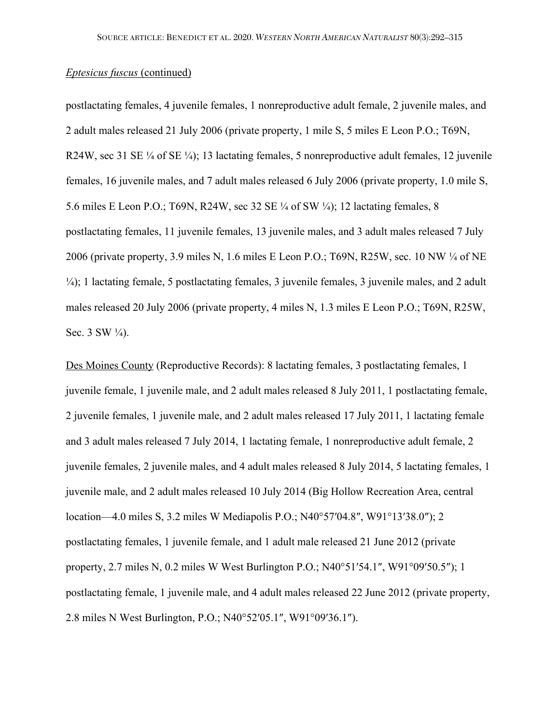postlactating females, 4 juvenile females, 1 nonreproductive adult female, 2 juvenile males, and 2 adult males released 21 July 2006 (private property, 1 mile S, 5 miles E Leon P.O.; T69N, R24W, sec 31 SE  $\frac{1}{4}$  of SE  $\frac{1}{4}$ ; 13 lactating females, 5 nonreproductive adult females, 12 juvenile females, 16 juvenile males, and 7 adult males released 6 July 2006 (private property, 1.0 mile S, 5.6 miles E Leon P.O.; T69N, R24W, sec 32 SE ¼ of SW ¼); 12 lactating females, 8 postlactating females, 11 juvenile females, 13 juvenile males, and 3 adult males released 7 July 2006 (private property, 3.9 miles N, 1.6 miles E Leon P.O.; T69N, R25W, sec. 10 NW ¼ of NE ¼); 1 lactating female, 5 postlactating females, 3 juvenile females, 3 juvenile males, and 2 adult males released 20 July 2006 (private property, 4 miles N, 1.3 miles E Leon P.O.; T69N, R25W, Sec.  $3$  SW  $\frac{1}{4}$ ).

Des Moines County (Reproductive Records): 8 lactating females, 3 postlactating females, 1 juvenile female, 1 juvenile male, and 2 adult males released 8 July 2011, 1 postlactating female, 2 juvenile females, 1 juvenile male, and 2 adult males released 17 July 2011, 1 lactating female and 3 adult males released 7 July 2014, 1 lactating female, 1 nonreproductive adult female, 2 juvenile females, 2 juvenile males, and 4 adult males released 8 July 2014, 5 lactating females, 1 juvenile male, and 2 adult males released 10 July 2014 (Big Hollow Recreation Area, central location—4.0 miles S, 3.2 miles W Mediapolis P.O.; N40°57′04.8″, W91°13′38.0″); 2 postlactating females, 1 juvenile female, and 1 adult male released 21 June 2012 (private property, 2.7 miles N, 0.2 miles W West Burlington P.O.; N40°51′54.1″, W91°09′50.5″); 1 postlactating female, 1 juvenile male, and 4 adult males released 22 June 2012 (private property, 2.8 miles N West Burlington, P.O.; N40°52′05.1″, W91°09′36.1″).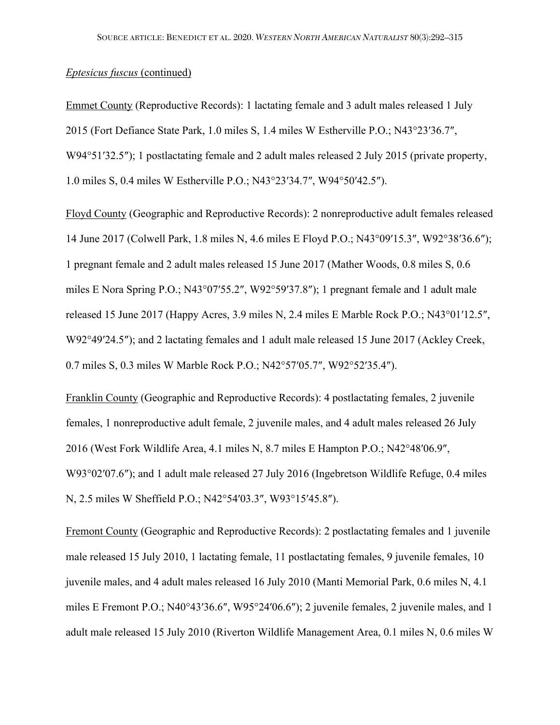Emmet County (Reproductive Records): 1 lactating female and 3 adult males released 1 July 2015 (Fort Defiance State Park, 1.0 miles S, 1.4 miles W Estherville P.O.; N43°23′36.7″, W94°51′32.5″); 1 postlactating female and 2 adult males released 2 July 2015 (private property, 1.0 miles S, 0.4 miles W Estherville P.O.; N43°23′34.7″, W94°50′42.5″).

Floyd County (Geographic and Reproductive Records): 2 nonreproductive adult females released 14 June 2017 (Colwell Park, 1.8 miles N, 4.6 miles E Floyd P.O.; N43°09′15.3″, W92°38′36.6″); 1 pregnant female and 2 adult males released 15 June 2017 (Mather Woods, 0.8 miles S, 0.6 miles E Nora Spring P.O.; N43°07′55.2″, W92°59′37.8″); 1 pregnant female and 1 adult male released 15 June 2017 (Happy Acres, 3.9 miles N, 2.4 miles E Marble Rock P.O.; N43°01′12.5″, W92°49′24.5"); and 2 lactating females and 1 adult male released 15 June 2017 (Ackley Creek, 0.7 miles S, 0.3 miles W Marble Rock P.O.; N42°57′05.7″, W92°52′35.4″).

Franklin County (Geographic and Reproductive Records): 4 postlactating females, 2 juvenile females, 1 nonreproductive adult female, 2 juvenile males, and 4 adult males released 26 July 2016 (West Fork Wildlife Area, 4.1 miles N, 8.7 miles E Hampton P.O.; N42°48′06.9″, W93°02′07.6″); and 1 adult male released 27 July 2016 (Ingebretson Wildlife Refuge, 0.4 miles N, 2.5 miles W Sheffield P.O.; N42°54′03.3″, W93°15′45.8″).

Fremont County (Geographic and Reproductive Records): 2 postlactating females and 1 juvenile male released 15 July 2010, 1 lactating female, 11 postlactating females, 9 juvenile females, 10 juvenile males, and 4 adult males released 16 July 2010 (Manti Memorial Park, 0.6 miles N, 4.1 miles E Fremont P.O.; N40°43′36.6″, W95°24′06.6″); 2 juvenile females, 2 juvenile males, and 1 adult male released 15 July 2010 (Riverton Wildlife Management Area, 0.1 miles N, 0.6 miles W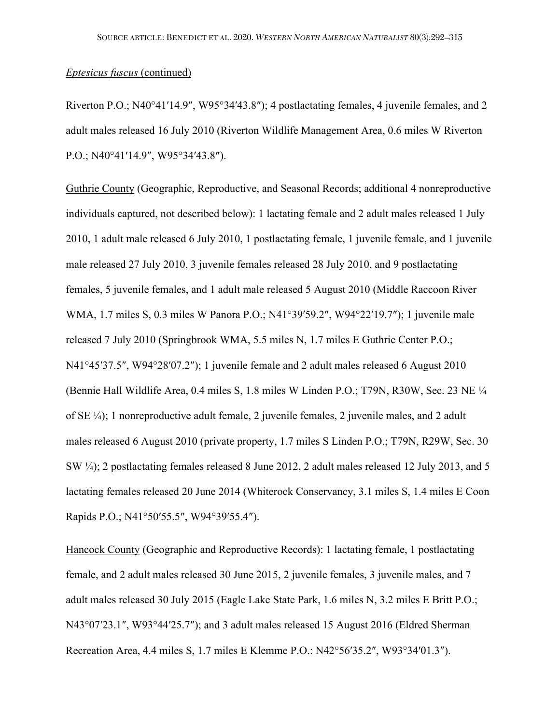Riverton P.O.; N40°41′14.9″, W95°34′43.8″); 4 postlactating females, 4 juvenile females, and 2 adult males released 16 July 2010 (Riverton Wildlife Management Area, 0.6 miles W Riverton P.O.; N40°41′14.9″, W95°34′43.8″).

Guthrie County (Geographic, Reproductive, and Seasonal Records; additional 4 nonreproductive individuals captured, not described below): 1 lactating female and 2 adult males released 1 July 2010, 1 adult male released 6 July 2010, 1 postlactating female, 1 juvenile female, and 1 juvenile male released 27 July 2010, 3 juvenile females released 28 July 2010, and 9 postlactating females, 5 juvenile females, and 1 adult male released 5 August 2010 (Middle Raccoon River WMA, 1.7 miles S, 0.3 miles W Panora P.O.; N41°39′59.2″, W94°22′19.7″); 1 juvenile male released 7 July 2010 (Springbrook WMA, 5.5 miles N, 1.7 miles E Guthrie Center P.O.; N41°45′37.5″, W94°28′07.2″); 1 juvenile female and 2 adult males released 6 August 2010 (Bennie Hall Wildlife Area, 0.4 miles S, 1.8 miles W Linden P.O.; T79N, R30W, Sec. 23 NE ¼ of SE ¼); 1 nonreproductive adult female, 2 juvenile females, 2 juvenile males, and 2 adult males released 6 August 2010 (private property, 1.7 miles S Linden P.O.; T79N, R29W, Sec. 30 SW ¼); 2 postlactating females released 8 June 2012, 2 adult males released 12 July 2013, and 5 lactating females released 20 June 2014 (Whiterock Conservancy, 3.1 miles S, 1.4 miles E Coon Rapids P.O.; N41°50′55.5″, W94°39′55.4″).

Hancock County (Geographic and Reproductive Records): 1 lactating female, 1 postlactating female, and 2 adult males released 30 June 2015, 2 juvenile females, 3 juvenile males, and 7 adult males released 30 July 2015 (Eagle Lake State Park, 1.6 miles N, 3.2 miles E Britt P.O.; N43°07′23.1″, W93°44′25.7″); and 3 adult males released 15 August 2016 (Eldred Sherman Recreation Area, 4.4 miles S, 1.7 miles E Klemme P.O.: N42°56′35.2″, W93°34′01.3″).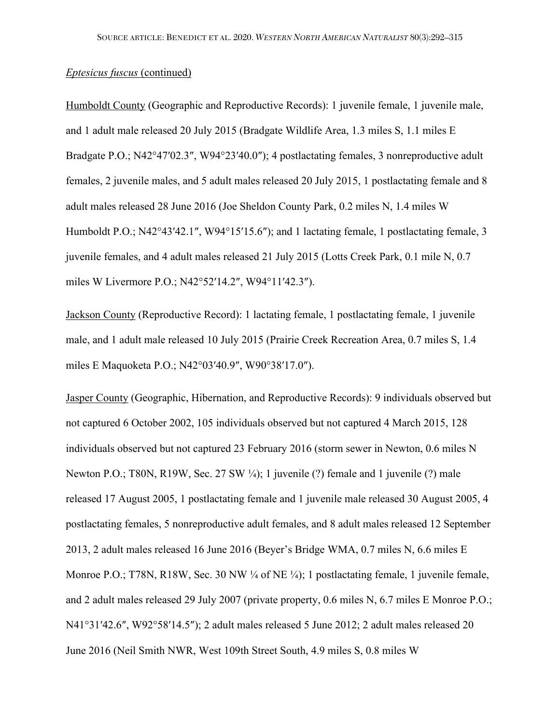Humboldt County (Geographic and Reproductive Records): 1 juvenile female, 1 juvenile male, and 1 adult male released 20 July 2015 (Bradgate Wildlife Area, 1.3 miles S, 1.1 miles E Bradgate P.O.; N42°47′02.3″, W94°23′40.0″); 4 postlactating females, 3 nonreproductive adult females, 2 juvenile males, and 5 adult males released 20 July 2015, 1 postlactating female and 8 adult males released 28 June 2016 (Joe Sheldon County Park, 0.2 miles N, 1.4 miles W Humboldt P.O.; N42°43'42.1", W94°15'15.6"); and 1 lactating female, 1 postlactating female, 3 juvenile females, and 4 adult males released 21 July 2015 (Lotts Creek Park, 0.1 mile N, 0.7 miles W Livermore P.O.; N42°52′14.2″, W94°11′42.3″).

Jackson County (Reproductive Record): 1 lactating female, 1 postlactating female, 1 juvenile male, and 1 adult male released 10 July 2015 (Prairie Creek Recreation Area, 0.7 miles S, 1.4 miles E Maquoketa P.O.; N42°03′40.9″, W90°38′17.0″).

Jasper County (Geographic, Hibernation, and Reproductive Records): 9 individuals observed but not captured 6 October 2002, 105 individuals observed but not captured 4 March 2015, 128 individuals observed but not captured 23 February 2016 (storm sewer in Newton, 0.6 miles N Newton P.O.; T80N, R19W, Sec. 27 SW ¼); 1 juvenile (?) female and 1 juvenile (?) male released 17 August 2005, 1 postlactating female and 1 juvenile male released 30 August 2005, 4 postlactating females, 5 nonreproductive adult females, and 8 adult males released 12 September 2013, 2 adult males released 16 June 2016 (Beyer's Bridge WMA, 0.7 miles N, 6.6 miles E Monroe P.O.; T78N, R18W, Sec. 30 NW ¼ of NE ¼); 1 postlactating female, 1 juvenile female, and 2 adult males released 29 July 2007 (private property, 0.6 miles N, 6.7 miles E Monroe P.O.; N41°31′42.6″, W92°58′14.5″); 2 adult males released 5 June 2012; 2 adult males released 20 June 2016 (Neil Smith NWR, West 109th Street South, 4.9 miles S, 0.8 miles W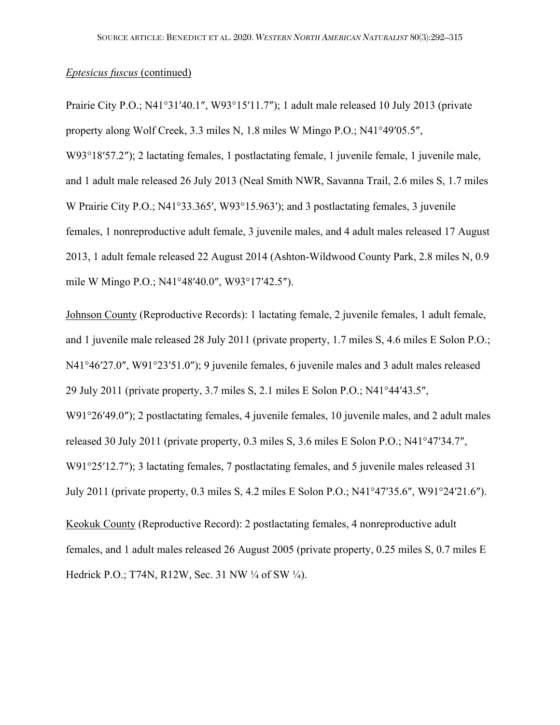Prairie City P.O.; N41°31′40.1″, W93°15′11.7″); 1 adult male released 10 July 2013 (private property along Wolf Creek, 3.3 miles N, 1.8 miles W Mingo P.O.; N41°49′05.5″, W93°18′57.2″); 2 lactating females, 1 postlactating female, 1 juvenile female, 1 juvenile male, and 1 adult male released 26 July 2013 (Neal Smith NWR, Savanna Trail, 2.6 miles S, 1.7 miles W Prairie City P.O.; N41°33.365′, W93°15.963′); and 3 postlactating females, 3 juvenile females, 1 nonreproductive adult female, 3 juvenile males, and 4 adult males released 17 August 2013, 1 adult female released 22 August 2014 (Ashton-Wildwood County Park, 2.8 miles N, 0.9 mile W Mingo P.O.; N41°48′40.0″, W93°17′42.5″).

Johnson County (Reproductive Records): 1 lactating female, 2 juvenile females, 1 adult female, and 1 juvenile male released 28 July 2011 (private property, 1.7 miles S, 4.6 miles E Solon P.O.; N41°46′27.0″, W91°23′51.0″); 9 juvenile females, 6 juvenile males and 3 adult males released 29 July 2011 (private property, 3.7 miles S, 2.1 miles E Solon P.O.; N41°44′43.5″, W91°26′49.0″); 2 postlactating females, 4 juvenile females, 10 juvenile males, and 2 adult males released 30 July 2011 (private property, 0.3 miles S, 3.6 miles E Solon P.O.; N41°47′34.7″, W91°25′12.7″); 3 lactating females, 7 postlactating females, and 5 juvenile males released 31 July 2011 (private property, 0.3 miles S, 4.2 miles E Solon P.O.; N41°47′35.6″, W91°24′21.6″).

Keokuk County (Reproductive Record): 2 postlactating females, 4 nonreproductive adult females, and 1 adult males released 26 August 2005 (private property, 0.25 miles S, 0.7 miles E Hedrick P.O.; T74N, R12W, Sec. 31 NW ¼ of SW ¼).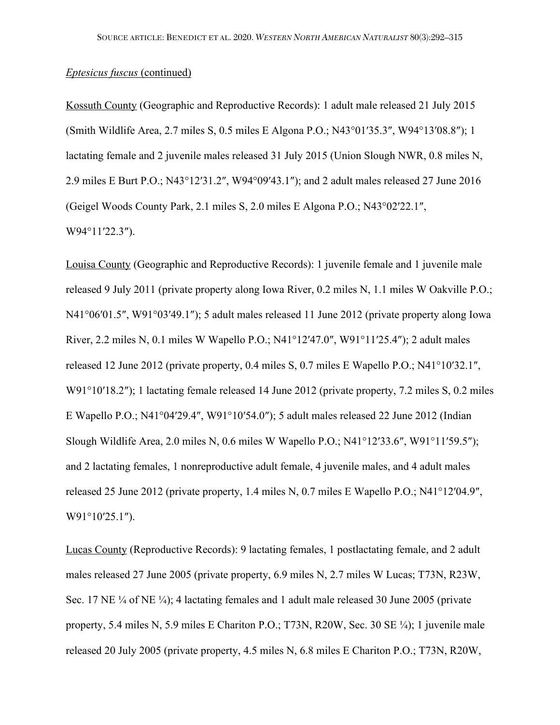Kossuth County (Geographic and Reproductive Records): 1 adult male released 21 July 2015 (Smith Wildlife Area, 2.7 miles S, 0.5 miles E Algona P.O.; N43°01′35.3″, W94°13′08.8″); 1 lactating female and 2 juvenile males released 31 July 2015 (Union Slough NWR, 0.8 miles N, 2.9 miles E Burt P.O.; N43°12′31.2″, W94°09′43.1″); and 2 adult males released 27 June 2016 (Geigel Woods County Park, 2.1 miles S, 2.0 miles E Algona P.O.; N43°02′22.1″, W94°11′22.3″).

Louisa County (Geographic and Reproductive Records): 1 juvenile female and 1 juvenile male released 9 July 2011 (private property along Iowa River, 0.2 miles N, 1.1 miles W Oakville P.O.; N41°06′01.5″, W91°03′49.1″); 5 adult males released 11 June 2012 (private property along Iowa River, 2.2 miles N, 0.1 miles W Wapello P.O.; N41°12′47.0″, W91°11′25.4″); 2 adult males released 12 June 2012 (private property, 0.4 miles S, 0.7 miles E Wapello P.O.; N41°10′32.1″, W91°10′18.2″); 1 lactating female released 14 June 2012 (private property, 7.2 miles S, 0.2 miles E Wapello P.O.; N41°04′29.4″, W91°10′54.0″); 5 adult males released 22 June 2012 (Indian Slough Wildlife Area, 2.0 miles N, 0.6 miles W Wapello P.O.; N41°12′33.6″, W91°11′59.5″); and 2 lactating females, 1 nonreproductive adult female, 4 juvenile males, and 4 adult males released 25 June 2012 (private property, 1.4 miles N, 0.7 miles E Wapello P.O.; N41°12′04.9″, W91°10′25.1″).

Lucas County (Reproductive Records): 9 lactating females, 1 postlactating female, and 2 adult males released 27 June 2005 (private property, 6.9 miles N, 2.7 miles W Lucas; T73N, R23W, Sec. 17 NE ¼ of NE ¼); 4 lactating females and 1 adult male released 30 June 2005 (private property, 5.4 miles N, 5.9 miles E Chariton P.O.; T73N, R20W, Sec. 30 SE ¼); 1 juvenile male released 20 July 2005 (private property, 4.5 miles N, 6.8 miles E Chariton P.O.; T73N, R20W,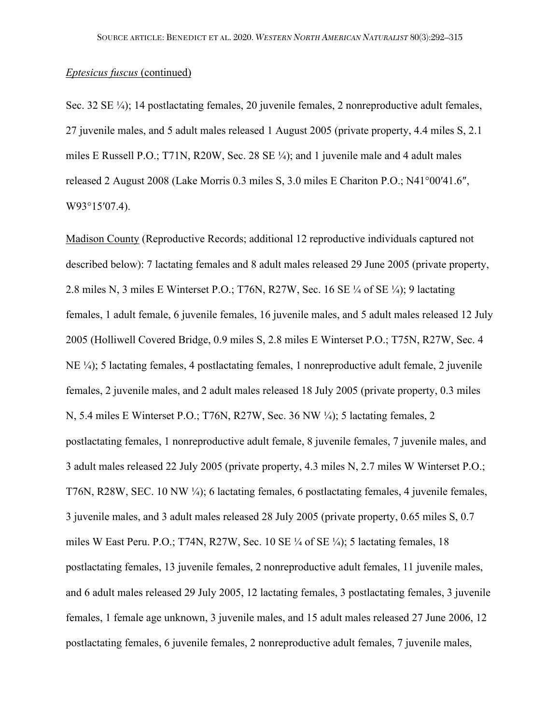Sec. 32 SE ¼); 14 postlactating females, 20 juvenile females, 2 nonreproductive adult females, 27 juvenile males, and 5 adult males released 1 August 2005 (private property, 4.4 miles S, 2.1 miles E Russell P.O.; T71N, R20W, Sec. 28 SE ¼); and 1 juvenile male and 4 adult males released 2 August 2008 (Lake Morris 0.3 miles S, 3.0 miles E Chariton P.O.; N41°00′41.6″, W93°15′07.4).

Madison County (Reproductive Records; additional 12 reproductive individuals captured not described below): 7 lactating females and 8 adult males released 29 June 2005 (private property, 2.8 miles N, 3 miles E Winterset P.O.; T76N, R27W, Sec. 16 SE ¼ of SE ¼); 9 lactating females, 1 adult female, 6 juvenile females, 16 juvenile males, and 5 adult males released 12 July 2005 (Holliwell Covered Bridge, 0.9 miles S, 2.8 miles E Winterset P.O.; T75N, R27W, Sec. 4 NE ¼); 5 lactating females, 4 postlactating females, 1 nonreproductive adult female, 2 juvenile females, 2 juvenile males, and 2 adult males released 18 July 2005 (private property, 0.3 miles N, 5.4 miles E Winterset P.O.; T76N, R27W, Sec. 36 NW ¼); 5 lactating females, 2 postlactating females, 1 nonreproductive adult female, 8 juvenile females, 7 juvenile males, and 3 adult males released 22 July 2005 (private property, 4.3 miles N, 2.7 miles W Winterset P.O.; T76N, R28W, SEC. 10 NW ¼); 6 lactating females, 6 postlactating females, 4 juvenile females, 3 juvenile males, and 3 adult males released 28 July 2005 (private property, 0.65 miles S, 0.7 miles W East Peru. P.O.; T74N, R27W, Sec. 10 SE ¼ of SE ¼); 5 lactating females, 18 postlactating females, 13 juvenile females, 2 nonreproductive adult females, 11 juvenile males, and 6 adult males released 29 July 2005, 12 lactating females, 3 postlactating females, 3 juvenile females, 1 female age unknown, 3 juvenile males, and 15 adult males released 27 June 2006, 12 postlactating females, 6 juvenile females, 2 nonreproductive adult females, 7 juvenile males,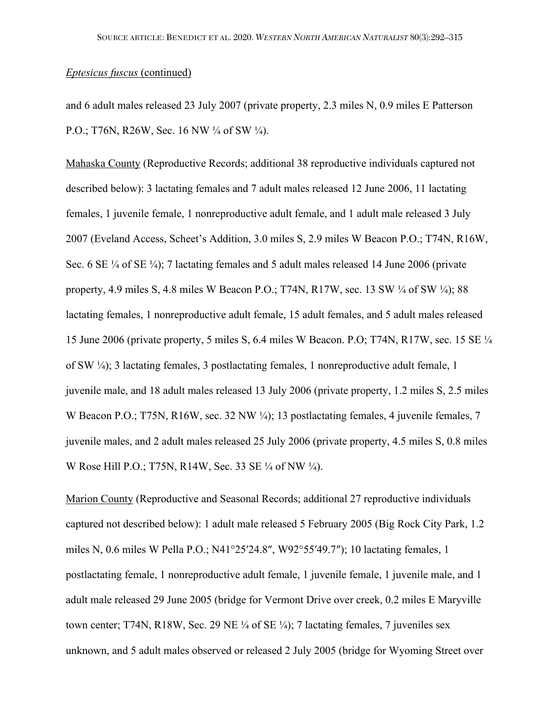and 6 adult males released 23 July 2007 (private property, 2.3 miles N, 0.9 miles E Patterson P.O.; T76N, R26W, Sec. 16 NW ¼ of SW ¼).

Mahaska County (Reproductive Records; additional 38 reproductive individuals captured not described below): 3 lactating females and 7 adult males released 12 June 2006, 11 lactating females, 1 juvenile female, 1 nonreproductive adult female, and 1 adult male released 3 July 2007 (Eveland Access, Scheet's Addition, 3.0 miles S, 2.9 miles W Beacon P.O.; T74N, R16W, Sec. 6 SE ¼ of SE ¼); 7 lactating females and 5 adult males released 14 June 2006 (private property, 4.9 miles S, 4.8 miles W Beacon P.O.; T74N, R17W, sec. 13 SW ¼ of SW ¼); 88 lactating females, 1 nonreproductive adult female, 15 adult females, and 5 adult males released 15 June 2006 (private property, 5 miles S, 6.4 miles W Beacon. P.O; T74N, R17W, sec. 15 SE ¼ of SW ¼); 3 lactating females, 3 postlactating females, 1 nonreproductive adult female, 1 juvenile male, and 18 adult males released 13 July 2006 (private property, 1.2 miles S, 2.5 miles W Beacon P.O.; T75N, R16W, sec. 32 NW ¼); 13 postlactating females, 4 juvenile females, 7 juvenile males, and 2 adult males released 25 July 2006 (private property, 4.5 miles S, 0.8 miles W Rose Hill P.O.; T75N, R14W, Sec. 33 SE ¼ of NW ¼).

Marion County (Reproductive and Seasonal Records; additional 27 reproductive individuals captured not described below): 1 adult male released 5 February 2005 (Big Rock City Park, 1.2 miles N, 0.6 miles W Pella P.O.; N41°25′24.8″, W92°55′49.7″); 10 lactating females, 1 postlactating female, 1 nonreproductive adult female, 1 juvenile female, 1 juvenile male, and 1 adult male released 29 June 2005 (bridge for Vermont Drive over creek, 0.2 miles E Maryville town center; T74N, R18W, Sec. 29 NE ¼ of SE ¼); 7 lactating females, 7 juveniles sex unknown, and 5 adult males observed or released 2 July 2005 (bridge for Wyoming Street over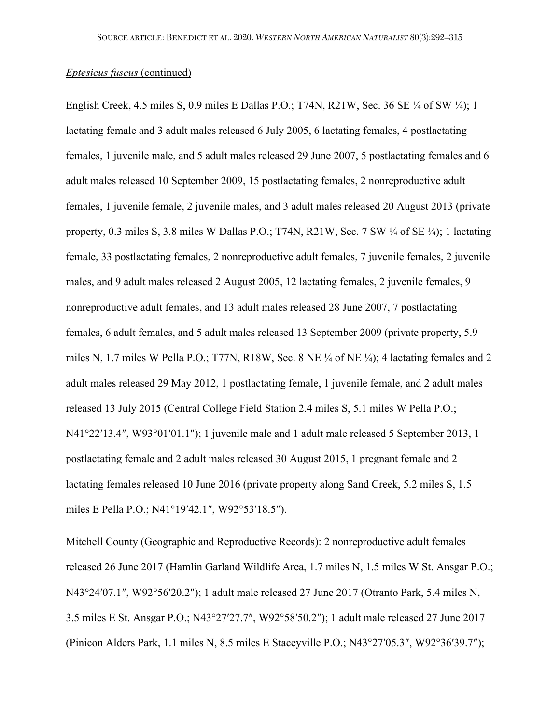English Creek, 4.5 miles S, 0.9 miles E Dallas P.O.; T74N, R21W, Sec. 36 SE ¼ of SW ¼); 1 lactating female and 3 adult males released 6 July 2005, 6 lactating females, 4 postlactating females, 1 juvenile male, and 5 adult males released 29 June 2007, 5 postlactating females and 6 adult males released 10 September 2009, 15 postlactating females, 2 nonreproductive adult females, 1 juvenile female, 2 juvenile males, and 3 adult males released 20 August 2013 (private property, 0.3 miles S, 3.8 miles W Dallas P.O.; T74N, R21W, Sec. 7 SW ¼ of SE ¼); 1 lactating female, 33 postlactating females, 2 nonreproductive adult females, 7 juvenile females, 2 juvenile males, and 9 adult males released 2 August 2005, 12 lactating females, 2 juvenile females, 9 nonreproductive adult females, and 13 adult males released 28 June 2007, 7 postlactating females, 6 adult females, and 5 adult males released 13 September 2009 (private property, 5.9 miles N, 1.7 miles W Pella P.O.; T77N, R18W, Sec. 8 NE ¼ of NE ¼); 4 lactating females and 2 adult males released 29 May 2012, 1 postlactating female, 1 juvenile female, and 2 adult males released 13 July 2015 (Central College Field Station 2.4 miles S, 5.1 miles W Pella P.O.; N41°22′13.4″, W93°01′01.1″); 1 juvenile male and 1 adult male released 5 September 2013, 1 postlactating female and 2 adult males released 30 August 2015, 1 pregnant female and 2 lactating females released 10 June 2016 (private property along Sand Creek, 5.2 miles S, 1.5 miles E Pella P.O.; N41°19′42.1″, W92°53′18.5″).

Mitchell County (Geographic and Reproductive Records): 2 nonreproductive adult females released 26 June 2017 (Hamlin Garland Wildlife Area, 1.7 miles N, 1.5 miles W St. Ansgar P.O.; N43°24′07.1″, W92°56′20.2″); 1 adult male released 27 June 2017 (Otranto Park, 5.4 miles N, 3.5 miles E St. Ansgar P.O.; N43°27′27.7″, W92°58′50.2″); 1 adult male released 27 June 2017 (Pinicon Alders Park, 1.1 miles N, 8.5 miles E Staceyville P.O.; N43°27′05.3″, W92°36′39.7″);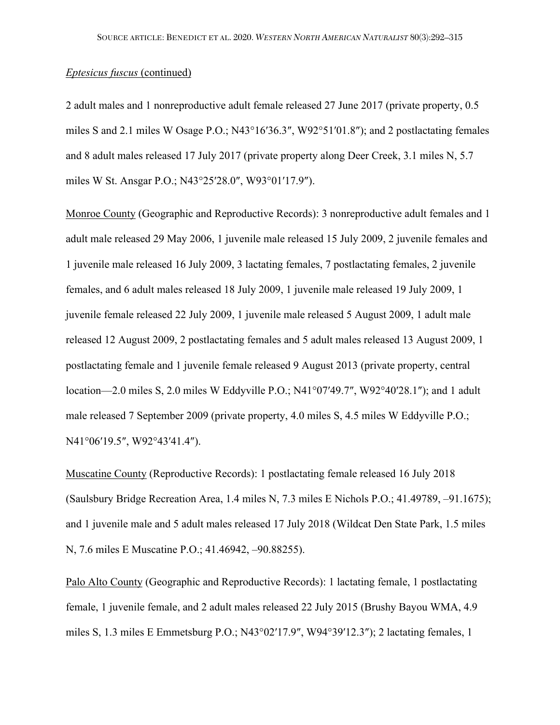2 adult males and 1 nonreproductive adult female released 27 June 2017 (private property, 0.5 miles S and 2.1 miles W Osage P.O.; N43°16′36.3″, W92°51′01.8″); and 2 postlactating females and 8 adult males released 17 July 2017 (private property along Deer Creek, 3.1 miles N, 5.7 miles W St. Ansgar P.O.; N43°25′28.0″, W93°01′17.9″).

Monroe County (Geographic and Reproductive Records): 3 nonreproductive adult females and 1 adult male released 29 May 2006, 1 juvenile male released 15 July 2009, 2 juvenile females and 1 juvenile male released 16 July 2009, 3 lactating females, 7 postlactating females, 2 juvenile females, and 6 adult males released 18 July 2009, 1 juvenile male released 19 July 2009, 1 juvenile female released 22 July 2009, 1 juvenile male released 5 August 2009, 1 adult male released 12 August 2009, 2 postlactating females and 5 adult males released 13 August 2009, 1 postlactating female and 1 juvenile female released 9 August 2013 (private property, central location—2.0 miles S, 2.0 miles W Eddyville P.O.; N41°07′49.7″, W92°40′28.1″); and 1 adult male released 7 September 2009 (private property, 4.0 miles S, 4.5 miles W Eddyville P.O.; N41°06′19.5″, W92°43′41.4″).

Muscatine County (Reproductive Records): 1 postlactating female released 16 July 2018 (Saulsbury Bridge Recreation Area, 1.4 miles N, 7.3 miles E Nichols P.O.; 41.49789, –91.1675); and 1 juvenile male and 5 adult males released 17 July 2018 (Wildcat Den State Park, 1.5 miles N, 7.6 miles E Muscatine P.O.; 41.46942, –90.88255).

Palo Alto County (Geographic and Reproductive Records): 1 lactating female, 1 postlactating female, 1 juvenile female, and 2 adult males released 22 July 2015 (Brushy Bayou WMA, 4.9 miles S, 1.3 miles E Emmetsburg P.O.; N43°02′17.9″, W94°39′12.3″); 2 lactating females, 1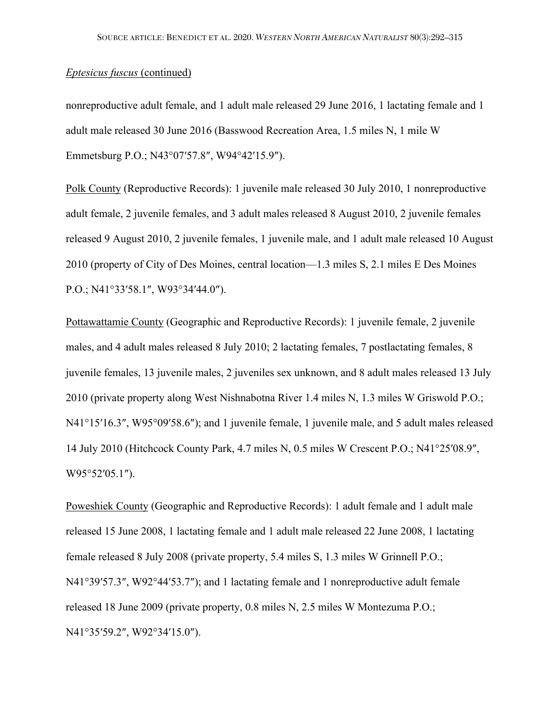nonreproductive adult female, and 1 adult male released 29 June 2016, 1 lactating female and 1 adult male released 30 June 2016 (Basswood Recreation Area, 1.5 miles N, 1 mile W Emmetsburg P.O.; N43°07′57.8″, W94°42′15.9″).

Polk County (Reproductive Records): 1 juvenile male released 30 July 2010, 1 nonreproductive adult female, 2 juvenile females, and 3 adult males released 8 August 2010, 2 juvenile females released 9 August 2010, 2 juvenile females, 1 juvenile male, and 1 adult male released 10 August 2010 (property of City of Des Moines, central location—1.3 miles S, 2.1 miles E Des Moines P.O.; N41°33′58.1″, W93°34′44.0″).

Pottawattamie County (Geographic and Reproductive Records): 1 juvenile female, 2 juvenile males, and 4 adult males released 8 July 2010; 2 lactating females, 7 postlactating females, 8 juvenile females, 13 juvenile males, 2 juveniles sex unknown, and 8 adult males released 13 July 2010 (private property along West Nishnabotna River 1.4 miles N, 1.3 miles W Griswold P.O.; N41°15′16.3″, W95°09′58.6″); and 1 juvenile female, 1 juvenile male, and 5 adult males released 14 July 2010 (Hitchcock County Park, 4.7 miles N, 0.5 miles W Crescent P.O.; N41°25′08.9″, W95°52′05.1″).

Poweshiek County (Geographic and Reproductive Records): 1 adult female and 1 adult male released 15 June 2008, 1 lactating female and 1 adult male released 22 June 2008, 1 lactating female released 8 July 2008 (private property, 5.4 miles S, 1.3 miles W Grinnell P.O.; N41°39′57.3″, W92°44′53.7″); and 1 lactating female and 1 nonreproductive adult female released 18 June 2009 (private property, 0.8 miles N, 2.5 miles W Montezuma P.O.; N41°35′59.2″, W92°34′15.0″).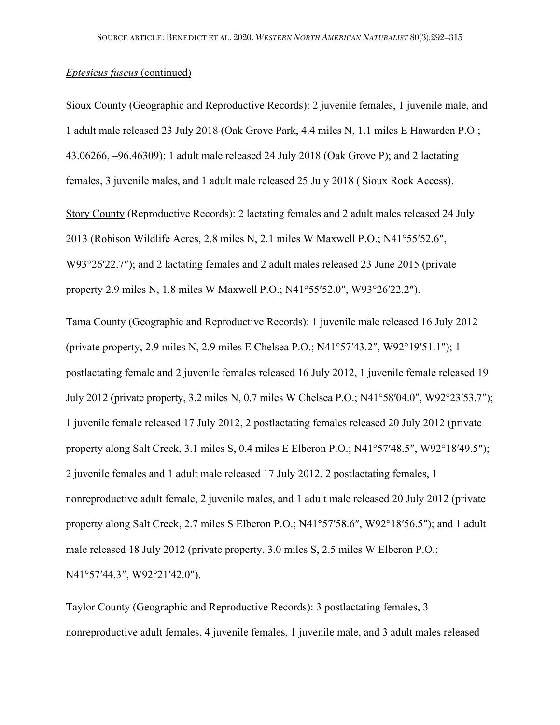Sioux County (Geographic and Reproductive Records): 2 juvenile females, 1 juvenile male, and 1 adult male released 23 July 2018 (Oak Grove Park, 4.4 miles N, 1.1 miles E Hawarden P.O.; 43.06266, –96.46309); 1 adult male released 24 July 2018 (Oak Grove P); and 2 lactating females, 3 juvenile males, and 1 adult male released 25 July 2018 ( Sioux Rock Access).

Story County (Reproductive Records): 2 lactating females and 2 adult males released 24 July 2013 (Robison Wildlife Acres, 2.8 miles N, 2.1 miles W Maxwell P.O.; N41°55′52.6″, W93°26′22.7″); and 2 lactating females and 2 adult males released 23 June 2015 (private property 2.9 miles N, 1.8 miles W Maxwell P.O.; N41°55′52.0″, W93°26′22.2″).

Tama County (Geographic and Reproductive Records): 1 juvenile male released 16 July 2012 (private property, 2.9 miles N, 2.9 miles E Chelsea P.O.; N41°57′43.2″, W92°19′51.1″); 1 postlactating female and 2 juvenile females released 16 July 2012, 1 juvenile female released 19 July 2012 (private property, 3.2 miles N, 0.7 miles W Chelsea P.O.; N41°58′04.0″, W92°23′53.7″); 1 juvenile female released 17 July 2012, 2 postlactating females released 20 July 2012 (private property along Salt Creek, 3.1 miles S, 0.4 miles E Elberon P.O.; N41°57′48.5″, W92°18′49.5″); 2 juvenile females and 1 adult male released 17 July 2012, 2 postlactating females, 1 nonreproductive adult female, 2 juvenile males, and 1 adult male released 20 July 2012 (private property along Salt Creek, 2.7 miles S Elberon P.O.; N41°57′58.6″, W92°18′56.5″); and 1 adult male released 18 July 2012 (private property, 3.0 miles S, 2.5 miles W Elberon P.O.; N41°57′44.3″, W92°21′42.0″).

Taylor County (Geographic and Reproductive Records): 3 postlactating females, 3 nonreproductive adult females, 4 juvenile females, 1 juvenile male, and 3 adult males released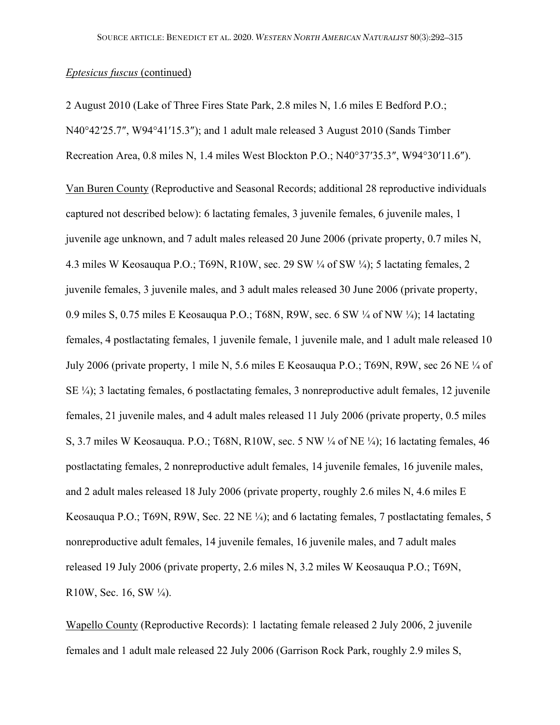2 August 2010 (Lake of Three Fires State Park, 2.8 miles N, 1.6 miles E Bedford P.O.; N40°42′25.7″, W94°41′15.3″); and 1 adult male released 3 August 2010 (Sands Timber Recreation Area, 0.8 miles N, 1.4 miles West Blockton P.O.; N40°37′35.3″, W94°30′11.6″).

Van Buren County (Reproductive and Seasonal Records; additional 28 reproductive individuals captured not described below): 6 lactating females, 3 juvenile females, 6 juvenile males, 1 juvenile age unknown, and 7 adult males released 20 June 2006 (private property, 0.7 miles N, 4.3 miles W Keosauqua P.O.; T69N, R10W, sec. 29 SW ¼ of SW ¼); 5 lactating females, 2 juvenile females, 3 juvenile males, and 3 adult males released 30 June 2006 (private property, 0.9 miles S, 0.75 miles E Keosauqua P.O.; T68N, R9W, sec. 6 SW ¼ of NW ¼); 14 lactating females, 4 postlactating females, 1 juvenile female, 1 juvenile male, and 1 adult male released 10 July 2006 (private property, 1 mile N, 5.6 miles E Keosauqua P.O.; T69N, R9W, sec 26 NE ¼ of SE ¼); 3 lactating females, 6 postlactating females, 3 nonreproductive adult females, 12 juvenile females, 21 juvenile males, and 4 adult males released 11 July 2006 (private property, 0.5 miles S, 3.7 miles W Keosauqua. P.O.; T68N, R10W, sec. 5 NW ¼ of NE ¼); 16 lactating females, 46 postlactating females, 2 nonreproductive adult females, 14 juvenile females, 16 juvenile males, and 2 adult males released 18 July 2006 (private property, roughly 2.6 miles N, 4.6 miles E Keosauqua P.O.; T69N, R9W, Sec. 22 NE ¼); and 6 lactating females, 7 postlactating females, 5 nonreproductive adult females, 14 juvenile females, 16 juvenile males, and 7 adult males released 19 July 2006 (private property, 2.6 miles N, 3.2 miles W Keosauqua P.O.; T69N, R10W, Sec. 16, SW  $\frac{1}{4}$ ).

Wapello County (Reproductive Records): 1 lactating female released 2 July 2006, 2 juvenile females and 1 adult male released 22 July 2006 (Garrison Rock Park, roughly 2.9 miles S,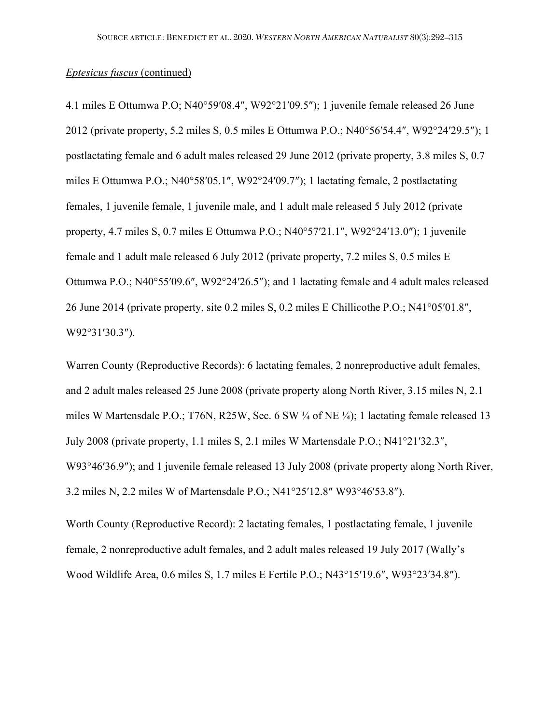4.1 miles E Ottumwa P.O; N40°59′08.4″, W92°21′09.5″); 1 juvenile female released 26 June 2012 (private property, 5.2 miles S, 0.5 miles E Ottumwa P.O.; N40°56′54.4″, W92°24′29.5″); 1 postlactating female and 6 adult males released 29 June 2012 (private property, 3.8 miles S, 0.7 miles E Ottumwa P.O.; N40°58′05.1″, W92°24′09.7″); 1 lactating female, 2 postlactating females, 1 juvenile female, 1 juvenile male, and 1 adult male released 5 July 2012 (private property, 4.7 miles S, 0.7 miles E Ottumwa P.O.; N40°57′21.1″, W92°24′13.0″); 1 juvenile female and 1 adult male released 6 July 2012 (private property, 7.2 miles S, 0.5 miles E Ottumwa P.O.; N40°55′09.6″, W92°24′26.5″); and 1 lactating female and 4 adult males released 26 June 2014 (private property, site 0.2 miles S, 0.2 miles E Chillicothe P.O.; N41°05′01.8″, W92°31′30.3″).

Warren County (Reproductive Records): 6 lactating females, 2 nonreproductive adult females, and 2 adult males released 25 June 2008 (private property along North River, 3.15 miles N, 2.1 miles W Martensdale P.O.; T76N, R25W, Sec. 6 SW ¼ of NE ¼); 1 lactating female released 13 July 2008 (private property, 1.1 miles S, 2.1 miles W Martensdale P.O.; N41°21′32.3″, W93°46′36.9″); and 1 juvenile female released 13 July 2008 (private property along North River, 3.2 miles N, 2.2 miles W of Martensdale P.O.; N41°25′12.8″ W93°46′53.8″).

Worth County (Reproductive Record): 2 lactating females, 1 postlactating female, 1 juvenile female, 2 nonreproductive adult females, and 2 adult males released 19 July 2017 (Wally's Wood Wildlife Area, 0.6 miles S, 1.7 miles E Fertile P.O.; N43°15′19.6″, W93°23′34.8″).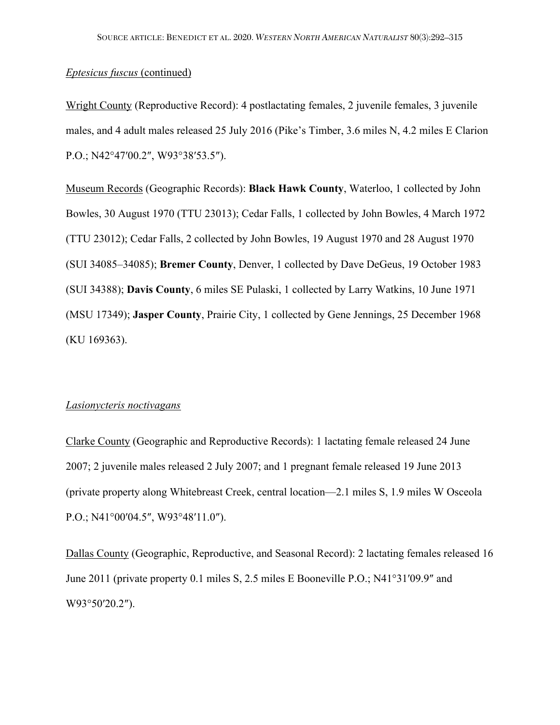Wright County (Reproductive Record): 4 postlactating females, 2 juvenile females, 3 juvenile males, and 4 adult males released 25 July 2016 (Pike's Timber, 3.6 miles N, 4.2 miles E Clarion P.O.; N42°47′00.2″, W93°38′53.5″).

Museum Records (Geographic Records): **Black Hawk County**, Waterloo, 1 collected by John Bowles, 30 August 1970 (TTU 23013); Cedar Falls, 1 collected by John Bowles, 4 March 1972 (TTU 23012); Cedar Falls, 2 collected by John Bowles, 19 August 1970 and 28 August 1970 (SUI 34085–34085); **Bremer County**, Denver, 1 collected by Dave DeGeus, 19 October 1983 (SUI 34388); **Davis County**, 6 miles SE Pulaski, 1 collected by Larry Watkins, 10 June 1971 (MSU 17349); **Jasper County**, Prairie City, 1 collected by Gene Jennings, 25 December 1968 (KU 169363).

#### *Lasionycteris noctivagans*

Clarke County (Geographic and Reproductive Records): 1 lactating female released 24 June 2007; 2 juvenile males released 2 July 2007; and 1 pregnant female released 19 June 2013 (private property along Whitebreast Creek, central location—2.1 miles S, 1.9 miles W Osceola P.O.; N41°00′04.5″, W93°48′11.0″).

Dallas County (Geographic, Reproductive, and Seasonal Record): 2 lactating females released 16 June 2011 (private property 0.1 miles S, 2.5 miles E Booneville P.O.; N41°31′09.9″ and W93°50′20.2″).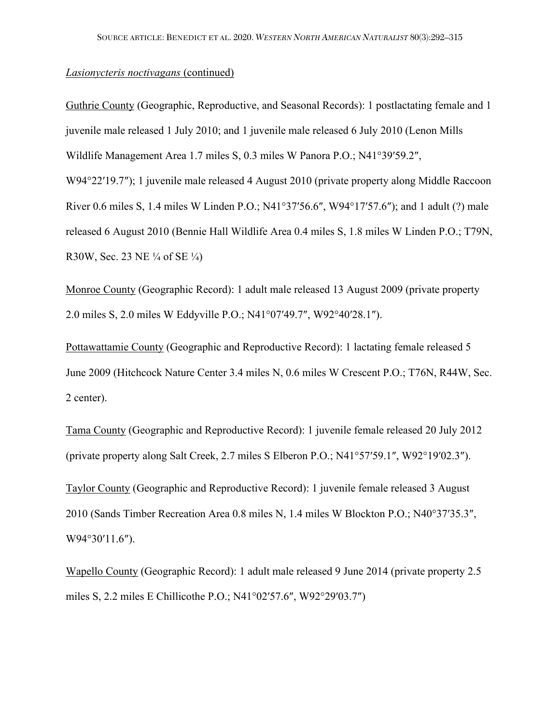## *Lasionycteris noctivagans* (continued)

Guthrie County (Geographic, Reproductive, and Seasonal Records): 1 postlactating female and 1 juvenile male released 1 July 2010; and 1 juvenile male released 6 July 2010 (Lenon Mills Wildlife Management Area 1.7 miles S, 0.3 miles W Panora P.O.; N41°39′59.2″, W94°22′19.7″); 1 juvenile male released 4 August 2010 (private property along Middle Raccoon River 0.6 miles S, 1.4 miles W Linden P.O.; N41°37′56.6″, W94°17′57.6″); and 1 adult (?) male released 6 August 2010 (Bennie Hall Wildlife Area 0.4 miles S, 1.8 miles W Linden P.O.; T79N, R30W, Sec. 23 NE ¼ of SE ¼)

Monroe County (Geographic Record): 1 adult male released 13 August 2009 (private property 2.0 miles S, 2.0 miles W Eddyville P.O.; N41°07′49.7″, W92°40′28.1″).

Pottawattamie County (Geographic and Reproductive Record): 1 lactating female released 5 June 2009 (Hitchcock Nature Center 3.4 miles N, 0.6 miles W Crescent P.O.; T76N, R44W, Sec. 2 center).

Tama County (Geographic and Reproductive Record): 1 juvenile female released 20 July 2012 (private property along Salt Creek, 2.7 miles S Elberon P.O.; N41°57′59.1″, W92°19′02.3″).

Taylor County (Geographic and Reproductive Record): 1 juvenile female released 3 August 2010 (Sands Timber Recreation Area 0.8 miles N, 1.4 miles W Blockton P.O.; N40°37′35.3″, W94°30′11.6″).

Wapello County (Geographic Record): 1 adult male released 9 June 2014 (private property 2.5 miles S, 2.2 miles E Chillicothe P.O.; N41°02′57.6″, W92°29′03.7″)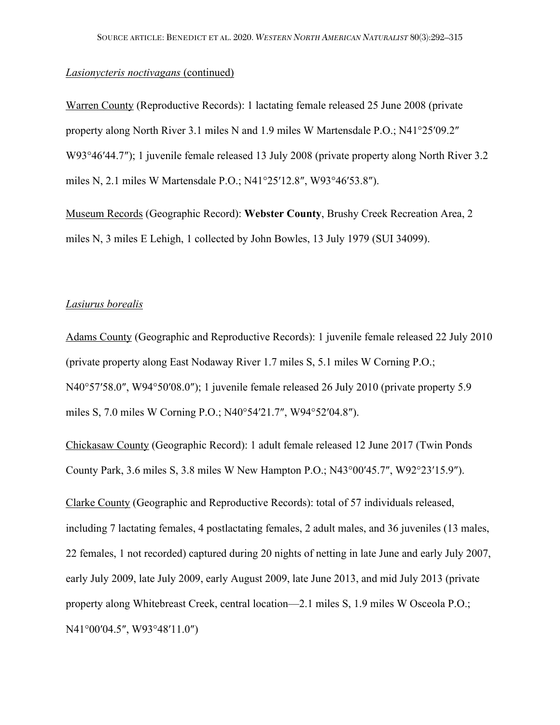# *Lasionycteris noctivagans* (continued)

Warren County (Reproductive Records): 1 lactating female released 25 June 2008 (private property along North River 3.1 miles N and 1.9 miles W Martensdale P.O.; N41°25′09.2″ W93°46′44.7″); 1 juvenile female released 13 July 2008 (private property along North River 3.2 miles N, 2.1 miles W Martensdale P.O.; N41°25′12.8″, W93°46′53.8″).

Museum Records (Geographic Record): **Webster County**, Brushy Creek Recreation Area, 2 miles N, 3 miles E Lehigh, 1 collected by John Bowles, 13 July 1979 (SUI 34099).

# *Lasiurus borealis*

Adams County (Geographic and Reproductive Records): 1 juvenile female released 22 July 2010 (private property along East Nodaway River 1.7 miles S, 5.1 miles W Corning P.O.; N40°57′58.0″, W94°50′08.0″); 1 juvenile female released 26 July 2010 (private property 5.9 miles S, 7.0 miles W Corning P.O.; N40°54′21.7″, W94°52′04.8″).

Chickasaw County (Geographic Record): 1 adult female released 12 June 2017 (Twin Ponds County Park, 3.6 miles S, 3.8 miles W New Hampton P.O.; N43°00′45.7″, W92°23′15.9″).

Clarke County (Geographic and Reproductive Records): total of 57 individuals released, including 7 lactating females, 4 postlactating females, 2 adult males, and 36 juveniles (13 males, 22 females, 1 not recorded) captured during 20 nights of netting in late June and early July 2007, early July 2009, late July 2009, early August 2009, late June 2013, and mid July 2013 (private property along Whitebreast Creek, central location—2.1 miles S, 1.9 miles W Osceola P.O.; N41°00′04.5″, W93°48′11.0″)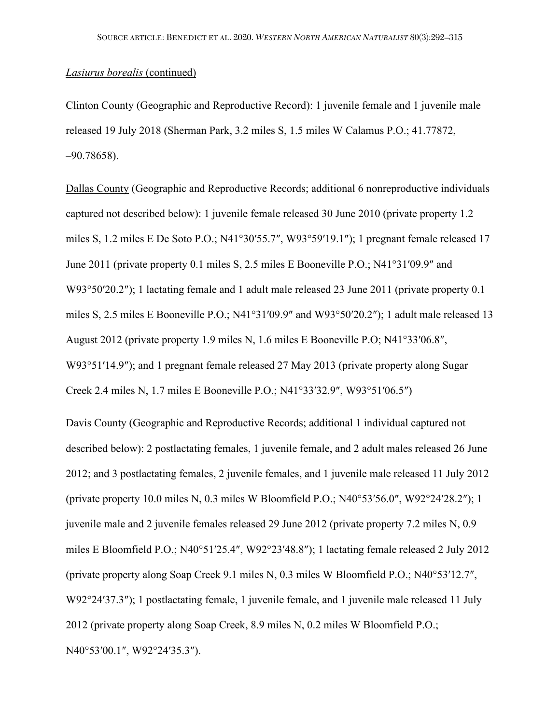Clinton County (Geographic and Reproductive Record): 1 juvenile female and 1 juvenile male released 19 July 2018 (Sherman Park, 3.2 miles S, 1.5 miles W Calamus P.O.; 41.77872, –90.78658).

Dallas County (Geographic and Reproductive Records; additional 6 nonreproductive individuals captured not described below): 1 juvenile female released 30 June 2010 (private property 1.2 miles S, 1.2 miles E De Soto P.O.; N41°30′55.7″, W93°59′19.1″); 1 pregnant female released 17 June 2011 (private property 0.1 miles S, 2.5 miles E Booneville P.O.; N41°31′09.9″ and W93°50′20.2″); 1 lactating female and 1 adult male released 23 June 2011 (private property 0.1) miles S, 2.5 miles E Booneville P.O.; N41°31′09.9″ and W93°50′20.2″); 1 adult male released 13 August 2012 (private property 1.9 miles N, 1.6 miles E Booneville P.O; N41°33′06.8″, W93°51′14.9″); and 1 pregnant female released 27 May 2013 (private property along Sugar Creek 2.4 miles N, 1.7 miles E Booneville P.O.; N41°33′32.9″, W93°51′06.5″)

Davis County (Geographic and Reproductive Records; additional 1 individual captured not described below): 2 postlactating females, 1 juvenile female, and 2 adult males released 26 June 2012; and 3 postlactating females, 2 juvenile females, and 1 juvenile male released 11 July 2012 (private property 10.0 miles N, 0.3 miles W Bloomfield P.O.; N40°53′56.0″, W92°24′28.2″); 1 juvenile male and 2 juvenile females released 29 June 2012 (private property 7.2 miles N, 0.9 miles E Bloomfield P.O.; N40°51′25.4″, W92°23′48.8″); 1 lactating female released 2 July 2012 (private property along Soap Creek 9.1 miles N, 0.3 miles W Bloomfield P.O.; N40°53′12.7″, W92°24′37.3″); 1 postlactating female, 1 juvenile female, and 1 juvenile male released 11 July 2012 (private property along Soap Creek, 8.9 miles N, 0.2 miles W Bloomfield P.O.; N40°53′00.1″, W92°24′35.3″).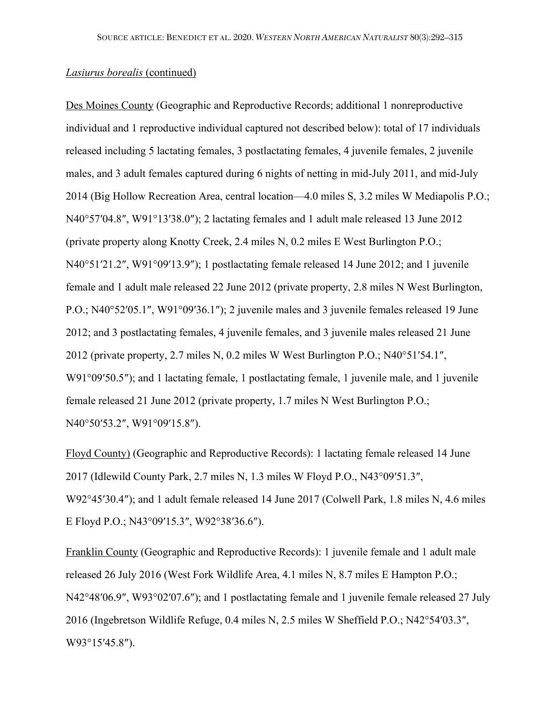Des Moines County (Geographic and Reproductive Records; additional 1 nonreproductive individual and 1 reproductive individual captured not described below): total of 17 individuals released including 5 lactating females, 3 postlactating females, 4 juvenile females, 2 juvenile males, and 3 adult females captured during 6 nights of netting in mid-July 2011, and mid-July 2014 (Big Hollow Recreation Area, central location—4.0 miles S, 3.2 miles W Mediapolis P.O.; N40°57′04.8″, W91°13′38.0″); 2 lactating females and 1 adult male released 13 June 2012 (private property along Knotty Creek, 2.4 miles N, 0.2 miles E West Burlington P.O.; N40°51′21.2″, W91°09′13.9″); 1 postlactating female released 14 June 2012; and 1 juvenile female and 1 adult male released 22 June 2012 (private property, 2.8 miles N West Burlington, P.O.; N40°52′05.1″, W91°09′36.1″); 2 juvenile males and 3 juvenile females released 19 June 2012; and 3 postlactating females, 4 juvenile females, and 3 juvenile males released 21 June 2012 (private property, 2.7 miles N, 0.2 miles W West Burlington P.O.; N40°51′54.1″, W91°09′50.5"); and 1 lactating female, 1 postlactating female, 1 juvenile male, and 1 juvenile female released 21 June 2012 (private property, 1.7 miles N West Burlington P.O.; N40°50′53.2″, W91°09′15.8″).

Floyd County) (Geographic and Reproductive Records): 1 lactating female released 14 June 2017 (Idlewild County Park, 2.7 miles N, 1.3 miles W Floyd P.O., N43°09′51.3″, W92°45′30.4″); and 1 adult female released 14 June 2017 (Colwell Park, 1.8 miles N, 4.6 miles E Floyd P.O.; N43°09′15.3″, W92°38′36.6″).

Franklin County (Geographic and Reproductive Records): 1 juvenile female and 1 adult male released 26 July 2016 (West Fork Wildlife Area, 4.1 miles N, 8.7 miles E Hampton P.O.; N42°48′06.9″, W93°02′07.6″); and 1 postlactating female and 1 juvenile female released 27 July 2016 (Ingebretson Wildlife Refuge, 0.4 miles N, 2.5 miles W Sheffield P.O.; N42°54′03.3″, W93°15′45.8″).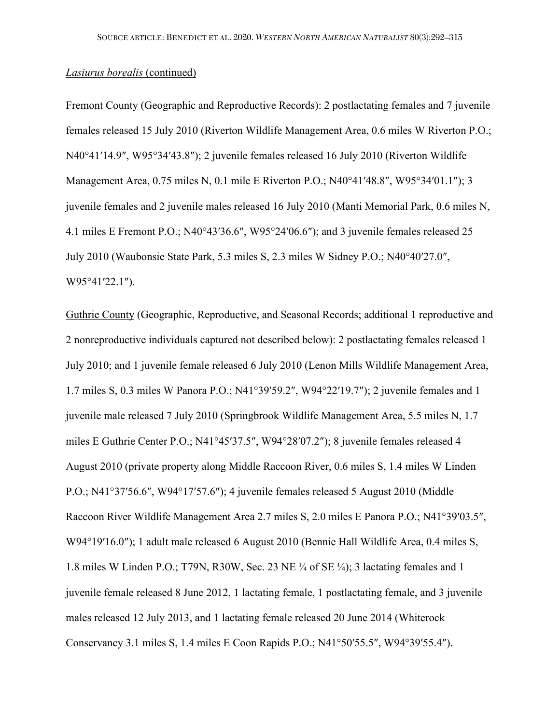Fremont County (Geographic and Reproductive Records): 2 postlactating females and 7 juvenile females released 15 July 2010 (Riverton Wildlife Management Area, 0.6 miles W Riverton P.O.; N40°41′14.9″, W95°34′43.8″); 2 juvenile females released 16 July 2010 (Riverton Wildlife Management Area, 0.75 miles N, 0.1 mile E Riverton P.O.; N40°41′48.8″, W95°34′01.1″); 3 juvenile females and 2 juvenile males released 16 July 2010 (Manti Memorial Park, 0.6 miles N, 4.1 miles E Fremont P.O.; N40°43′36.6″, W95°24′06.6″); and 3 juvenile females released 25 July 2010 (Waubonsie State Park, 5.3 miles S, 2.3 miles W Sidney P.O.; N40°40′27.0″, W95°41′22.1″).

Guthrie County (Geographic, Reproductive, and Seasonal Records; additional 1 reproductive and 2 nonreproductive individuals captured not described below): 2 postlactating females released 1 July 2010; and 1 juvenile female released 6 July 2010 (Lenon Mills Wildlife Management Area, 1.7 miles S, 0.3 miles W Panora P.O.; N41°39′59.2″, W94°22′19.7″); 2 juvenile females and 1 juvenile male released 7 July 2010 (Springbrook Wildlife Management Area, 5.5 miles N, 1.7 miles E Guthrie Center P.O.; N41°45′37.5″, W94°28′07.2″); 8 juvenile females released 4 August 2010 (private property along Middle Raccoon River, 0.6 miles S, 1.4 miles W Linden P.O.; N41°37′56.6″, W94°17′57.6″); 4 juvenile females released 5 August 2010 (Middle Raccoon River Wildlife Management Area 2.7 miles S, 2.0 miles E Panora P.O.; N41°39′03.5″, W94°19′16.0″); 1 adult male released 6 August 2010 (Bennie Hall Wildlife Area, 0.4 miles S, 1.8 miles W Linden P.O.; T79N, R30W, Sec. 23 NE ¼ of SE ¼); 3 lactating females and 1 juvenile female released 8 June 2012, 1 lactating female, 1 postlactating female, and 3 juvenile males released 12 July 2013, and 1 lactating female released 20 June 2014 (Whiterock Conservancy 3.1 miles S, 1.4 miles E Coon Rapids P.O.; N41°50′55.5″, W94°39′55.4″).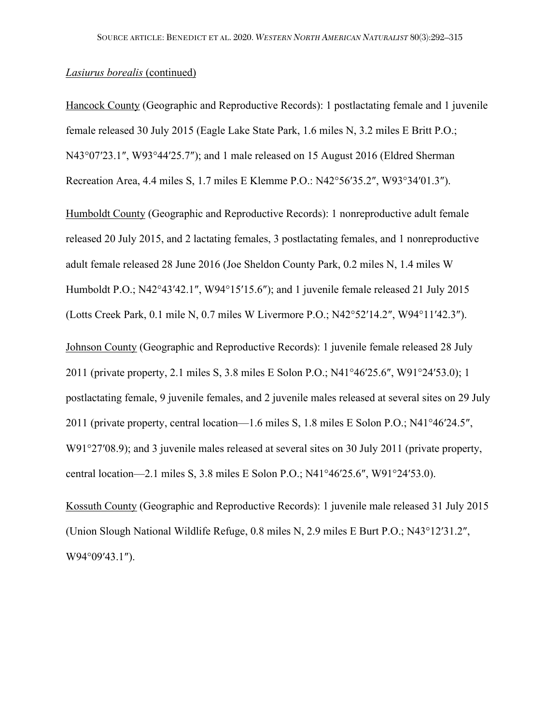Hancock County (Geographic and Reproductive Records): 1 postlactating female and 1 juvenile female released 30 July 2015 (Eagle Lake State Park, 1.6 miles N, 3.2 miles E Britt P.O.; N43°07′23.1″, W93°44′25.7″); and 1 male released on 15 August 2016 (Eldred Sherman Recreation Area, 4.4 miles S, 1.7 miles E Klemme P.O.: N42°56′35.2″, W93°34′01.3″).

Humboldt County (Geographic and Reproductive Records): 1 nonreproductive adult female released 20 July 2015, and 2 lactating females, 3 postlactating females, and 1 nonreproductive adult female released 28 June 2016 (Joe Sheldon County Park, 0.2 miles N, 1.4 miles W Humboldt P.O.; N42°43′42.1″, W94°15′15.6″); and 1 juvenile female released 21 July 2015 (Lotts Creek Park, 0.1 mile N, 0.7 miles W Livermore P.O.; N42°52′14.2″, W94°11′42.3″).

Johnson County (Geographic and Reproductive Records): 1 juvenile female released 28 July 2011 (private property, 2.1 miles S, 3.8 miles E Solon P.O.; N41°46′25.6″, W91°24′53.0); 1 postlactating female, 9 juvenile females, and 2 juvenile males released at several sites on 29 July 2011 (private property, central location—1.6 miles S, 1.8 miles E Solon P.O.; N41°46′24.5″, W91°27′08.9); and 3 juvenile males released at several sites on 30 July 2011 (private property, central location—2.1 miles S, 3.8 miles E Solon P.O.; N41°46′25.6″, W91°24′53.0).

Kossuth County (Geographic and Reproductive Records): 1 juvenile male released 31 July 2015 (Union Slough National Wildlife Refuge, 0.8 miles N, 2.9 miles E Burt P.O.; N43°12′31.2″, W94°09′43.1″).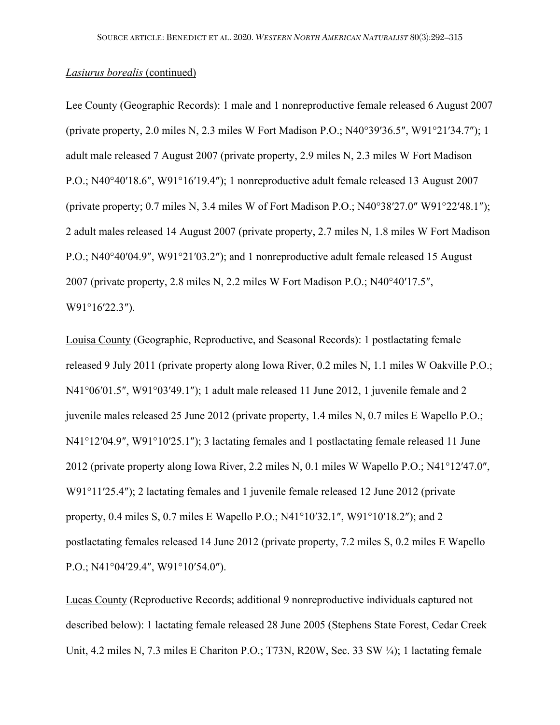Lee County (Geographic Records): 1 male and 1 nonreproductive female released 6 August 2007 (private property, 2.0 miles N, 2.3 miles W Fort Madison P.O.; N40°39′36.5″, W91°21′34.7″); 1 adult male released 7 August 2007 (private property, 2.9 miles N, 2.3 miles W Fort Madison P.O.; N40°40′18.6″, W91°16′19.4″); 1 nonreproductive adult female released 13 August 2007 (private property; 0.7 miles N, 3.4 miles W of Fort Madison P.O.; N40°38′27.0″ W91°22′48.1″); 2 adult males released 14 August 2007 (private property, 2.7 miles N, 1.8 miles W Fort Madison P.O.; N40°40′04.9″, W91°21′03.2″); and 1 nonreproductive adult female released 15 August 2007 (private property, 2.8 miles N, 2.2 miles W Fort Madison P.O.; N40°40′17.5″, W91°16′22.3″).

Louisa County (Geographic, Reproductive, and Seasonal Records): 1 postlactating female released 9 July 2011 (private property along Iowa River, 0.2 miles N, 1.1 miles W Oakville P.O.; N41°06′01.5″, W91°03′49.1″); 1 adult male released 11 June 2012, 1 juvenile female and 2 juvenile males released 25 June 2012 (private property, 1.4 miles N, 0.7 miles E Wapello P.O.; N41°12′04.9″, W91°10′25.1″); 3 lactating females and 1 postlactating female released 11 June 2012 (private property along Iowa River, 2.2 miles N, 0.1 miles W Wapello P.O.; N41°12′47.0″, W91°11′25.4″); 2 lactating females and 1 juvenile female released 12 June 2012 (private property, 0.4 miles S, 0.7 miles E Wapello P.O.; N41°10′32.1″, W91°10′18.2″); and 2 postlactating females released 14 June 2012 (private property, 7.2 miles S, 0.2 miles E Wapello P.O.; N41°04′29.4″, W91°10′54.0″).

Lucas County (Reproductive Records; additional 9 nonreproductive individuals captured not described below): 1 lactating female released 28 June 2005 (Stephens State Forest, Cedar Creek Unit, 4.2 miles N, 7.3 miles E Chariton P.O.; T73N, R20W, Sec. 33 SW ¼); 1 lactating female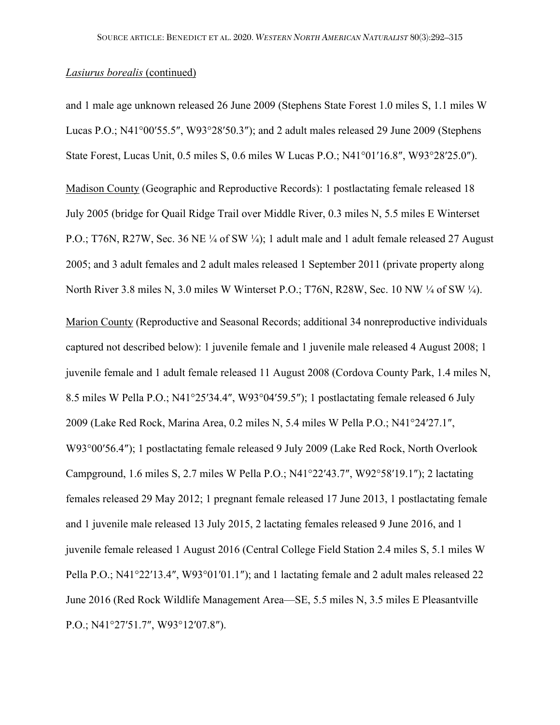and 1 male age unknown released 26 June 2009 (Stephens State Forest 1.0 miles S, 1.1 miles W Lucas P.O.; N41°00′55.5″, W93°28′50.3″); and 2 adult males released 29 June 2009 (Stephens State Forest, Lucas Unit, 0.5 miles S, 0.6 miles W Lucas P.O.; N41°01′16.8″, W93°28′25.0″).

Madison County (Geographic and Reproductive Records): 1 postlactating female released 18 July 2005 (bridge for Quail Ridge Trail over Middle River, 0.3 miles N, 5.5 miles E Winterset P.O.; T76N, R27W, Sec. 36 NE ¼ of SW ¼); 1 adult male and 1 adult female released 27 August 2005; and 3 adult females and 2 adult males released 1 September 2011 (private property along North River 3.8 miles N, 3.0 miles W Winterset P.O.; T76N, R28W, Sec. 10 NW ¼ of SW ¼).

Marion County (Reproductive and Seasonal Records; additional 34 nonreproductive individuals captured not described below): 1 juvenile female and 1 juvenile male released 4 August 2008; 1 juvenile female and 1 adult female released 11 August 2008 (Cordova County Park, 1.4 miles N, 8.5 miles W Pella P.O.; N41°25′34.4″, W93°04′59.5″); 1 postlactating female released 6 July 2009 (Lake Red Rock, Marina Area, 0.2 miles N, 5.4 miles W Pella P.O.; N41°24′27.1″, W93°00′56.4″); 1 postlactating female released 9 July 2009 (Lake Red Rock, North Overlook Campground, 1.6 miles S, 2.7 miles W Pella P.O.; N41°22′43.7″, W92°58′19.1″); 2 lactating females released 29 May 2012; 1 pregnant female released 17 June 2013, 1 postlactating female and 1 juvenile male released 13 July 2015, 2 lactating females released 9 June 2016, and 1 juvenile female released 1 August 2016 (Central College Field Station 2.4 miles S, 5.1 miles W Pella P.O.; N41°22′13.4″, W93°01′01.1″); and 1 lactating female and 2 adult males released 22 June 2016 (Red Rock Wildlife Management Area—SE, 5.5 miles N, 3.5 miles E Pleasantville P.O.; N41°27′51.7″, W93°12′07.8″).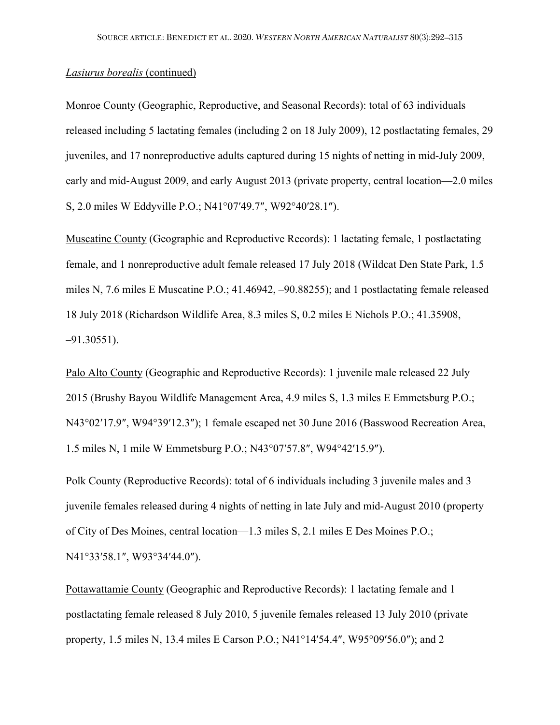Monroe County (Geographic, Reproductive, and Seasonal Records): total of 63 individuals released including 5 lactating females (including 2 on 18 July 2009), 12 postlactating females, 29 juveniles, and 17 nonreproductive adults captured during 15 nights of netting in mid-July 2009, early and mid-August 2009, and early August 2013 (private property, central location—2.0 miles S, 2.0 miles W Eddyville P.O.; N41°07′49.7″, W92°40′28.1″).

Muscatine County (Geographic and Reproductive Records): 1 lactating female, 1 postlactating female, and 1 nonreproductive adult female released 17 July 2018 (Wildcat Den State Park, 1.5 miles N, 7.6 miles E Muscatine P.O.; 41.46942, –90.88255); and 1 postlactating female released 18 July 2018 (Richardson Wildlife Area, 8.3 miles S, 0.2 miles E Nichols P.O.; 41.35908, –91.30551).

Palo Alto County (Geographic and Reproductive Records): 1 juvenile male released 22 July 2015 (Brushy Bayou Wildlife Management Area, 4.9 miles S, 1.3 miles E Emmetsburg P.O.; N43°02′17.9″, W94°39′12.3″); 1 female escaped net 30 June 2016 (Basswood Recreation Area, 1.5 miles N, 1 mile W Emmetsburg P.O.; N43°07′57.8″, W94°42′15.9″).

Polk County (Reproductive Records): total of 6 individuals including 3 juvenile males and 3 juvenile females released during 4 nights of netting in late July and mid-August 2010 (property of City of Des Moines, central location—1.3 miles S, 2.1 miles E Des Moines P.O.; N41°33′58.1″, W93°34′44.0″).

Pottawattamie County (Geographic and Reproductive Records): 1 lactating female and 1 postlactating female released 8 July 2010, 5 juvenile females released 13 July 2010 (private property, 1.5 miles N, 13.4 miles E Carson P.O.; N41°14′54.4″, W95°09′56.0″); and 2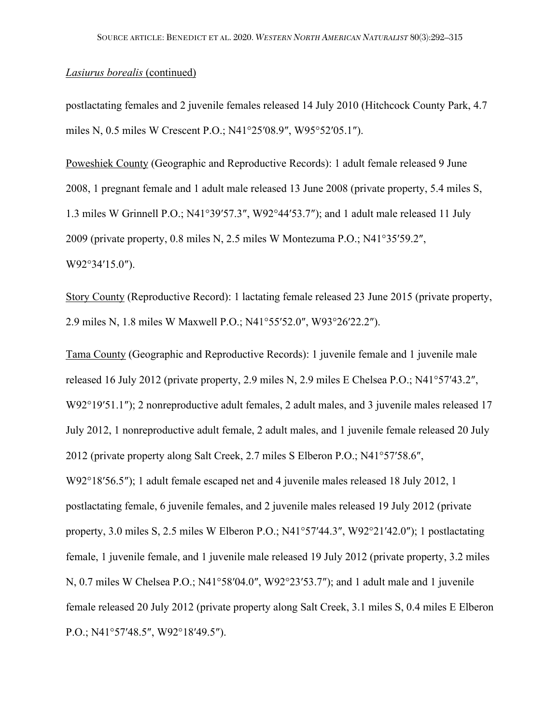postlactating females and 2 juvenile females released 14 July 2010 (Hitchcock County Park, 4.7 miles N, 0.5 miles W Crescent P.O.; N41°25′08.9″, W95°52′05.1″).

Poweshiek County (Geographic and Reproductive Records): 1 adult female released 9 June 2008, 1 pregnant female and 1 adult male released 13 June 2008 (private property, 5.4 miles S, 1.3 miles W Grinnell P.O.; N41°39′57.3″, W92°44′53.7″); and 1 adult male released 11 July 2009 (private property, 0.8 miles N, 2.5 miles W Montezuma P.O.; N41°35′59.2″, W92°34′15.0″).

Story County (Reproductive Record): 1 lactating female released 23 June 2015 (private property, 2.9 miles N, 1.8 miles W Maxwell P.O.; N41°55′52.0″, W93°26′22.2″).

Tama County (Geographic and Reproductive Records): 1 juvenile female and 1 juvenile male released 16 July 2012 (private property, 2.9 miles N, 2.9 miles E Chelsea P.O.; N41°57′43.2″, W92°19′51.1″); 2 nonreproductive adult females, 2 adult males, and 3 juvenile males released 17 July 2012, 1 nonreproductive adult female, 2 adult males, and 1 juvenile female released 20 July 2012 (private property along Salt Creek, 2.7 miles S Elberon P.O.; N41°57′58.6″, W92°18′56.5″); 1 adult female escaped net and 4 juvenile males released 18 July 2012, 1 postlactating female, 6 juvenile females, and 2 juvenile males released 19 July 2012 (private property, 3.0 miles S, 2.5 miles W Elberon P.O.; N41°57′44.3″, W92°21′42.0″); 1 postlactating female, 1 juvenile female, and 1 juvenile male released 19 July 2012 (private property, 3.2 miles N, 0.7 miles W Chelsea P.O.; N41°58′04.0″, W92°23′53.7″); and 1 adult male and 1 juvenile female released 20 July 2012 (private property along Salt Creek, 3.1 miles S, 0.4 miles E Elberon P.O.; N41°57′48.5″, W92°18′49.5″).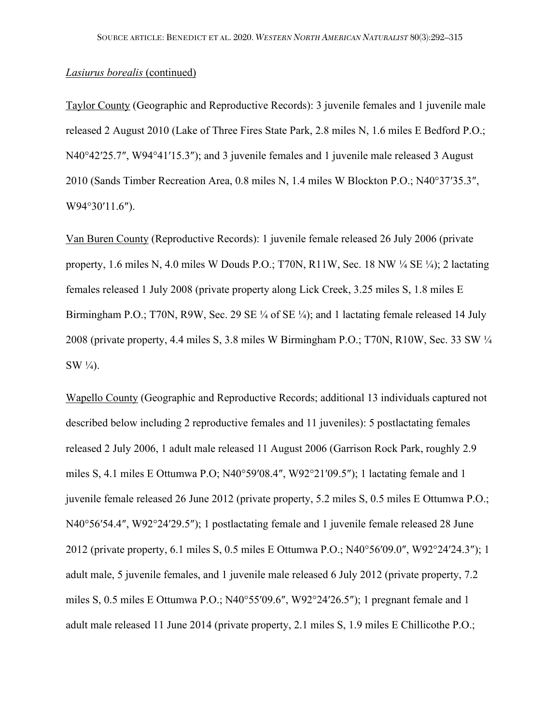Taylor County (Geographic and Reproductive Records): 3 juvenile females and 1 juvenile male released 2 August 2010 (Lake of Three Fires State Park, 2.8 miles N, 1.6 miles E Bedford P.O.; N40°42′25.7″, W94°41′15.3″); and 3 juvenile females and 1 juvenile male released 3 August 2010 (Sands Timber Recreation Area, 0.8 miles N, 1.4 miles W Blockton P.O.; N40°37′35.3″, W94°30′11.6″).

Van Buren County (Reproductive Records): 1 juvenile female released 26 July 2006 (private property, 1.6 miles N, 4.0 miles W Douds P.O.; T70N, R11W, Sec. 18 NW ¼ SE ¼); 2 lactating females released 1 July 2008 (private property along Lick Creek, 3.25 miles S, 1.8 miles E Birmingham P.O.; T70N, R9W, Sec. 29 SE ¼ of SE ¼); and 1 lactating female released 14 July 2008 (private property, 4.4 miles S, 3.8 miles W Birmingham P.O.; T70N, R10W, Sec. 33 SW ¼  $SW \frac{1}{4}$ .

Wapello County (Geographic and Reproductive Records; additional 13 individuals captured not described below including 2 reproductive females and 11 juveniles): 5 postlactating females released 2 July 2006, 1 adult male released 11 August 2006 (Garrison Rock Park, roughly 2.9 miles S, 4.1 miles E Ottumwa P.O; N40°59′08.4″, W92°21′09.5″); 1 lactating female and 1 juvenile female released 26 June 2012 (private property, 5.2 miles S, 0.5 miles E Ottumwa P.O.; N40°56′54.4″, W92°24′29.5″); 1 postlactating female and 1 juvenile female released 28 June 2012 (private property, 6.1 miles S, 0.5 miles E Ottumwa P.O.; N40°56′09.0″, W92°24′24.3″); 1 adult male, 5 juvenile females, and 1 juvenile male released 6 July 2012 (private property, 7.2 miles S, 0.5 miles E Ottumwa P.O.; N40°55′09.6″, W92°24′26.5″); 1 pregnant female and 1 adult male released 11 June 2014 (private property, 2.1 miles S, 1.9 miles E Chillicothe P.O.;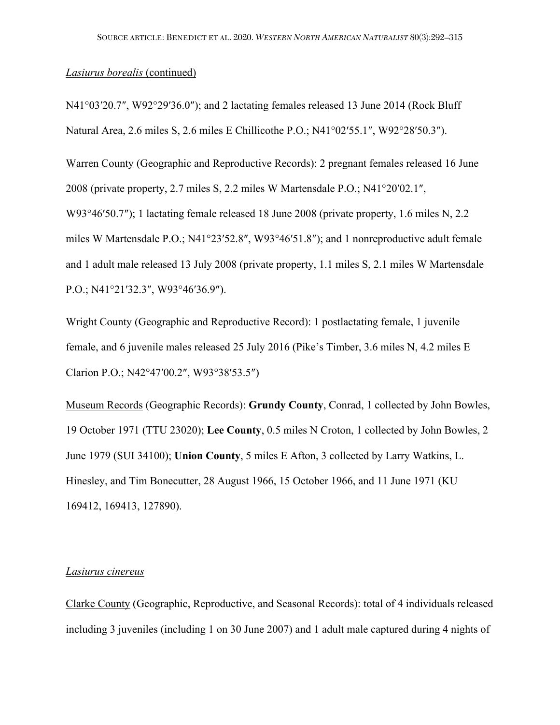N41°03′20.7″, W92°29′36.0″); and 2 lactating females released 13 June 2014 (Rock Bluff Natural Area, 2.6 miles S, 2.6 miles E Chillicothe P.O.; N41°02′55.1″, W92°28′50.3″).

Warren County (Geographic and Reproductive Records): 2 pregnant females released 16 June 2008 (private property, 2.7 miles S, 2.2 miles W Martensdale P.O.; N41°20′02.1″, W93°46′50.7″); 1 lactating female released 18 June 2008 (private property, 1.6 miles N, 2.2) miles W Martensdale P.O.; N41°23′52.8″, W93°46′51.8″); and 1 nonreproductive adult female and 1 adult male released 13 July 2008 (private property, 1.1 miles S, 2.1 miles W Martensdale P.O.; N41°21′32.3″, W93°46′36.9″).

Wright County (Geographic and Reproductive Record): 1 postlactating female, 1 juvenile female, and 6 juvenile males released 25 July 2016 (Pike's Timber, 3.6 miles N, 4.2 miles E Clarion P.O.; N42°47′00.2″, W93°38′53.5″)

Museum Records (Geographic Records): **Grundy County**, Conrad, 1 collected by John Bowles, 19 October 1971 (TTU 23020); **Lee County**, 0.5 miles N Croton, 1 collected by John Bowles, 2 June 1979 (SUI 34100); **Union County**, 5 miles E Afton, 3 collected by Larry Watkins, L. Hinesley, and Tim Bonecutter, 28 August 1966, 15 October 1966, and 11 June 1971 (KU 169412, 169413, 127890).

#### *Lasiurus cinereus*

Clarke County (Geographic, Reproductive, and Seasonal Records): total of 4 individuals released including 3 juveniles (including 1 on 30 June 2007) and 1 adult male captured during 4 nights of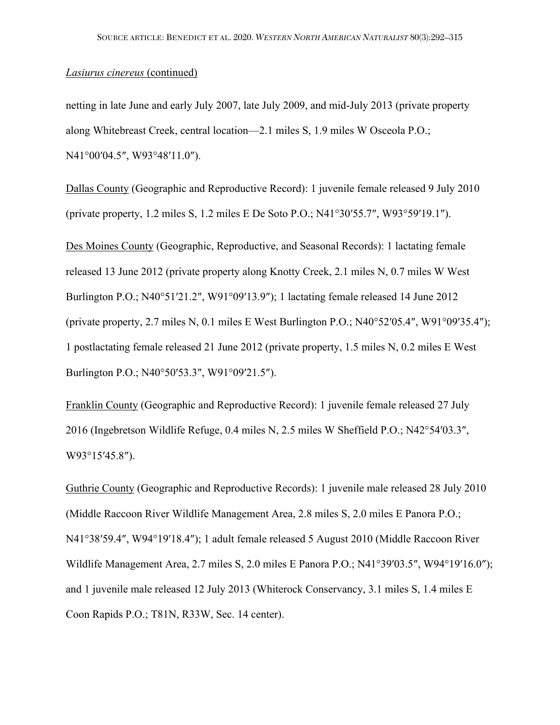### *Lasiurus cinereus* (continued)

netting in late June and early July 2007, late July 2009, and mid-July 2013 (private property along Whitebreast Creek, central location—2.1 miles S, 1.9 miles W Osceola P.O.; N41°00′04.5″, W93°48′11.0″).

Dallas County (Geographic and Reproductive Record): 1 juvenile female released 9 July 2010 (private property, 1.2 miles S, 1.2 miles E De Soto P.O.; N41°30′55.7″, W93°59′19.1″).

Des Moines County (Geographic, Reproductive, and Seasonal Records): 1 lactating female released 13 June 2012 (private property along Knotty Creek, 2.1 miles N, 0.7 miles W West Burlington P.O.; N40°51′21.2″, W91°09′13.9″); 1 lactating female released 14 June 2012 (private property, 2.7 miles N, 0.1 miles E West Burlington P.O.; N40°52′05.4″, W91°09′35.4″); 1 postlactating female released 21 June 2012 (private property, 1.5 miles N, 0.2 miles E West Burlington P.O.; N40°50′53.3″, W91°09′21.5″).

Franklin County (Geographic and Reproductive Record): 1 juvenile female released 27 July 2016 (Ingebretson Wildlife Refuge, 0.4 miles N, 2.5 miles W Sheffield P.O.; N42°54′03.3″, W93°15′45.8″).

Guthrie County (Geographic and Reproductive Records): 1 juvenile male released 28 July 2010 (Middle Raccoon River Wildlife Management Area, 2.8 miles S, 2.0 miles E Panora P.O.; N41°38′59.4″, W94°19′18.4″); 1 adult female released 5 August 2010 (Middle Raccoon River Wildlife Management Area, 2.7 miles S, 2.0 miles E Panora P.O.; N41°39′03.5″, W94°19′16.0″); and 1 juvenile male released 12 July 2013 (Whiterock Conservancy, 3.1 miles S, 1.4 miles E Coon Rapids P.O.; T81N, R33W, Sec. 14 center).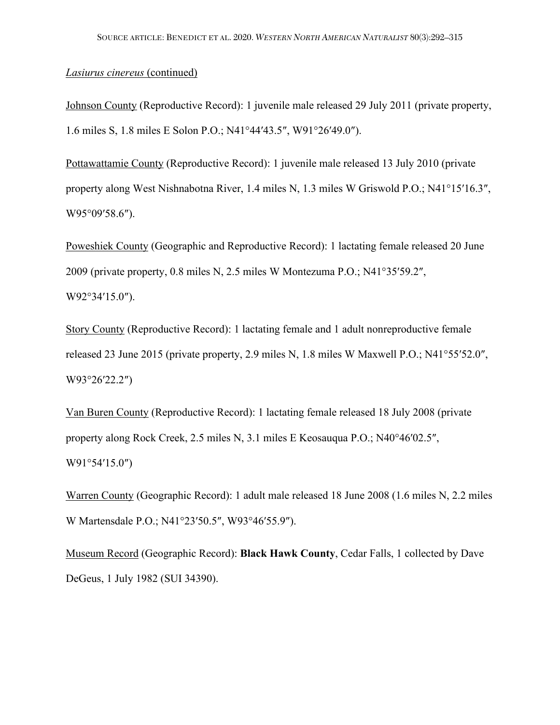### *Lasiurus cinereus* (continued)

Johnson County (Reproductive Record): 1 juvenile male released 29 July 2011 (private property, 1.6 miles S, 1.8 miles E Solon P.O.; N41°44′43.5″, W91°26′49.0″).

Pottawattamie County (Reproductive Record): 1 juvenile male released 13 July 2010 (private property along West Nishnabotna River, 1.4 miles N, 1.3 miles W Griswold P.O.; N41°15′16.3″, W95°09′58.6″).

Poweshiek County (Geographic and Reproductive Record): 1 lactating female released 20 June 2009 (private property, 0.8 miles N, 2.5 miles W Montezuma P.O.; N41°35′59.2″, W92°34′15.0″).

Story County (Reproductive Record): 1 lactating female and 1 adult nonreproductive female released 23 June 2015 (private property, 2.9 miles N, 1.8 miles W Maxwell P.O.; N41°55′52.0″, W93°26′22.2″)

Van Buren County (Reproductive Record): 1 lactating female released 18 July 2008 (private property along Rock Creek, 2.5 miles N, 3.1 miles E Keosauqua P.O.; N40°46′02.5″, W91°54′15.0″)

Warren County (Geographic Record): 1 adult male released 18 June 2008 (1.6 miles N, 2.2 miles W Martensdale P.O.; N41°23′50.5″, W93°46′55.9″).

Museum Record (Geographic Record): **Black Hawk County**, Cedar Falls, 1 collected by Dave DeGeus, 1 July 1982 (SUI 34390).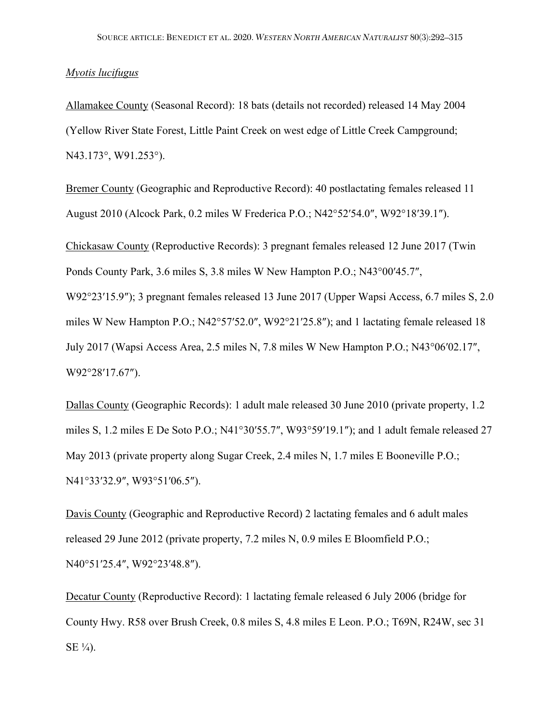### *Myotis lucifugus*

Allamakee County (Seasonal Record): 18 bats (details not recorded) released 14 May 2004 (Yellow River State Forest, Little Paint Creek on west edge of Little Creek Campground; N43.173°, W91.253°).

Bremer County (Geographic and Reproductive Record): 40 postlactating females released 11 August 2010 (Alcock Park, 0.2 miles W Frederica P.O.; N42°52′54.0″, W92°18′39.1″).

Chickasaw County (Reproductive Records): 3 pregnant females released 12 June 2017 (Twin Ponds County Park, 3.6 miles S, 3.8 miles W New Hampton P.O.; N43°00′45.7″, W92°23′15.9″); 3 pregnant females released 13 June 2017 (Upper Wapsi Access, 6.7 miles S, 2.0 miles W New Hampton P.O.; N42°57′52.0″, W92°21′25.8″); and 1 lactating female released 18 July 2017 (Wapsi Access Area, 2.5 miles N, 7.8 miles W New Hampton P.O.; N43°06′02.17″, W92°28′17.67″).

Dallas County (Geographic Records): 1 adult male released 30 June 2010 (private property, 1.2 miles S, 1.2 miles E De Soto P.O.; N41°30′55.7″, W93°59′19.1″); and 1 adult female released 27 May 2013 (private property along Sugar Creek, 2.4 miles N, 1.7 miles E Booneville P.O.; N41°33′32.9″, W93°51′06.5″).

Davis County (Geographic and Reproductive Record) 2 lactating females and 6 adult males released 29 June 2012 (private property, 7.2 miles N, 0.9 miles E Bloomfield P.O.; N40°51'25.4", W92°23'48.8").

Decatur County (Reproductive Record): 1 lactating female released 6 July 2006 (bridge for County Hwy. R58 over Brush Creek, 0.8 miles S, 4.8 miles E Leon. P.O.; T69N, R24W, sec 31  $SE \frac{1}{4}$ .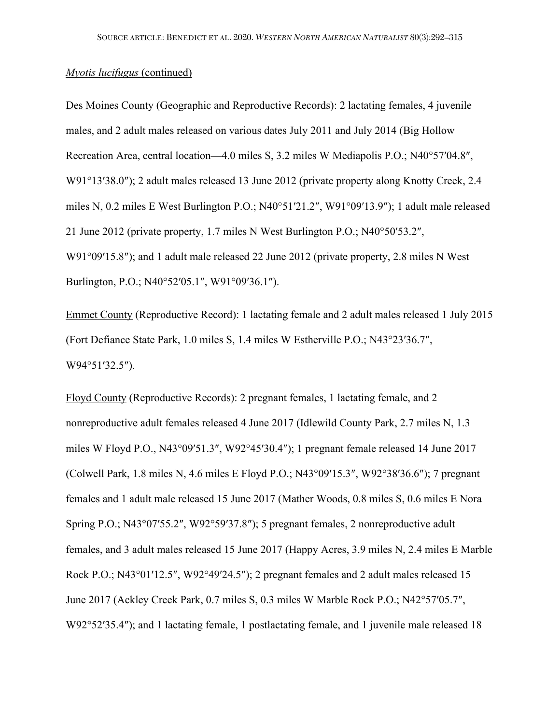Des Moines County (Geographic and Reproductive Records): 2 lactating females, 4 juvenile males, and 2 adult males released on various dates July 2011 and July 2014 (Big Hollow Recreation Area, central location—4.0 miles S, 3.2 miles W Mediapolis P.O.; N40°57′04.8″, W91°13′38.0"); 2 adult males released 13 June 2012 (private property along Knotty Creek, 2.4 miles N, 0.2 miles E West Burlington P.O.; N40°51′21.2″, W91°09′13.9″); 1 adult male released 21 June 2012 (private property, 1.7 miles N West Burlington P.O.; N40°50′53.2″, W91°09′15.8″); and 1 adult male released 22 June 2012 (private property, 2.8 miles N West Burlington, P.O.; N40°52′05.1″, W91°09′36.1″).

Emmet County (Reproductive Record): 1 lactating female and 2 adult males released 1 July 2015 (Fort Defiance State Park, 1.0 miles S, 1.4 miles W Estherville P.O.; N43°23′36.7″, W94°51′32.5″).

Floyd County (Reproductive Records): 2 pregnant females, 1 lactating female, and 2 nonreproductive adult females released 4 June 2017 (Idlewild County Park, 2.7 miles N, 1.3 miles W Floyd P.O., N43°09′51.3″, W92°45′30.4″); 1 pregnant female released 14 June 2017 (Colwell Park, 1.8 miles N, 4.6 miles E Floyd P.O.; N43°09′15.3″, W92°38′36.6″); 7 pregnant females and 1 adult male released 15 June 2017 (Mather Woods, 0.8 miles S, 0.6 miles E Nora Spring P.O.; N43°07′55.2″, W92°59′37.8″); 5 pregnant females, 2 nonreproductive adult females, and 3 adult males released 15 June 2017 (Happy Acres, 3.9 miles N, 2.4 miles E Marble Rock P.O.; N43°01′12.5″, W92°49′24.5″); 2 pregnant females and 2 adult males released 15 June 2017 (Ackley Creek Park, 0.7 miles S, 0.3 miles W Marble Rock P.O.; N42°57′05.7″, W92°52′35.4″); and 1 lactating female, 1 postlactating female, and 1 juvenile male released 18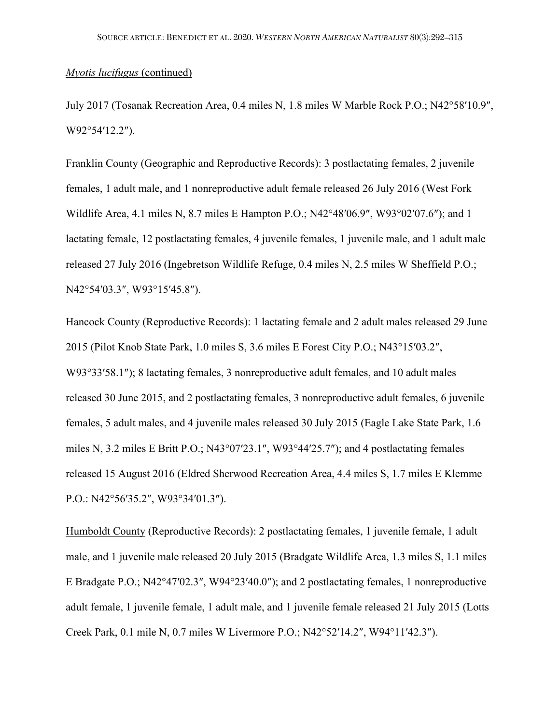July 2017 (Tosanak Recreation Area, 0.4 miles N, 1.8 miles W Marble Rock P.O.; N42°58′10.9″, W92°54′12.2″).

Franklin County (Geographic and Reproductive Records): 3 postlactating females, 2 juvenile females, 1 adult male, and 1 nonreproductive adult female released 26 July 2016 (West Fork Wildlife Area, 4.1 miles N, 8.7 miles E Hampton P.O.; N42°48′06.9″, W93°02′07.6″); and 1 lactating female, 12 postlactating females, 4 juvenile females, 1 juvenile male, and 1 adult male released 27 July 2016 (Ingebretson Wildlife Refuge, 0.4 miles N, 2.5 miles W Sheffield P.O.; N42°54′03.3″, W93°15′45.8″).

Hancock County (Reproductive Records): 1 lactating female and 2 adult males released 29 June 2015 (Pilot Knob State Park, 1.0 miles S, 3.6 miles E Forest City P.O.; N43°15′03.2″, W93°33′58.1″); 8 lactating females, 3 nonreproductive adult females, and 10 adult males released 30 June 2015, and 2 postlactating females, 3 nonreproductive adult females, 6 juvenile females, 5 adult males, and 4 juvenile males released 30 July 2015 (Eagle Lake State Park, 1.6 miles N, 3.2 miles E Britt P.O.; N43°07′23.1″, W93°44′25.7″); and 4 postlactating females released 15 August 2016 (Eldred Sherwood Recreation Area, 4.4 miles S, 1.7 miles E Klemme P.O.: N42°56′35.2″, W93°34′01.3″).

Humboldt County (Reproductive Records): 2 postlactating females, 1 juvenile female, 1 adult male, and 1 juvenile male released 20 July 2015 (Bradgate Wildlife Area, 1.3 miles S, 1.1 miles E Bradgate P.O.; N42°47′02.3″, W94°23′40.0″); and 2 postlactating females, 1 nonreproductive adult female, 1 juvenile female, 1 adult male, and 1 juvenile female released 21 July 2015 (Lotts Creek Park, 0.1 mile N, 0.7 miles W Livermore P.O.; N42°52′14.2″, W94°11′42.3″).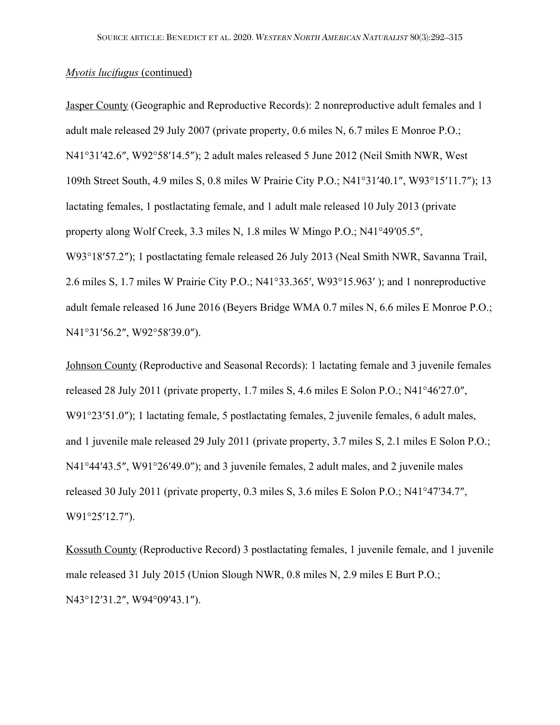Jasper County (Geographic and Reproductive Records): 2 nonreproductive adult females and 1 adult male released 29 July 2007 (private property, 0.6 miles N, 6.7 miles E Monroe P.O.; N41°31′42.6″, W92°58′14.5″); 2 adult males released 5 June 2012 (Neil Smith NWR, West 109th Street South, 4.9 miles S, 0.8 miles W Prairie City P.O.; N41°31′40.1″, W93°15′11.7″); 13 lactating females, 1 postlactating female, and 1 adult male released 10 July 2013 (private property along Wolf Creek, 3.3 miles N, 1.8 miles W Mingo P.O.; N41°49′05.5″, W93°18′57.2″); 1 postlactating female released 26 July 2013 (Neal Smith NWR, Savanna Trail, 2.6 miles S, 1.7 miles W Prairie City P.O.; N41°33.365′, W93°15.963′ ); and 1 nonreproductive adult female released 16 June 2016 (Beyers Bridge WMA 0.7 miles N, 6.6 miles E Monroe P.O.; N41°31′56.2″, W92°58′39.0″).

Johnson County (Reproductive and Seasonal Records): 1 lactating female and 3 juvenile females released 28 July 2011 (private property, 1.7 miles S, 4.6 miles E Solon P.O.; N41°46′27.0″, W91°23′51.0″); 1 lactating female, 5 postlactating females, 2 juvenile females, 6 adult males, and 1 juvenile male released 29 July 2011 (private property, 3.7 miles S, 2.1 miles E Solon P.O.; N41°44′43.5″, W91°26′49.0″); and 3 juvenile females, 2 adult males, and 2 juvenile males released 30 July 2011 (private property, 0.3 miles S, 3.6 miles E Solon P.O.; N41°47′34.7″, W91°25′12.7″).

Kossuth County (Reproductive Record) 3 postlactating females, 1 juvenile female, and 1 juvenile male released 31 July 2015 (Union Slough NWR, 0.8 miles N, 2.9 miles E Burt P.O.; N43°12′31.2″, W94°09′43.1″).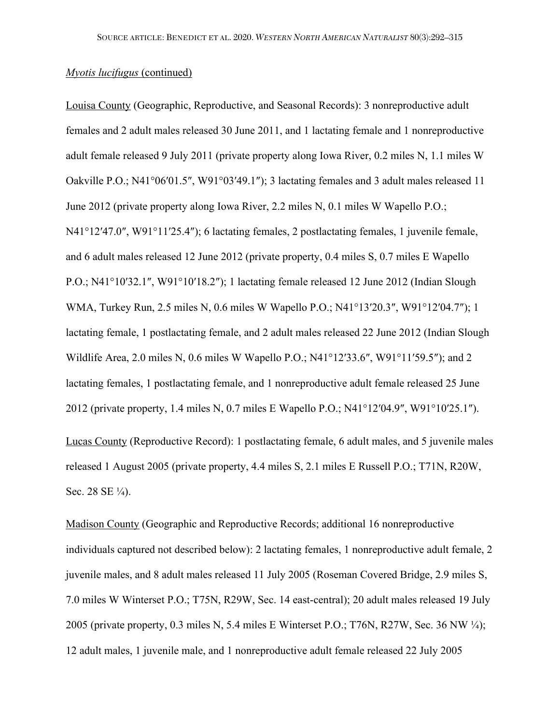Louisa County (Geographic, Reproductive, and Seasonal Records): 3 nonreproductive adult females and 2 adult males released 30 June 2011, and 1 lactating female and 1 nonreproductive adult female released 9 July 2011 (private property along Iowa River, 0.2 miles N, 1.1 miles W Oakville P.O.; N41°06′01.5″, W91°03′49.1″); 3 lactating females and 3 adult males released 11 June 2012 (private property along Iowa River, 2.2 miles N, 0.1 miles W Wapello P.O.; N41°12′47.0″, W91°11′25.4″); 6 lactating females, 2 postlactating females, 1 juvenile female, and 6 adult males released 12 June 2012 (private property, 0.4 miles S, 0.7 miles E Wapello P.O.; N41°10′32.1″, W91°10′18.2″); 1 lactating female released 12 June 2012 (Indian Slough WMA, Turkey Run, 2.5 miles N, 0.6 miles W Wapello P.O.; N41°13′20.3″, W91°12′04.7″); 1 lactating female, 1 postlactating female, and 2 adult males released 22 June 2012 (Indian Slough Wildlife Area, 2.0 miles N, 0.6 miles W Wapello P.O.; N41°12′33.6″, W91°11′59.5″); and 2 lactating females, 1 postlactating female, and 1 nonreproductive adult female released 25 June 2012 (private property, 1.4 miles N, 0.7 miles E Wapello P.O.; N41°12′04.9″, W91°10′25.1″).

Lucas County (Reproductive Record): 1 postlactating female, 6 adult males, and 5 juvenile males released 1 August 2005 (private property, 4.4 miles S, 2.1 miles E Russell P.O.; T71N, R20W, Sec. 28 SE ½).

Madison County (Geographic and Reproductive Records; additional 16 nonreproductive individuals captured not described below): 2 lactating females, 1 nonreproductive adult female, 2 juvenile males, and 8 adult males released 11 July 2005 (Roseman Covered Bridge, 2.9 miles S, 7.0 miles W Winterset P.O.; T75N, R29W, Sec. 14 east-central); 20 adult males released 19 July 2005 (private property, 0.3 miles N, 5.4 miles E Winterset P.O.; T76N, R27W, Sec. 36 NW ¼); 12 adult males, 1 juvenile male, and 1 nonreproductive adult female released 22 July 2005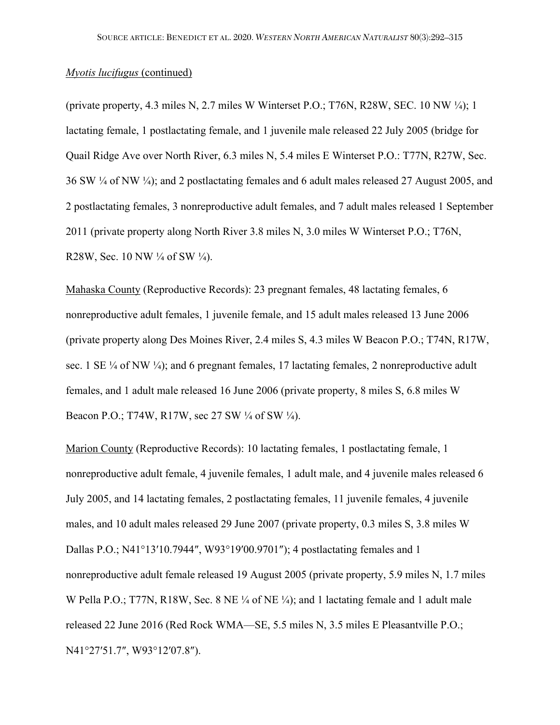(private property, 4.3 miles N, 2.7 miles W Winterset P.O.; T76N, R28W, SEC. 10 NW  $\frac{1}{4}$ ); 1 lactating female, 1 postlactating female, and 1 juvenile male released 22 July 2005 (bridge for Quail Ridge Ave over North River, 6.3 miles N, 5.4 miles E Winterset P.O.: T77N, R27W, Sec. 36 SW ¼ of NW ¼); and 2 postlactating females and 6 adult males released 27 August 2005, and 2 postlactating females, 3 nonreproductive adult females, and 7 adult males released 1 September 2011 (private property along North River 3.8 miles N, 3.0 miles W Winterset P.O.; T76N, R28W, Sec. 10 NW ¼ of SW ¼).

Mahaska County (Reproductive Records): 23 pregnant females, 48 lactating females, 6 nonreproductive adult females, 1 juvenile female, and 15 adult males released 13 June 2006 (private property along Des Moines River, 2.4 miles S, 4.3 miles W Beacon P.O.; T74N, R17W, sec. 1 SE  $\frac{1}{4}$  of NW  $\frac{1}{4}$ ; and 6 pregnant females, 17 lactating females, 2 nonreproductive adult females, and 1 adult male released 16 June 2006 (private property, 8 miles S, 6.8 miles W Beacon P.O.; T74W, R17W, sec 27 SW ¼ of SW ¼).

Marion County (Reproductive Records): 10 lactating females, 1 postlactating female, 1 nonreproductive adult female, 4 juvenile females, 1 adult male, and 4 juvenile males released 6 July 2005, and 14 lactating females, 2 postlactating females, 11 juvenile females, 4 juvenile males, and 10 adult males released 29 June 2007 (private property, 0.3 miles S, 3.8 miles W Dallas P.O.; N41°13′10.7944″, W93°19′00.9701″); 4 postlactating females and 1 nonreproductive adult female released 19 August 2005 (private property, 5.9 miles N, 1.7 miles W Pella P.O.; T77N, R18W, Sec. 8 NE ¼ of NE ¼); and 1 lactating female and 1 adult male released 22 June 2016 (Red Rock WMA—SE, 5.5 miles N, 3.5 miles E Pleasantville P.O.; N41°27′51.7″, W93°12′07.8″).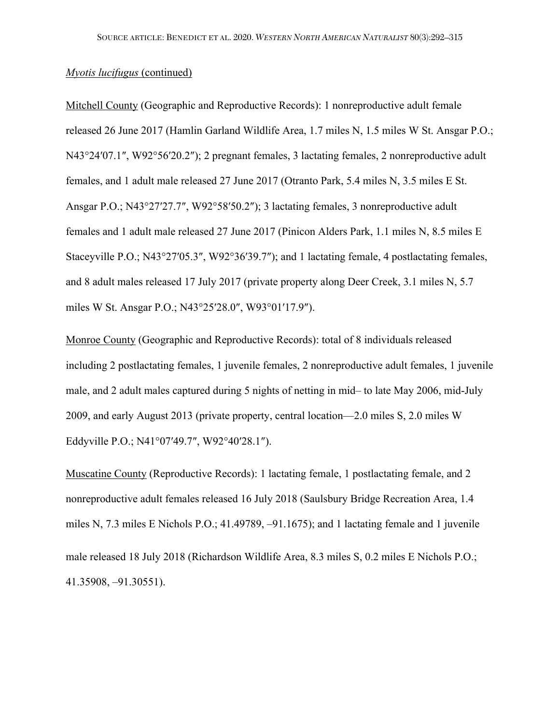Mitchell County (Geographic and Reproductive Records): 1 nonreproductive adult female released 26 June 2017 (Hamlin Garland Wildlife Area, 1.7 miles N, 1.5 miles W St. Ansgar P.O.; N43°24′07.1″, W92°56′20.2″); 2 pregnant females, 3 lactating females, 2 nonreproductive adult females, and 1 adult male released 27 June 2017 (Otranto Park, 5.4 miles N, 3.5 miles E St. Ansgar P.O.; N43°27′27.7″, W92°58′50.2″); 3 lactating females, 3 nonreproductive adult females and 1 adult male released 27 June 2017 (Pinicon Alders Park, 1.1 miles N, 8.5 miles E Staceyville P.O.; N43°27′05.3″, W92°36′39.7″); and 1 lactating female, 4 postlactating females, and 8 adult males released 17 July 2017 (private property along Deer Creek, 3.1 miles N, 5.7 miles W St. Ansgar P.O.; N43°25′28.0″, W93°01′17.9″).

Monroe County (Geographic and Reproductive Records): total of 8 individuals released including 2 postlactating females, 1 juvenile females, 2 nonreproductive adult females, 1 juvenile male, and 2 adult males captured during 5 nights of netting in mid– to late May 2006, mid-July 2009, and early August 2013 (private property, central location—2.0 miles S, 2.0 miles W Eddyville P.O.; N41°07′49.7″, W92°40′28.1″).

Muscatine County (Reproductive Records): 1 lactating female, 1 postlactating female, and 2 nonreproductive adult females released 16 July 2018 (Saulsbury Bridge Recreation Area, 1.4 miles N, 7.3 miles E Nichols P.O.; 41.49789, –91.1675); and 1 lactating female and 1 juvenile male released 18 July 2018 (Richardson Wildlife Area, 8.3 miles S, 0.2 miles E Nichols P.O.; 41.35908, –91.30551).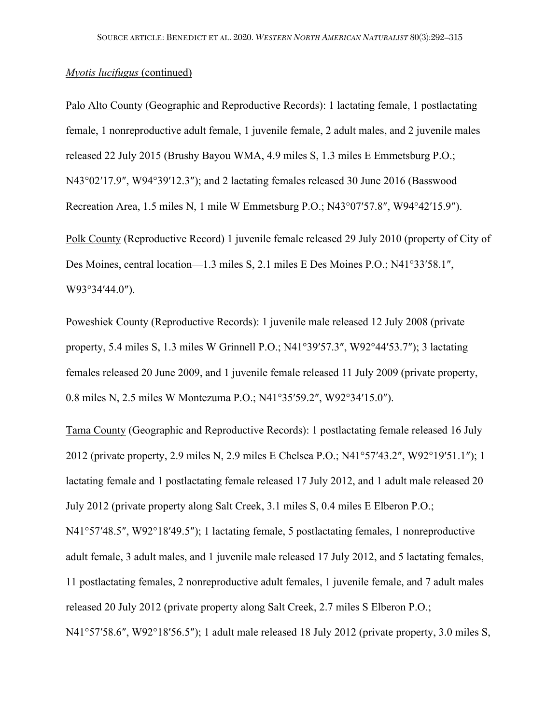Palo Alto County (Geographic and Reproductive Records): 1 lactating female, 1 postlactating female, 1 nonreproductive adult female, 1 juvenile female, 2 adult males, and 2 juvenile males released 22 July 2015 (Brushy Bayou WMA, 4.9 miles S, 1.3 miles E Emmetsburg P.O.; N43°02′17.9″, W94°39′12.3″); and 2 lactating females released 30 June 2016 (Basswood Recreation Area, 1.5 miles N, 1 mile W Emmetsburg P.O.; N43°07′57.8″, W94°42′15.9″).

Polk County (Reproductive Record) 1 juvenile female released 29 July 2010 (property of City of Des Moines, central location—1.3 miles S, 2.1 miles E Des Moines P.O.; N41°33′58.1″, W93°34′44.0″).

Poweshiek County (Reproductive Records): 1 juvenile male released 12 July 2008 (private property, 5.4 miles S, 1.3 miles W Grinnell P.O.; N41°39′57.3″, W92°44′53.7″); 3 lactating females released 20 June 2009, and 1 juvenile female released 11 July 2009 (private property, 0.8 miles N, 2.5 miles W Montezuma P.O.; N41°35′59.2″, W92°34′15.0″).

Tama County (Geographic and Reproductive Records): 1 postlactating female released 16 July 2012 (private property, 2.9 miles N, 2.9 miles E Chelsea P.O.; N41°57′43.2″, W92°19′51.1″); 1 lactating female and 1 postlactating female released 17 July 2012, and 1 adult male released 20 July 2012 (private property along Salt Creek, 3.1 miles S, 0.4 miles E Elberon P.O.; N41°57′48.5″, W92°18′49.5″); 1 lactating female, 5 postlactating females, 1 nonreproductive adult female, 3 adult males, and 1 juvenile male released 17 July 2012, and 5 lactating females, 11 postlactating females, 2 nonreproductive adult females, 1 juvenile female, and 7 adult males released 20 July 2012 (private property along Salt Creek, 2.7 miles S Elberon P.O.; N41°57′58.6″, W92°18′56.5″); 1 adult male released 18 July 2012 (private property, 3.0 miles S,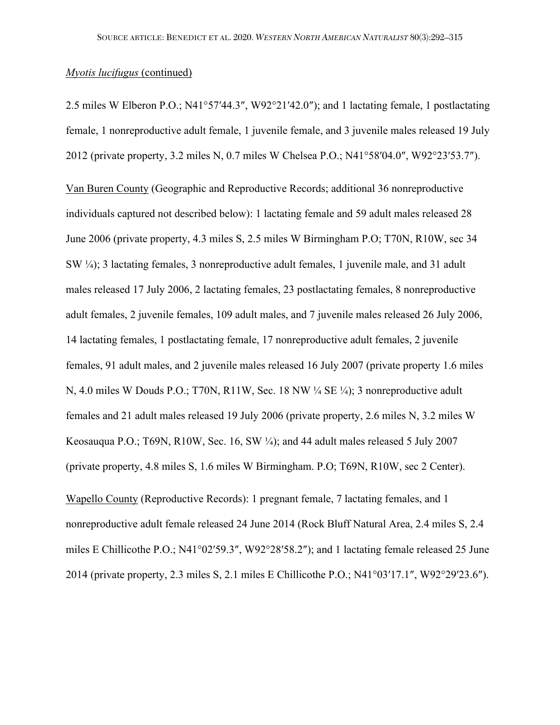2.5 miles W Elberon P.O.; N41°57′44.3″, W92°21′42.0″); and 1 lactating female, 1 postlactating female, 1 nonreproductive adult female, 1 juvenile female, and 3 juvenile males released 19 July 2012 (private property, 3.2 miles N, 0.7 miles W Chelsea P.O.; N41°58′04.0″, W92°23′53.7″).

Van Buren County (Geographic and Reproductive Records; additional 36 nonreproductive individuals captured not described below): 1 lactating female and 59 adult males released 28 June 2006 (private property, 4.3 miles S, 2.5 miles W Birmingham P.O; T70N, R10W, sec 34 SW ¼); 3 lactating females, 3 nonreproductive adult females, 1 juvenile male, and 31 adult males released 17 July 2006, 2 lactating females, 23 postlactating females, 8 nonreproductive adult females, 2 juvenile females, 109 adult males, and 7 juvenile males released 26 July 2006, 14 lactating females, 1 postlactating female, 17 nonreproductive adult females, 2 juvenile females, 91 adult males, and 2 juvenile males released 16 July 2007 (private property 1.6 miles N, 4.0 miles W Douds P.O.; T70N, R11W, Sec. 18 NW ¼ SE ¼); 3 nonreproductive adult females and 21 adult males released 19 July 2006 (private property, 2.6 miles N, 3.2 miles W Keosauqua P.O.; T69N, R10W, Sec. 16, SW ¼); and 44 adult males released 5 July 2007 (private property, 4.8 miles S, 1.6 miles W Birmingham. P.O; T69N, R10W, sec 2 Center).

Wapello County (Reproductive Records): 1 pregnant female, 7 lactating females, and 1 nonreproductive adult female released 24 June 2014 (Rock Bluff Natural Area, 2.4 miles S, 2.4 miles E Chillicothe P.O.; N41°02′59.3″, W92°28′58.2″); and 1 lactating female released 25 June 2014 (private property, 2.3 miles S, 2.1 miles E Chillicothe P.O.; N41°03′17.1″, W92°29′23.6″).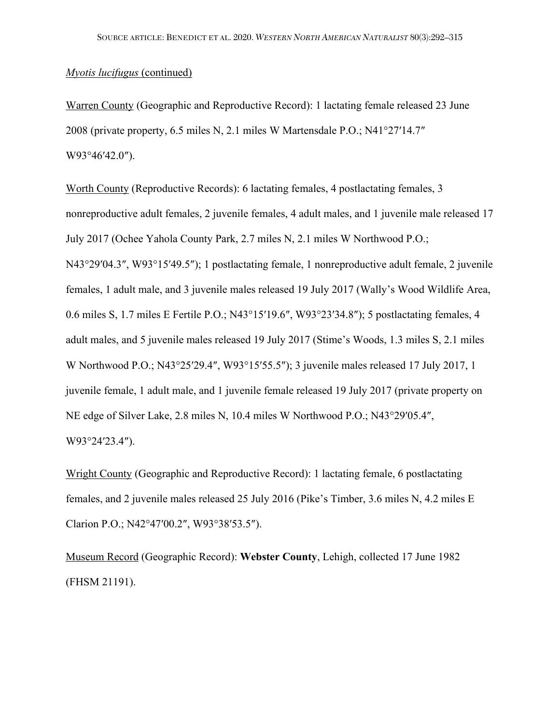Warren County (Geographic and Reproductive Record): 1 lactating female released 23 June 2008 (private property, 6.5 miles N, 2.1 miles W Martensdale P.O.; N41°27′14.7″ W93°46′42.0″).

Worth County (Reproductive Records): 6 lactating females, 4 postlactating females, 3 nonreproductive adult females, 2 juvenile females, 4 adult males, and 1 juvenile male released 17 July 2017 (Ochee Yahola County Park, 2.7 miles N, 2.1 miles W Northwood P.O.; N43°29′04.3″, W93°15′49.5″); 1 postlactating female, 1 nonreproductive adult female, 2 juvenile females, 1 adult male, and 3 juvenile males released 19 July 2017 (Wally's Wood Wildlife Area, 0.6 miles S, 1.7 miles E Fertile P.O.; N43°15′19.6″, W93°23′34.8″); 5 postlactating females, 4 adult males, and 5 juvenile males released 19 July 2017 (Stime's Woods, 1.3 miles S, 2.1 miles W Northwood P.O.; N43°25′29.4″, W93°15′55.5″); 3 juvenile males released 17 July 2017, 1 juvenile female, 1 adult male, and 1 juvenile female released 19 July 2017 (private property on NE edge of Silver Lake, 2.8 miles N, 10.4 miles W Northwood P.O.; N43°29′05.4″, W93°24′23.4″).

Wright County (Geographic and Reproductive Record): 1 lactating female, 6 postlactating females, and 2 juvenile males released 25 July 2016 (Pike's Timber, 3.6 miles N, 4.2 miles E Clarion P.O.; N42°47′00.2″, W93°38′53.5″).

Museum Record (Geographic Record): **Webster County**, Lehigh, collected 17 June 1982 (FHSM 21191).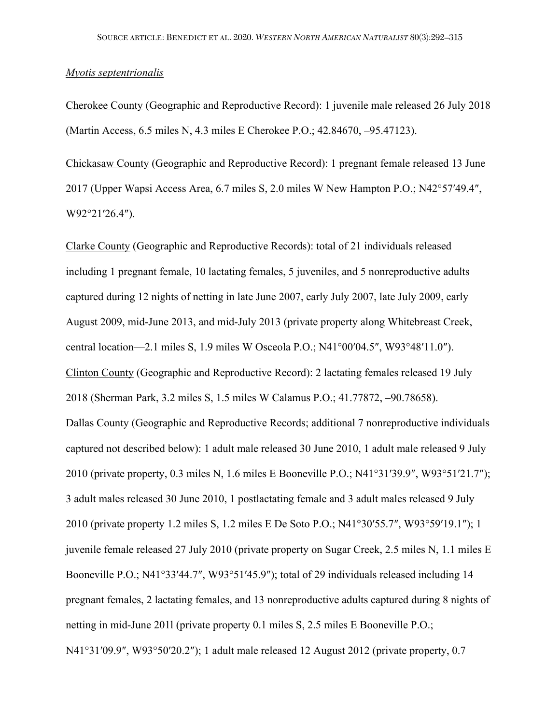### *Myotis septentrionalis*

Cherokee County (Geographic and Reproductive Record): 1 juvenile male released 26 July 2018 (Martin Access, 6.5 miles N, 4.3 miles E Cherokee P.O.; 42.84670, –95.47123).

Chickasaw County (Geographic and Reproductive Record): 1 pregnant female released 13 June 2017 (Upper Wapsi Access Area, 6.7 miles S, 2.0 miles W New Hampton P.O.; N42°57′49.4″, W92°21′26.4″).

Clarke County (Geographic and Reproductive Records): total of 21 individuals released including 1 pregnant female, 10 lactating females, 5 juveniles, and 5 nonreproductive adults captured during 12 nights of netting in late June 2007, early July 2007, late July 2009, early August 2009, mid-June 2013, and mid-July 2013 (private property along Whitebreast Creek, central location—2.1 miles S, 1.9 miles W Osceola P.O.; N41°00′04.5″, W93°48′11.0″). Clinton County (Geographic and Reproductive Record): 2 lactating females released 19 July 2018 (Sherman Park, 3.2 miles S, 1.5 miles W Calamus P.O.; 41.77872, –90.78658). Dallas County (Geographic and Reproductive Records; additional 7 nonreproductive individuals captured not described below): 1 adult male released 30 June 2010, 1 adult male released 9 July 2010 (private property, 0.3 miles N, 1.6 miles E Booneville P.O.; N41°31′39.9″, W93°51′21.7″); 3 adult males released 30 June 2010, 1 postlactating female and 3 adult males released 9 July 2010 (private property 1.2 miles S, 1.2 miles E De Soto P.O.; N41°30′55.7″, W93°59′19.1″); 1 juvenile female released 27 July 2010 (private property on Sugar Creek, 2.5 miles N, 1.1 miles E Booneville P.O.; N41°33′44.7″, W93°51′45.9″); total of 29 individuals released including 14 pregnant females, 2 lactating females, and 13 nonreproductive adults captured during 8 nights of netting in mid-June 201l (private property 0.1 miles S, 2.5 miles E Booneville P.O.; N41°31′09.9″, W93°50′20.2″); 1 adult male released 12 August 2012 (private property, 0.7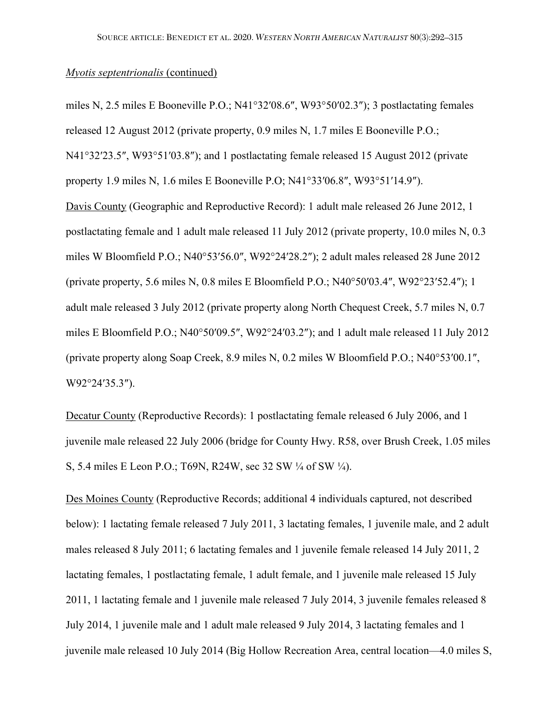miles N, 2.5 miles E Booneville P.O.; N41°32′08.6″, W93°50′02.3″); 3 postlactating females released 12 August 2012 (private property, 0.9 miles N, 1.7 miles E Booneville P.O.; N41°32′23.5″, W93°51′03.8″); and 1 postlactating female released 15 August 2012 (private property 1.9 miles N, 1.6 miles E Booneville P.O; N41°33′06.8″, W93°51′14.9″). Davis County (Geographic and Reproductive Record): 1 adult male released 26 June 2012, 1 postlactating female and 1 adult male released 11 July 2012 (private property, 10.0 miles N, 0.3 miles W Bloomfield P.O.; N40°53′56.0″, W92°24′28.2″); 2 adult males released 28 June 2012 (private property, 5.6 miles N, 0.8 miles E Bloomfield P.O.; N40°50′03.4″, W92°23′52.4″); 1

adult male released 3 July 2012 (private property along North Chequest Creek, 5.7 miles N, 0.7 miles E Bloomfield P.O.; N40°50′09.5″, W92°24′03.2″); and 1 adult male released 11 July 2012 (private property along Soap Creek, 8.9 miles N, 0.2 miles W Bloomfield P.O.; N40°53′00.1″, W92°24′35.3″).

Decatur County (Reproductive Records): 1 postlactating female released 6 July 2006, and 1 juvenile male released 22 July 2006 (bridge for County Hwy. R58, over Brush Creek, 1.05 miles S, 5.4 miles E Leon P.O.; T69N, R24W, sec 32 SW ¼ of SW ¼).

Des Moines County (Reproductive Records; additional 4 individuals captured, not described below): 1 lactating female released 7 July 2011, 3 lactating females, 1 juvenile male, and 2 adult males released 8 July 2011; 6 lactating females and 1 juvenile female released 14 July 2011, 2 lactating females, 1 postlactating female, 1 adult female, and 1 juvenile male released 15 July 2011, 1 lactating female and 1 juvenile male released 7 July 2014, 3 juvenile females released 8 July 2014, 1 juvenile male and 1 adult male released 9 July 2014, 3 lactating females and 1 juvenile male released 10 July 2014 (Big Hollow Recreation Area, central location—4.0 miles S,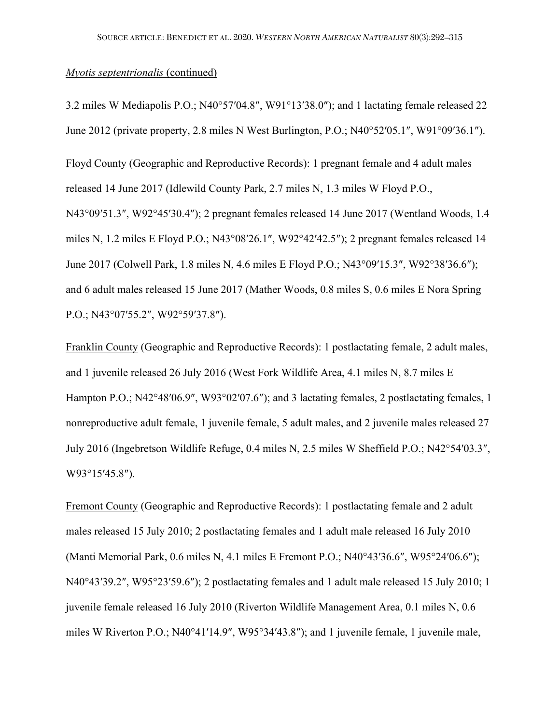3.2 miles W Mediapolis P.O.; N40°57′04.8″, W91°13′38.0″); and 1 lactating female released 22 June 2012 (private property, 2.8 miles N West Burlington, P.O.; N40°52′05.1″, W91°09′36.1″).

Floyd County (Geographic and Reproductive Records): 1 pregnant female and 4 adult males released 14 June 2017 (Idlewild County Park, 2.7 miles N, 1.3 miles W Floyd P.O., N43°09′51.3″, W92°45′30.4″); 2 pregnant females released 14 June 2017 (Wentland Woods, 1.4 miles N, 1.2 miles E Floyd P.O.; N43°08′26.1″, W92°42′42.5″); 2 pregnant females released 14 June 2017 (Colwell Park, 1.8 miles N, 4.6 miles E Floyd P.O.; N43°09′15.3″, W92°38′36.6″); and 6 adult males released 15 June 2017 (Mather Woods, 0.8 miles S, 0.6 miles E Nora Spring P.O.; N43°07′55.2″, W92°59′37.8″).

Franklin County (Geographic and Reproductive Records): 1 postlactating female, 2 adult males, and 1 juvenile released 26 July 2016 (West Fork Wildlife Area, 4.1 miles N, 8.7 miles E Hampton P.O.; N42°48′06.9″, W93°02′07.6″); and 3 lactating females, 2 postlactating females, 1 nonreproductive adult female, 1 juvenile female, 5 adult males, and 2 juvenile males released 27 July 2016 (Ingebretson Wildlife Refuge, 0.4 miles N, 2.5 miles W Sheffield P.O.; N42°54′03.3″, W93°15′45.8″).

Fremont County (Geographic and Reproductive Records): 1 postlactating female and 2 adult males released 15 July 2010; 2 postlactating females and 1 adult male released 16 July 2010 (Manti Memorial Park, 0.6 miles N, 4.1 miles E Fremont P.O.; N40°43′36.6″, W95°24′06.6″); N40°43′39.2″, W95°23′59.6″); 2 postlactating females and 1 adult male released 15 July 2010; 1 juvenile female released 16 July 2010 (Riverton Wildlife Management Area, 0.1 miles N, 0.6 miles W Riverton P.O.; N40°41′14.9″, W95°34′43.8″); and 1 juvenile female, 1 juvenile male,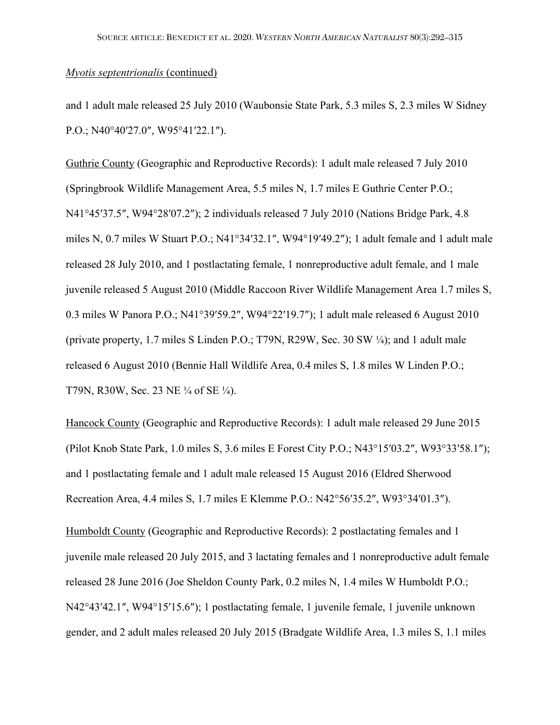and 1 adult male released 25 July 2010 (Waubonsie State Park, 5.3 miles S, 2.3 miles W Sidney P.O.; N40°40′27.0″, W95°41′22.1″).

Guthrie County (Geographic and Reproductive Records): 1 adult male released 7 July 2010 (Springbrook Wildlife Management Area, 5.5 miles N, 1.7 miles E Guthrie Center P.O.; N41°45′37.5″, W94°28′07.2″); 2 individuals released 7 July 2010 (Nations Bridge Park, 4.8 miles N, 0.7 miles W Stuart P.O.; N41°34′32.1″, W94°19′49.2″); 1 adult female and 1 adult male released 28 July 2010, and 1 postlactating female, 1 nonreproductive adult female, and 1 male juvenile released 5 August 2010 (Middle Raccoon River Wildlife Management Area 1.7 miles S, 0.3 miles W Panora P.O.; N41°39′59.2″, W94°22′19.7″); 1 adult male released 6 August 2010 (private property, 1.7 miles S Linden P.O.; T79N, R29W, Sec. 30 SW ¼); and 1 adult male released 6 August 2010 (Bennie Hall Wildlife Area, 0.4 miles S, 1.8 miles W Linden P.O.; T79N, R30W, Sec. 23 NE ¼ of SE ¼).

Hancock County (Geographic and Reproductive Records): 1 adult male released 29 June 2015 (Pilot Knob State Park, 1.0 miles S, 3.6 miles E Forest City P.O.; N43°15′03.2″, W93°33′58.1″); and 1 postlactating female and 1 adult male released 15 August 2016 (Eldred Sherwood Recreation Area, 4.4 miles S, 1.7 miles E Klemme P.O.: N42°56′35.2″, W93°34′01.3″).

Humboldt County (Geographic and Reproductive Records): 2 postlactating females and 1 juvenile male released 20 July 2015, and 3 lactating females and 1 nonreproductive adult female released 28 June 2016 (Joe Sheldon County Park, 0.2 miles N, 1.4 miles W Humboldt P.O.; N42°43′42.1″, W94°15′15.6″); 1 postlactating female, 1 juvenile female, 1 juvenile unknown gender, and 2 adult males released 20 July 2015 (Bradgate Wildlife Area, 1.3 miles S, 1.1 miles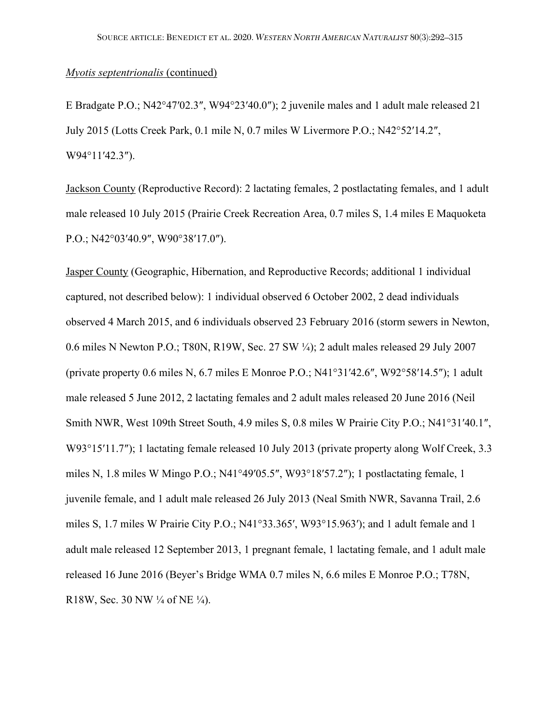E Bradgate P.O.; N42°47′02.3″, W94°23′40.0″); 2 juvenile males and 1 adult male released 21 July 2015 (Lotts Creek Park, 0.1 mile N, 0.7 miles W Livermore P.O.; N42°52′14.2″, W94°11′42.3″).

Jackson County (Reproductive Record): 2 lactating females, 2 postlactating females, and 1 adult male released 10 July 2015 (Prairie Creek Recreation Area, 0.7 miles S, 1.4 miles E Maquoketa P.O.; N42°03′40.9″, W90°38′17.0″).

Jasper County (Geographic, Hibernation, and Reproductive Records; additional 1 individual captured, not described below): 1 individual observed 6 October 2002, 2 dead individuals observed 4 March 2015, and 6 individuals observed 23 February 2016 (storm sewers in Newton, 0.6 miles N Newton P.O.; T80N, R19W, Sec. 27 SW ¼); 2 adult males released 29 July 2007 (private property 0.6 miles N, 6.7 miles E Monroe P.O.; N41°31′42.6″, W92°58′14.5″); 1 adult male released 5 June 2012, 2 lactating females and 2 adult males released 20 June 2016 (Neil Smith NWR, West 109th Street South, 4.9 miles S, 0.8 miles W Prairie City P.O.; N41°31′40.1″, W93°15'11.7"); 1 lactating female released 10 July 2013 (private property along Wolf Creek, 3.3 miles N, 1.8 miles W Mingo P.O.; N41°49′05.5″, W93°18′57.2″); 1 postlactating female, 1 juvenile female, and 1 adult male released 26 July 2013 (Neal Smith NWR, Savanna Trail, 2.6 miles S, 1.7 miles W Prairie City P.O.; N41°33.365′, W93°15.963′); and 1 adult female and 1 adult male released 12 September 2013, 1 pregnant female, 1 lactating female, and 1 adult male released 16 June 2016 (Beyer's Bridge WMA 0.7 miles N, 6.6 miles E Monroe P.O.; T78N, R18W, Sec. 30 NW  $\frac{1}{4}$  of NE  $\frac{1}{4}$ ).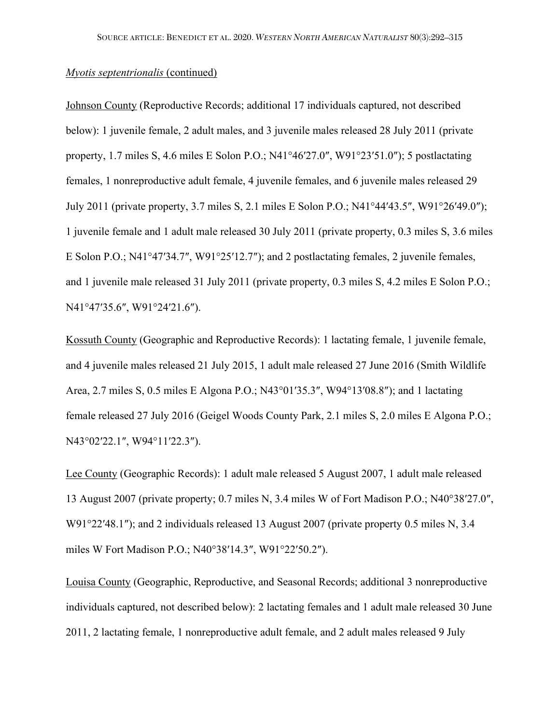Johnson County (Reproductive Records; additional 17 individuals captured, not described below): 1 juvenile female, 2 adult males, and 3 juvenile males released 28 July 2011 (private property, 1.7 miles S, 4.6 miles E Solon P.O.; N41°46′27.0″, W91°23′51.0″); 5 postlactating females, 1 nonreproductive adult female, 4 juvenile females, and 6 juvenile males released 29 July 2011 (private property, 3.7 miles S, 2.1 miles E Solon P.O.; N41°44′43.5″, W91°26′49.0″); 1 juvenile female and 1 adult male released 30 July 2011 (private property, 0.3 miles S, 3.6 miles E Solon P.O.; N41°47′34.7″, W91°25′12.7″); and 2 postlactating females, 2 juvenile females, and 1 juvenile male released 31 July 2011 (private property, 0.3 miles S, 4.2 miles E Solon P.O.; N41°47′35.6″, W91°24′21.6″).

Kossuth County (Geographic and Reproductive Records): 1 lactating female, 1 juvenile female, and 4 juvenile males released 21 July 2015, 1 adult male released 27 June 2016 (Smith Wildlife Area, 2.7 miles S, 0.5 miles E Algona P.O.; N43°01′35.3″, W94°13′08.8″); and 1 lactating female released 27 July 2016 (Geigel Woods County Park, 2.1 miles S, 2.0 miles E Algona P.O.; N43°02′22.1″, W94°11′22.3″).

Lee County (Geographic Records): 1 adult male released 5 August 2007, 1 adult male released 13 August 2007 (private property; 0.7 miles N, 3.4 miles W of Fort Madison P.O.; N40°38′27.0″, W91°22′48.1″); and 2 individuals released 13 August 2007 (private property 0.5 miles N, 3.4 miles W Fort Madison P.O.; N40°38′14.3″, W91°22′50.2″).

Louisa County (Geographic, Reproductive, and Seasonal Records; additional 3 nonreproductive individuals captured, not described below): 2 lactating females and 1 adult male released 30 June 2011, 2 lactating female, 1 nonreproductive adult female, and 2 adult males released 9 July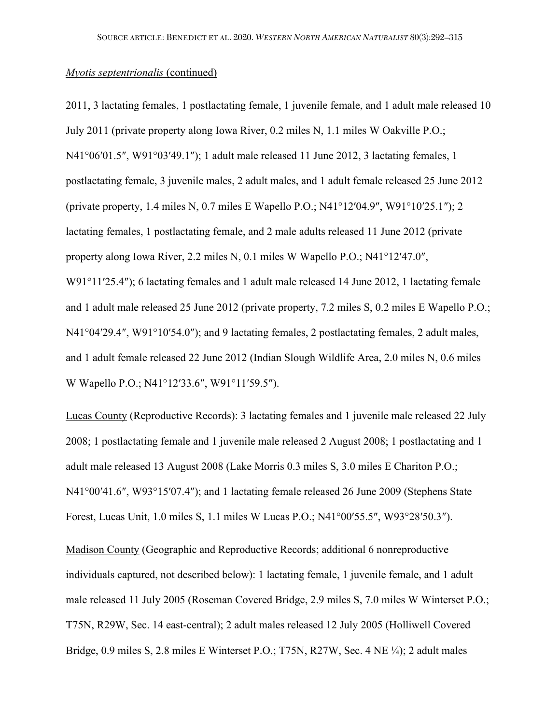2011, 3 lactating females, 1 postlactating female, 1 juvenile female, and 1 adult male released 10 July 2011 (private property along Iowa River, 0.2 miles N, 1.1 miles W Oakville P.O.; N41°06′01.5″, W91°03′49.1″); 1 adult male released 11 June 2012, 3 lactating females, 1 postlactating female, 3 juvenile males, 2 adult males, and 1 adult female released 25 June 2012 (private property, 1.4 miles N, 0.7 miles E Wapello P.O.; N41°12′04.9″, W91°10′25.1″); 2 lactating females, 1 postlactating female, and 2 male adults released 11 June 2012 (private property along Iowa River, 2.2 miles N, 0.1 miles W Wapello P.O.; N41°12′47.0″, W91°11′25.4″); 6 lactating females and 1 adult male released 14 June 2012, 1 lactating female and 1 adult male released 25 June 2012 (private property, 7.2 miles S, 0.2 miles E Wapello P.O.; N41°04'29.4", W91°10'54.0"); and 9 lactating females, 2 postlactating females, 2 adult males, and 1 adult female released 22 June 2012 (Indian Slough Wildlife Area, 2.0 miles N, 0.6 miles W Wapello P.O.; N41°12′33.6″, W91°11′59.5″).

Lucas County (Reproductive Records): 3 lactating females and 1 juvenile male released 22 July 2008; 1 postlactating female and 1 juvenile male released 2 August 2008; 1 postlactating and 1 adult male released 13 August 2008 (Lake Morris 0.3 miles S, 3.0 miles E Chariton P.O.; N41°00′41.6″, W93°15′07.4″); and 1 lactating female released 26 June 2009 (Stephens State Forest, Lucas Unit, 1.0 miles S, 1.1 miles W Lucas P.O.; N41°00′55.5″, W93°28′50.3″).

Madison County (Geographic and Reproductive Records; additional 6 nonreproductive individuals captured, not described below): 1 lactating female, 1 juvenile female, and 1 adult male released 11 July 2005 (Roseman Covered Bridge, 2.9 miles S, 7.0 miles W Winterset P.O.; T75N, R29W, Sec. 14 east-central); 2 adult males released 12 July 2005 (Holliwell Covered Bridge, 0.9 miles S, 2.8 miles E Winterset P.O.; T75N, R27W, Sec. 4 NE ¼); 2 adult males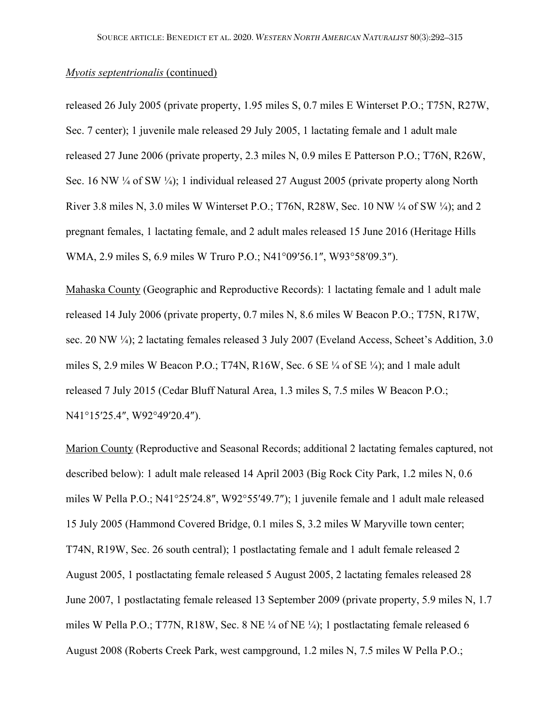released 26 July 2005 (private property, 1.95 miles S, 0.7 miles E Winterset P.O.; T75N, R27W, Sec. 7 center); 1 juvenile male released 29 July 2005, 1 lactating female and 1 adult male released 27 June 2006 (private property, 2.3 miles N, 0.9 miles E Patterson P.O.; T76N, R26W, Sec. 16 NW ¼ of SW ¼); 1 individual released 27 August 2005 (private property along North River 3.8 miles N, 3.0 miles W Winterset P.O.; T76N, R28W, Sec. 10 NW ¼ of SW ¼); and 2 pregnant females, 1 lactating female, and 2 adult males released 15 June 2016 (Heritage Hills WMA, 2.9 miles S, 6.9 miles W Truro P.O.; N41°09′56.1″, W93°58′09.3″).

Mahaska County (Geographic and Reproductive Records): 1 lactating female and 1 adult male released 14 July 2006 (private property, 0.7 miles N, 8.6 miles W Beacon P.O.; T75N, R17W, sec. 20 NW 1/4); 2 lactating females released 3 July 2007 (Eveland Access, Scheet's Addition, 3.0 miles S, 2.9 miles W Beacon P.O.; T74N, R16W, Sec. 6 SE ¼ of SE ¼); and 1 male adult released 7 July 2015 (Cedar Bluff Natural Area, 1.3 miles S, 7.5 miles W Beacon P.O.; N41°15′25.4″, W92°49′20.4″).

Marion County (Reproductive and Seasonal Records; additional 2 lactating females captured, not described below): 1 adult male released 14 April 2003 (Big Rock City Park, 1.2 miles N, 0.6 miles W Pella P.O.; N41°25′24.8″, W92°55′49.7″); 1 juvenile female and 1 adult male released 15 July 2005 (Hammond Covered Bridge, 0.1 miles S, 3.2 miles W Maryville town center; T74N, R19W, Sec. 26 south central); 1 postlactating female and 1 adult female released 2 August 2005, 1 postlactating female released 5 August 2005, 2 lactating females released 28 June 2007, 1 postlactating female released 13 September 2009 (private property, 5.9 miles N, 1.7 miles W Pella P.O.; T77N, R18W, Sec. 8 NE ¼ of NE ¼); 1 postlactating female released 6 August 2008 (Roberts Creek Park, west campground, 1.2 miles N, 7.5 miles W Pella P.O.;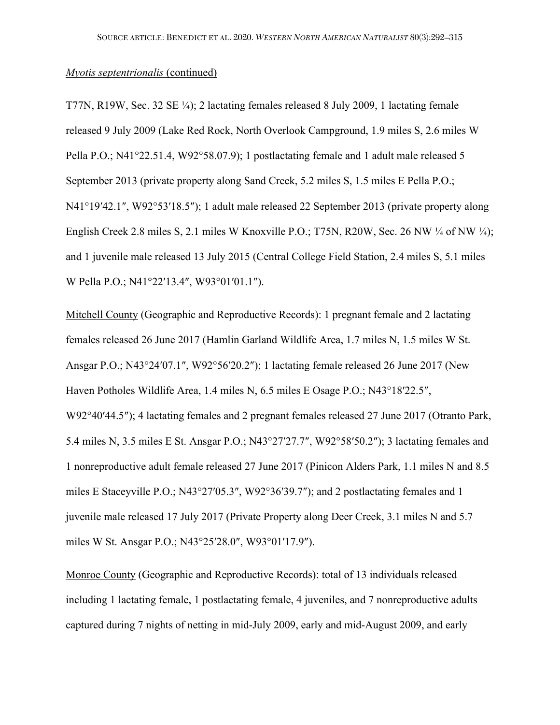T77N, R19W, Sec. 32 SE ¼); 2 lactating females released 8 July 2009, 1 lactating female released 9 July 2009 (Lake Red Rock, North Overlook Campground, 1.9 miles S, 2.6 miles W Pella P.O.; N41°22.51.4, W92°58.07.9); 1 postlactating female and 1 adult male released 5 September 2013 (private property along Sand Creek, 5.2 miles S, 1.5 miles E Pella P.O.; N41°19′42.1″, W92°53′18.5″); 1 adult male released 22 September 2013 (private property along English Creek 2.8 miles S, 2.1 miles W Knoxville P.O.; T75N, R20W, Sec. 26 NW  $\frac{1}{4}$  of NW  $\frac{1}{4}$ ); and 1 juvenile male released 13 July 2015 (Central College Field Station, 2.4 miles S, 5.1 miles W Pella P.O.; N41°22′13.4″, W93°01′01.1″).

Mitchell County (Geographic and Reproductive Records): 1 pregnant female and 2 lactating females released 26 June 2017 (Hamlin Garland Wildlife Area, 1.7 miles N, 1.5 miles W St. Ansgar P.O.; N43°24′07.1″, W92°56′20.2″); 1 lactating female released 26 June 2017 (New Haven Potholes Wildlife Area, 1.4 miles N, 6.5 miles E Osage P.O.; N43°18′22.5″, W92°40′44.5″); 4 lactating females and 2 pregnant females released 27 June 2017 (Otranto Park, 5.4 miles N, 3.5 miles E St. Ansgar P.O.; N43°27′27.7″, W92°58′50.2″); 3 lactating females and 1 nonreproductive adult female released 27 June 2017 (Pinicon Alders Park, 1.1 miles N and 8.5 miles E Staceyville P.O.; N43°27′05.3″, W92°36′39.7″); and 2 postlactating females and 1 juvenile male released 17 July 2017 (Private Property along Deer Creek, 3.1 miles N and 5.7 miles W St. Ansgar P.O.; N43°25′28.0″, W93°01′17.9″).

Monroe County (Geographic and Reproductive Records): total of 13 individuals released including 1 lactating female, 1 postlactating female, 4 juveniles, and 7 nonreproductive adults captured during 7 nights of netting in mid-July 2009, early and mid-August 2009, and early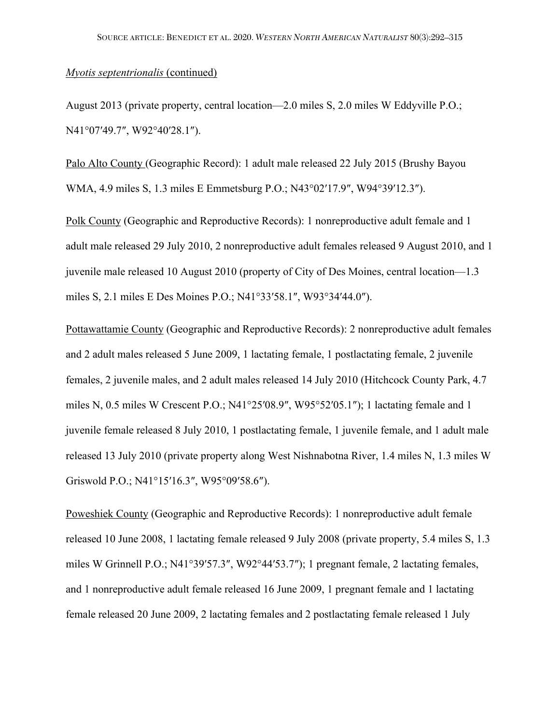August 2013 (private property, central location—2.0 miles S, 2.0 miles W Eddyville P.O.; N41°07′49.7″, W92°40′28.1″).

Palo Alto County (Geographic Record): 1 adult male released 22 July 2015 (Brushy Bayou WMA, 4.9 miles S, 1.3 miles E Emmetsburg P.O.; N43°02′17.9″, W94°39′12.3″).

Polk County (Geographic and Reproductive Records): 1 nonreproductive adult female and 1 adult male released 29 July 2010, 2 nonreproductive adult females released 9 August 2010, and 1 juvenile male released 10 August 2010 (property of City of Des Moines, central location—1.3 miles S, 2.1 miles E Des Moines P.O.; N41°33′58.1″, W93°34′44.0″).

Pottawattamie County (Geographic and Reproductive Records): 2 nonreproductive adult females and 2 adult males released 5 June 2009, 1 lactating female, 1 postlactating female, 2 juvenile females, 2 juvenile males, and 2 adult males released 14 July 2010 (Hitchcock County Park, 4.7 miles N, 0.5 miles W Crescent P.O.; N41°25′08.9″, W95°52′05.1″); 1 lactating female and 1 juvenile female released 8 July 2010, 1 postlactating female, 1 juvenile female, and 1 adult male released 13 July 2010 (private property along West Nishnabotna River, 1.4 miles N, 1.3 miles W Griswold P.O.; N41°15′16.3″, W95°09′58.6″).

Poweshiek County (Geographic and Reproductive Records): 1 nonreproductive adult female released 10 June 2008, 1 lactating female released 9 July 2008 (private property, 5.4 miles S, 1.3 miles W Grinnell P.O.; N41°39′57.3″, W92°44′53.7″); 1 pregnant female, 2 lactating females, and 1 nonreproductive adult female released 16 June 2009, 1 pregnant female and 1 lactating female released 20 June 2009, 2 lactating females and 2 postlactating female released 1 July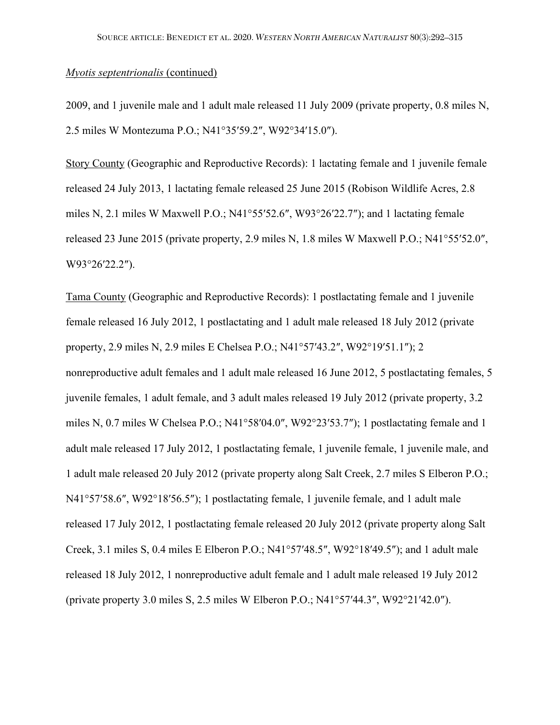2009, and 1 juvenile male and 1 adult male released 11 July 2009 (private property, 0.8 miles N, 2.5 miles W Montezuma P.O.; N41°35′59.2″, W92°34′15.0″).

Story County (Geographic and Reproductive Records): 1 lactating female and 1 juvenile female released 24 July 2013, 1 lactating female released 25 June 2015 (Robison Wildlife Acres, 2.8 miles N, 2.1 miles W Maxwell P.O.; N41°55′52.6″, W93°26′22.7″); and 1 lactating female released 23 June 2015 (private property, 2.9 miles N, 1.8 miles W Maxwell P.O.; N41°55′52.0″, W93°26′22.2″).

Tama County (Geographic and Reproductive Records): 1 postlactating female and 1 juvenile female released 16 July 2012, 1 postlactating and 1 adult male released 18 July 2012 (private property, 2.9 miles N, 2.9 miles E Chelsea P.O.; N41°57′43.2″, W92°19′51.1″); 2 nonreproductive adult females and 1 adult male released 16 June 2012, 5 postlactating females, 5 juvenile females, 1 adult female, and 3 adult males released 19 July 2012 (private property, 3.2 miles N, 0.7 miles W Chelsea P.O.; N41°58′04.0″, W92°23′53.7″); 1 postlactating female and 1 adult male released 17 July 2012, 1 postlactating female, 1 juvenile female, 1 juvenile male, and 1 adult male released 20 July 2012 (private property along Salt Creek, 2.7 miles S Elberon P.O.; N41°57′58.6″, W92°18′56.5″); 1 postlactating female, 1 juvenile female, and 1 adult male released 17 July 2012, 1 postlactating female released 20 July 2012 (private property along Salt Creek, 3.1 miles S, 0.4 miles E Elberon P.O.; N41°57′48.5″, W92°18′49.5″); and 1 adult male released 18 July 2012, 1 nonreproductive adult female and 1 adult male released 19 July 2012 (private property 3.0 miles S, 2.5 miles W Elberon P.O.; N41°57′44.3″, W92°21′42.0″).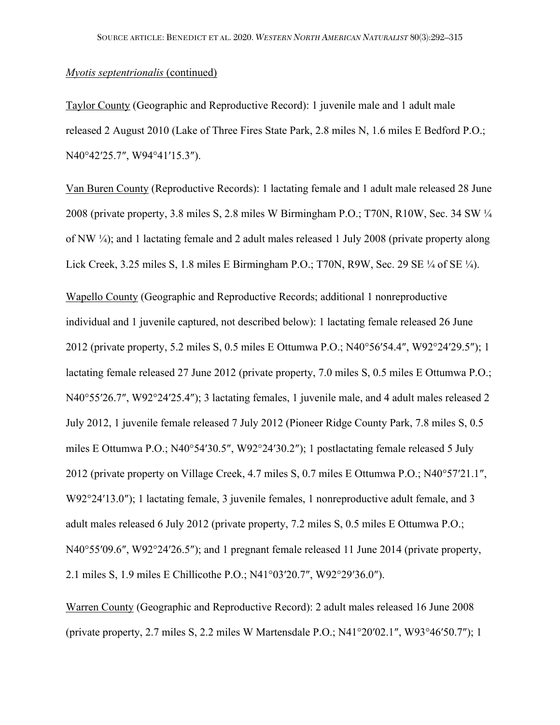Taylor County (Geographic and Reproductive Record): 1 juvenile male and 1 adult male released 2 August 2010 (Lake of Three Fires State Park, 2.8 miles N, 1.6 miles E Bedford P.O.; N40°42′25.7″, W94°41′15.3″).

Van Buren County (Reproductive Records): 1 lactating female and 1 adult male released 28 June 2008 (private property, 3.8 miles S, 2.8 miles W Birmingham P.O.; T70N, R10W, Sec. 34 SW ¼ of NW ¼); and 1 lactating female and 2 adult males released 1 July 2008 (private property along Lick Creek, 3.25 miles S, 1.8 miles E Birmingham P.O.; T70N, R9W, Sec. 29 SE ¼ of SE ¼).

Wapello County (Geographic and Reproductive Records; additional 1 nonreproductive individual and 1 juvenile captured, not described below): 1 lactating female released 26 June 2012 (private property, 5.2 miles S, 0.5 miles E Ottumwa P.O.; N40°56′54.4″, W92°24′29.5″); 1 lactating female released 27 June 2012 (private property, 7.0 miles S, 0.5 miles E Ottumwa P.O.; N40°55′26.7″, W92°24′25.4″); 3 lactating females, 1 juvenile male, and 4 adult males released 2 July 2012, 1 juvenile female released 7 July 2012 (Pioneer Ridge County Park, 7.8 miles S, 0.5 miles E Ottumwa P.O.; N40°54′30.5″, W92°24′30.2″); 1 postlactating female released 5 July 2012 (private property on Village Creek, 4.7 miles S, 0.7 miles E Ottumwa P.O.; N40°57′21.1″, W92°24'13.0"); 1 lactating female, 3 juvenile females, 1 nonreproductive adult female, and 3 adult males released 6 July 2012 (private property, 7.2 miles S, 0.5 miles E Ottumwa P.O.; N40°55′09.6″, W92°24′26.5″); and 1 pregnant female released 11 June 2014 (private property, 2.1 miles S, 1.9 miles E Chillicothe P.O.; N41°03′20.7″, W92°29′36.0″).

Warren County (Geographic and Reproductive Record): 2 adult males released 16 June 2008 (private property, 2.7 miles S, 2.2 miles W Martensdale P.O.; N41°20′02.1″, W93°46′50.7″); 1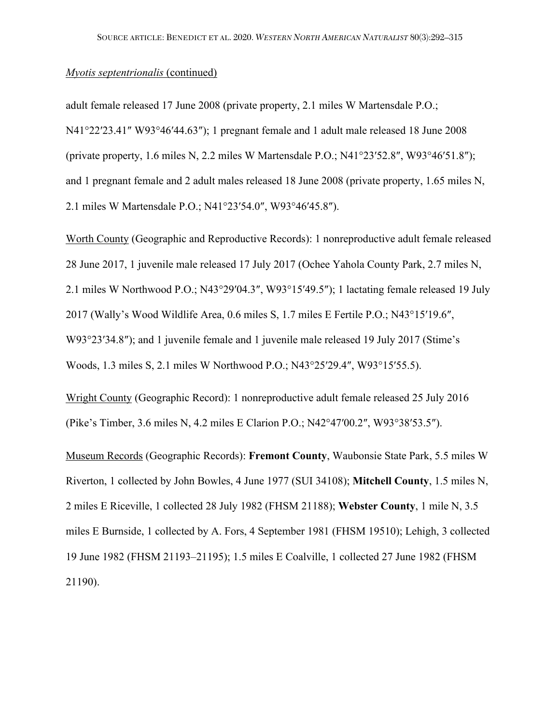adult female released 17 June 2008 (private property, 2.1 miles W Martensdale P.O.; N41°22′23.41″ W93°46′44.63″); 1 pregnant female and 1 adult male released 18 June 2008 (private property, 1.6 miles N, 2.2 miles W Martensdale P.O.; N41°23′52.8″, W93°46′51.8″); and 1 pregnant female and 2 adult males released 18 June 2008 (private property, 1.65 miles N, 2.1 miles W Martensdale P.O.; N41°23′54.0″, W93°46′45.8″).

Worth County (Geographic and Reproductive Records): 1 nonreproductive adult female released 28 June 2017, 1 juvenile male released 17 July 2017 (Ochee Yahola County Park, 2.7 miles N, 2.1 miles W Northwood P.O.; N43°29′04.3″, W93°15′49.5″); 1 lactating female released 19 July 2017 (Wally's Wood Wildlife Area, 0.6 miles S, 1.7 miles E Fertile P.O.; N43°15′19.6″, W93°23′34.8″); and 1 juvenile female and 1 juvenile male released 19 July 2017 (Stime's Woods, 1.3 miles S, 2.1 miles W Northwood P.O.; N43°25′29.4″, W93°15′55.5).

Wright County (Geographic Record): 1 nonreproductive adult female released 25 July 2016 (Pike's Timber, 3.6 miles N, 4.2 miles E Clarion P.O.; N42°47′00.2″, W93°38′53.5″).

Museum Records (Geographic Records): **Fremont County**, Waubonsie State Park, 5.5 miles W Riverton, 1 collected by John Bowles, 4 June 1977 (SUI 34108); **Mitchell County**, 1.5 miles N, 2 miles E Riceville, 1 collected 28 July 1982 (FHSM 21188); **Webster County**, 1 mile N, 3.5 miles E Burnside, 1 collected by A. Fors, 4 September 1981 (FHSM 19510); Lehigh, 3 collected 19 June 1982 (FHSM 21193–21195); 1.5 miles E Coalville, 1 collected 27 June 1982 (FHSM 21190).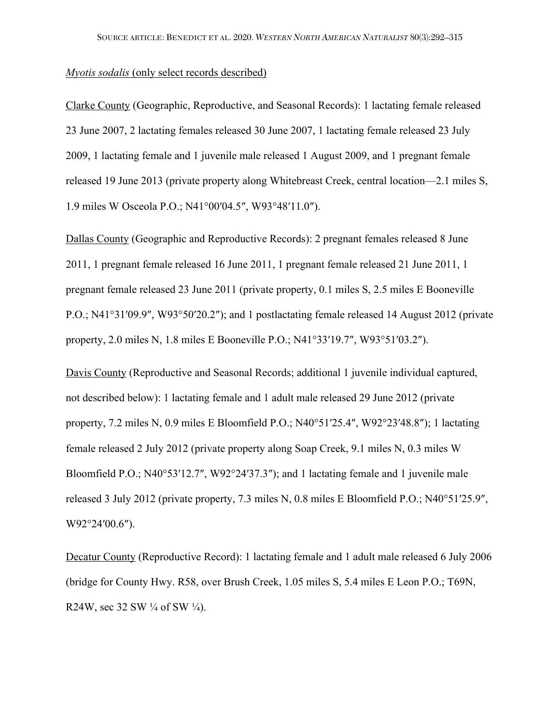#### *Myotis sodalis* (only select records described)

Clarke County (Geographic, Reproductive, and Seasonal Records): 1 lactating female released 23 June 2007, 2 lactating females released 30 June 2007, 1 lactating female released 23 July 2009, 1 lactating female and 1 juvenile male released 1 August 2009, and 1 pregnant female released 19 June 2013 (private property along Whitebreast Creek, central location—2.1 miles S, 1.9 miles W Osceola P.O.; N41°00′04.5″, W93°48′11.0″).

Dallas County (Geographic and Reproductive Records): 2 pregnant females released 8 June 2011, 1 pregnant female released 16 June 2011, 1 pregnant female released 21 June 2011, 1 pregnant female released 23 June 2011 (private property, 0.1 miles S, 2.5 miles E Booneville P.O.; N41°31′09.9″, W93°50′20.2″); and 1 postlactating female released 14 August 2012 (private property, 2.0 miles N, 1.8 miles E Booneville P.O.; N41°33′19.7″, W93°51′03.2″).

Davis County (Reproductive and Seasonal Records; additional 1 juvenile individual captured, not described below): 1 lactating female and 1 adult male released 29 June 2012 (private property, 7.2 miles N, 0.9 miles E Bloomfield P.O.; N40°51′25.4″, W92°23′48.8″); 1 lactating female released 2 July 2012 (private property along Soap Creek, 9.1 miles N, 0.3 miles W Bloomfield P.O.; N40°53'12.7", W92°24'37.3"); and 1 lactating female and 1 juvenile male released 3 July 2012 (private property, 7.3 miles N, 0.8 miles E Bloomfield P.O.; N40°51'25.9", W92°24′00.6″).

Decatur County (Reproductive Record): 1 lactating female and 1 adult male released 6 July 2006 (bridge for County Hwy. R58, over Brush Creek, 1.05 miles S, 5.4 miles E Leon P.O.; T69N, R24W, sec 32 SW  $\frac{1}{4}$  of SW  $\frac{1}{4}$ ).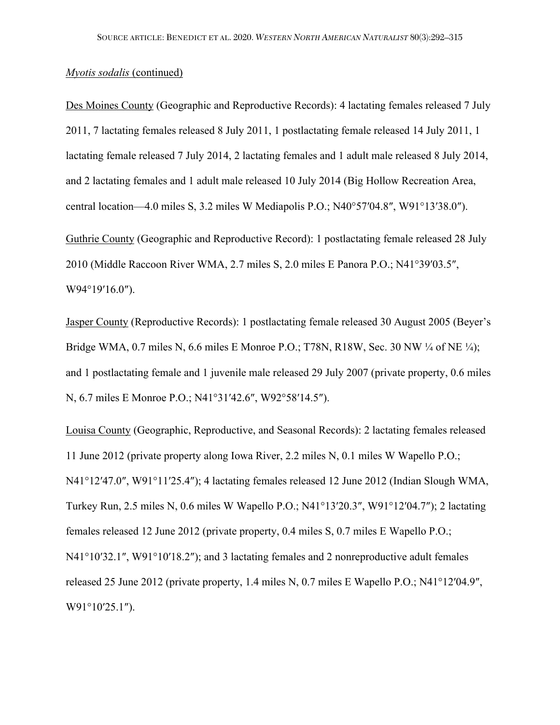Des Moines County (Geographic and Reproductive Records): 4 lactating females released 7 July 2011, 7 lactating females released 8 July 2011, 1 postlactating female released 14 July 2011, 1 lactating female released 7 July 2014, 2 lactating females and 1 adult male released 8 July 2014, and 2 lactating females and 1 adult male released 10 July 2014 (Big Hollow Recreation Area, central location—4.0 miles S, 3.2 miles W Mediapolis P.O.; N40°57′04.8″, W91°13′38.0″).

Guthrie County (Geographic and Reproductive Record): 1 postlactating female released 28 July 2010 (Middle Raccoon River WMA, 2.7 miles S, 2.0 miles E Panora P.O.; N41°39′03.5″, W94°19′16.0″).

Jasper County (Reproductive Records): 1 postlactating female released 30 August 2005 (Beyer's Bridge WMA, 0.7 miles N, 6.6 miles E Monroe P.O.; T78N, R18W, Sec. 30 NW ¼ of NE ¼); and 1 postlactating female and 1 juvenile male released 29 July 2007 (private property, 0.6 miles N, 6.7 miles E Monroe P.O.; N41°31′42.6″, W92°58′14.5″).

Louisa County (Geographic, Reproductive, and Seasonal Records): 2 lactating females released 11 June 2012 (private property along Iowa River, 2.2 miles N, 0.1 miles W Wapello P.O.; N41°12′47.0″, W91°11′25.4″); 4 lactating females released 12 June 2012 (Indian Slough WMA, Turkey Run, 2.5 miles N, 0.6 miles W Wapello P.O.; N41°13′20.3″, W91°12′04.7″); 2 lactating females released 12 June 2012 (private property, 0.4 miles S, 0.7 miles E Wapello P.O.; N41°10′32.1″, W91°10′18.2″); and 3 lactating females and 2 nonreproductive adult females released 25 June 2012 (private property, 1.4 miles N, 0.7 miles E Wapello P.O.; N41°12′04.9″, W91°10′25.1″).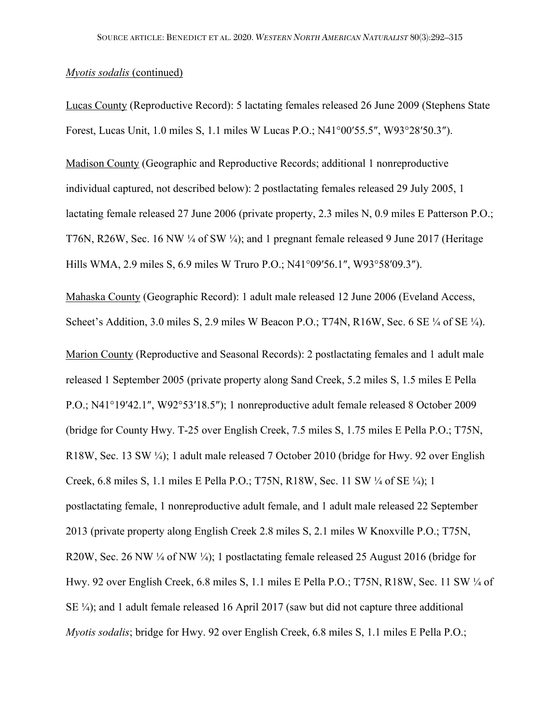Lucas County (Reproductive Record): 5 lactating females released 26 June 2009 (Stephens State Forest, Lucas Unit, 1.0 miles S, 1.1 miles W Lucas P.O.; N41°00′55.5″, W93°28′50.3″).

Madison County (Geographic and Reproductive Records; additional 1 nonreproductive individual captured, not described below): 2 postlactating females released 29 July 2005, 1 lactating female released 27 June 2006 (private property, 2.3 miles N, 0.9 miles E Patterson P.O.; T76N, R26W, Sec. 16 NW ¼ of SW ¼); and 1 pregnant female released 9 June 2017 (Heritage Hills WMA, 2.9 miles S, 6.9 miles W Truro P.O.; N41°09′56.1″, W93°58′09.3″).

Mahaska County (Geographic Record): 1 adult male released 12 June 2006 (Eveland Access, Scheet's Addition, 3.0 miles S, 2.9 miles W Beacon P.O.; T74N, R16W, Sec. 6 SE ¼ of SE ¼).

Marion County (Reproductive and Seasonal Records): 2 postlactating females and 1 adult male released 1 September 2005 (private property along Sand Creek, 5.2 miles S, 1.5 miles E Pella P.O.; N41°19′42.1″, W92°53′18.5″); 1 nonreproductive adult female released 8 October 2009 (bridge for County Hwy. T-25 over English Creek, 7.5 miles S, 1.75 miles E Pella P.O.; T75N, R18W, Sec. 13 SW ¼); 1 adult male released 7 October 2010 (bridge for Hwy. 92 over English Creek, 6.8 miles S, 1.1 miles E Pella P.O.; T75N, R18W, Sec. 11 SW ¼ of SE ¼); 1 postlactating female, 1 nonreproductive adult female, and 1 adult male released 22 September 2013 (private property along English Creek 2.8 miles S, 2.1 miles W Knoxville P.O.; T75N, R20W, Sec. 26 NW  $\frac{1}{4}$  of NW  $\frac{1}{4}$ ; 1 postlactating female released 25 August 2016 (bridge for Hwy. 92 over English Creek, 6.8 miles S, 1.1 miles E Pella P.O.; T75N, R18W, Sec. 11 SW ¼ of SE ¼); and 1 adult female released 16 April 2017 (saw but did not capture three additional *Myotis sodalis*; bridge for Hwy. 92 over English Creek, 6.8 miles S, 1.1 miles E Pella P.O.;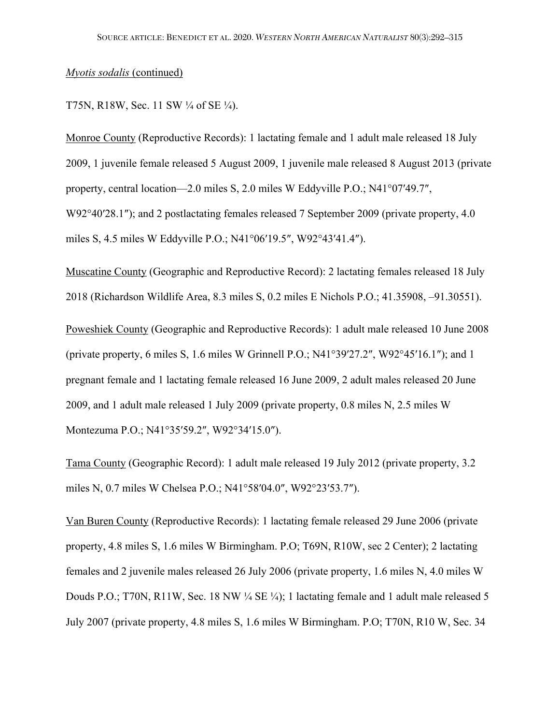### T75N, R18W, Sec. 11 SW ¼ of SE ¼).

Monroe County (Reproductive Records): 1 lactating female and 1 adult male released 18 July 2009, 1 juvenile female released 5 August 2009, 1 juvenile male released 8 August 2013 (private property, central location—2.0 miles S, 2.0 miles W Eddyville P.O.; N41°07′49.7″, W92°40′28.1″); and 2 postlactating females released 7 September 2009 (private property, 4.0) miles S, 4.5 miles W Eddyville P.O.; N41°06′19.5″, W92°43′41.4″).

Muscatine County (Geographic and Reproductive Record): 2 lactating females released 18 July 2018 (Richardson Wildlife Area, 8.3 miles S, 0.2 miles E Nichols P.O.; 41.35908, –91.30551).

Poweshiek County (Geographic and Reproductive Records): 1 adult male released 10 June 2008 (private property, 6 miles S, 1.6 miles W Grinnell P.O.; N41°39′27.2″, W92°45′16.1″); and 1 pregnant female and 1 lactating female released 16 June 2009, 2 adult males released 20 June 2009, and 1 adult male released 1 July 2009 (private property, 0.8 miles N, 2.5 miles W Montezuma P.O.; N41°35′59.2″, W92°34′15.0″).

Tama County (Geographic Record): 1 adult male released 19 July 2012 (private property, 3.2 miles N, 0.7 miles W Chelsea P.O.; N41°58′04.0″, W92°23′53.7″).

Van Buren County (Reproductive Records): 1 lactating female released 29 June 2006 (private property, 4.8 miles S, 1.6 miles W Birmingham. P.O; T69N, R10W, sec 2 Center); 2 lactating females and 2 juvenile males released 26 July 2006 (private property, 1.6 miles N, 4.0 miles W Douds P.O.; T70N, R11W, Sec. 18 NW ¼ SE ¼); 1 lactating female and 1 adult male released 5 July 2007 (private property, 4.8 miles S, 1.6 miles W Birmingham. P.O; T70N, R10 W, Sec. 34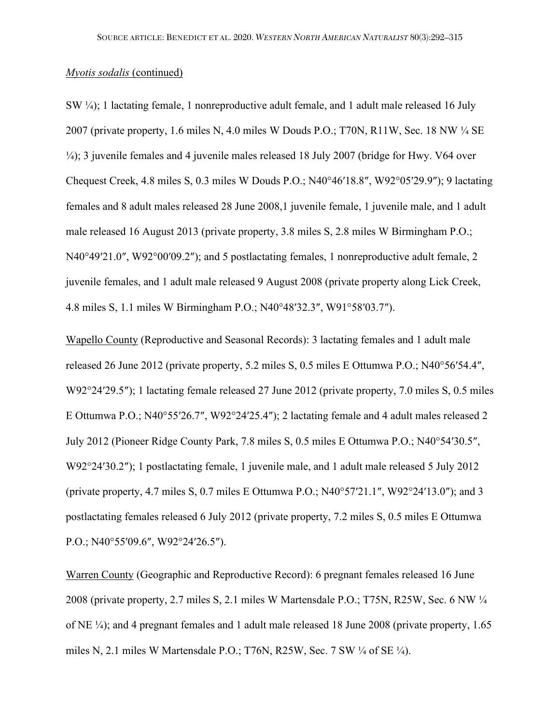SW ¼); 1 lactating female, 1 nonreproductive adult female, and 1 adult male released 16 July 2007 (private property, 1.6 miles N, 4.0 miles W Douds P.O.; T70N, R11W, Sec. 18 NW ¼ SE ¼); 3 juvenile females and 4 juvenile males released 18 July 2007 (bridge for Hwy. V64 over Chequest Creek, 4.8 miles S, 0.3 miles W Douds P.O.; N40°46′18.8″, W92°05′29.9″); 9 lactating females and 8 adult males released 28 June 2008,1 juvenile female, 1 juvenile male, and 1 adult male released 16 August 2013 (private property, 3.8 miles S, 2.8 miles W Birmingham P.O.; N40°49'21.0", W92°00'09.2"); and 5 postlactating females, 1 nonreproductive adult female, 2 juvenile females, and 1 adult male released 9 August 2008 (private property along Lick Creek, 4.8 miles S, 1.1 miles W Birmingham P.O.; N40°48′32.3″, W91°58′03.7″).

Wapello County (Reproductive and Seasonal Records): 3 lactating females and 1 adult male released 26 June 2012 (private property, 5.2 miles S, 0.5 miles E Ottumwa P.O.; N40°56′54.4″, W92°24′29.5″); 1 lactating female released 27 June 2012 (private property, 7.0 miles S, 0.5 miles E Ottumwa P.O.; N40°55′26.7″, W92°24′25.4″); 2 lactating female and 4 adult males released 2 July 2012 (Pioneer Ridge County Park, 7.8 miles S, 0.5 miles E Ottumwa P.O.; N40°54′30.5″, W92°24'30.2"); 1 postlactating female, 1 juvenile male, and 1 adult male released 5 July 2012 (private property, 4.7 miles S, 0.7 miles E Ottumwa P.O.; N40°57′21.1″, W92°24′13.0″); and 3 postlactating females released 6 July 2012 (private property, 7.2 miles S, 0.5 miles E Ottumwa P.O.; N40°55′09.6″, W92°24′26.5″).

Warren County (Geographic and Reproductive Record): 6 pregnant females released 16 June 2008 (private property, 2.7 miles S, 2.1 miles W Martensdale P.O.; T75N, R25W, Sec. 6 NW ¼ of NE ¼); and 4 pregnant females and 1 adult male released 18 June 2008 (private property, 1.65 miles N, 2.1 miles W Martensdale P.O.; T76N, R25W, Sec. 7 SW ¼ of SE ¼).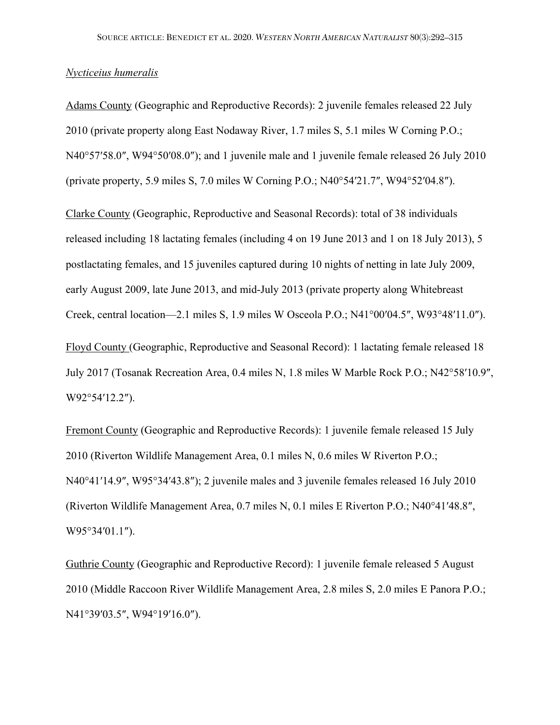### *Nycticeius humeralis*

Adams County (Geographic and Reproductive Records): 2 juvenile females released 22 July 2010 (private property along East Nodaway River, 1.7 miles S, 5.1 miles W Corning P.O.; N40°57′58.0″, W94°50′08.0″); and 1 juvenile male and 1 juvenile female released 26 July 2010 (private property, 5.9 miles S, 7.0 miles W Corning P.O.; N40°54′21.7″, W94°52′04.8″).

Clarke County (Geographic, Reproductive and Seasonal Records): total of 38 individuals released including 18 lactating females (including 4 on 19 June 2013 and 1 on 18 July 2013), 5 postlactating females, and 15 juveniles captured during 10 nights of netting in late July 2009, early August 2009, late June 2013, and mid-July 2013 (private property along Whitebreast Creek, central location—2.1 miles S, 1.9 miles W Osceola P.O.; N41°00′04.5″, W93°48′11.0″). Floyd County (Geographic, Reproductive and Seasonal Record): 1 lactating female released 18 July 2017 (Tosanak Recreation Area, 0.4 miles N, 1.8 miles W Marble Rock P.O.; N42°58′10.9″, W92°54′12.2″).

Fremont County (Geographic and Reproductive Records): 1 juvenile female released 15 July 2010 (Riverton Wildlife Management Area, 0.1 miles N, 0.6 miles W Riverton P.O.; N40°41′14.9″, W95°34′43.8″); 2 juvenile males and 3 juvenile females released 16 July 2010 (Riverton Wildlife Management Area, 0.7 miles N, 0.1 miles E Riverton P.O.; N40°41′48.8″, W95°34′01.1″).

Guthrie County (Geographic and Reproductive Record): 1 juvenile female released 5 August 2010 (Middle Raccoon River Wildlife Management Area, 2.8 miles S, 2.0 miles E Panora P.O.; N41°39′03.5″, W94°19′16.0″).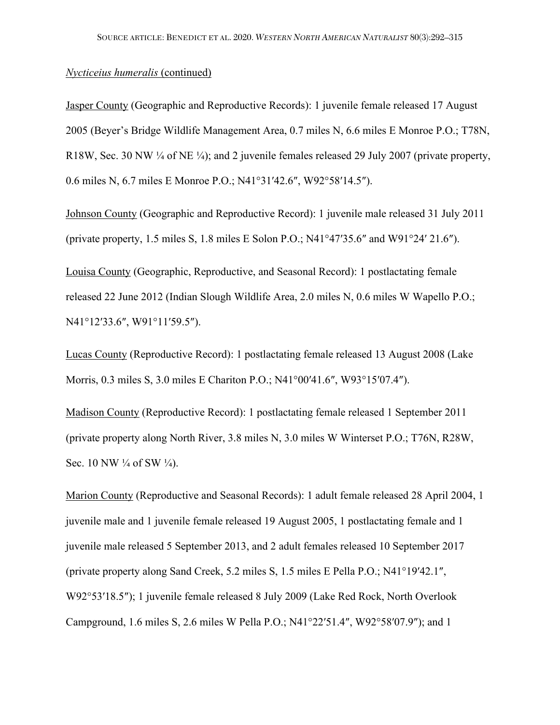#### *Nycticeius humeralis* (continued)

Jasper County (Geographic and Reproductive Records): 1 juvenile female released 17 August 2005 (Beyer's Bridge Wildlife Management Area, 0.7 miles N, 6.6 miles E Monroe P.O.; T78N, R18W, Sec. 30 NW ¼ of NE ¼); and 2 juvenile females released 29 July 2007 (private property, 0.6 miles N, 6.7 miles E Monroe P.O.; N41°31′42.6″, W92°58′14.5″).

Johnson County (Geographic and Reproductive Record): 1 juvenile male released 31 July 2011 (private property, 1.5 miles S, 1.8 miles E Solon P.O.; N41°47′35.6″ and W91°24′ 21.6″).

Louisa County (Geographic, Reproductive, and Seasonal Record): 1 postlactating female released 22 June 2012 (Indian Slough Wildlife Area, 2.0 miles N, 0.6 miles W Wapello P.O.; N41°12′33.6″, W91°11′59.5″).

Lucas County (Reproductive Record): 1 postlactating female released 13 August 2008 (Lake Morris, 0.3 miles S, 3.0 miles E Chariton P.O.; N41°00′41.6″, W93°15′07.4″).

Madison County (Reproductive Record): 1 postlactating female released 1 September 2011 (private property along North River, 3.8 miles N, 3.0 miles W Winterset P.O.; T76N, R28W, Sec. 10 NW  $\frac{1}{4}$  of SW  $\frac{1}{4}$ ).

Marion County (Reproductive and Seasonal Records): 1 adult female released 28 April 2004, 1 juvenile male and 1 juvenile female released 19 August 2005, 1 postlactating female and 1 juvenile male released 5 September 2013, and 2 adult females released 10 September 2017 (private property along Sand Creek, 5.2 miles S, 1.5 miles E Pella P.O.; N41°19′42.1″, W92°53′18.5″); 1 juvenile female released 8 July 2009 (Lake Red Rock, North Overlook Campground, 1.6 miles S, 2.6 miles W Pella P.O.; N41°22′51.4″, W92°58′07.9″); and 1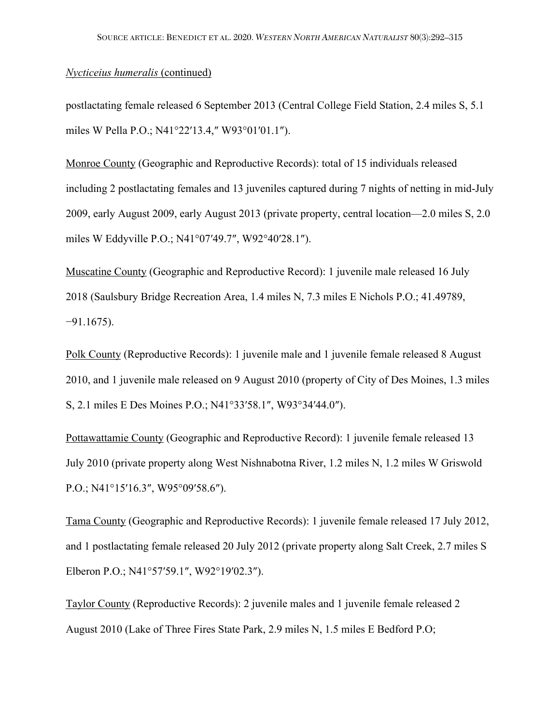## *Nycticeius humeralis* (continued)

postlactating female released 6 September 2013 (Central College Field Station, 2.4 miles S, 5.1 miles W Pella P.O.; N41°22′13.4,″ W93°01′01.1″).

Monroe County (Geographic and Reproductive Records): total of 15 individuals released including 2 postlactating females and 13 juveniles captured during 7 nights of netting in mid-July 2009, early August 2009, early August 2013 (private property, central location—2.0 miles S, 2.0 miles W Eddyville P.O.; N41°07′49.7″, W92°40′28.1″).

Muscatine County (Geographic and Reproductive Record): 1 juvenile male released 16 July 2018 (Saulsbury Bridge Recreation Area, 1.4 miles N, 7.3 miles E Nichols P.O.; 41.49789, −91.1675).

Polk County (Reproductive Records): 1 juvenile male and 1 juvenile female released 8 August 2010, and 1 juvenile male released on 9 August 2010 (property of City of Des Moines, 1.3 miles S, 2.1 miles E Des Moines P.O.; N41°33′58.1″, W93°34′44.0″).

Pottawattamie County (Geographic and Reproductive Record): 1 juvenile female released 13 July 2010 (private property along West Nishnabotna River, 1.2 miles N, 1.2 miles W Griswold P.O.; N41°15′16.3″, W95°09′58.6″).

Tama County (Geographic and Reproductive Records): 1 juvenile female released 17 July 2012, and 1 postlactating female released 20 July 2012 (private property along Salt Creek, 2.7 miles S Elberon P.O.; N41°57′59.1″, W92°19′02.3″).

Taylor County (Reproductive Records): 2 juvenile males and 1 juvenile female released 2 August 2010 (Lake of Three Fires State Park, 2.9 miles N, 1.5 miles E Bedford P.O;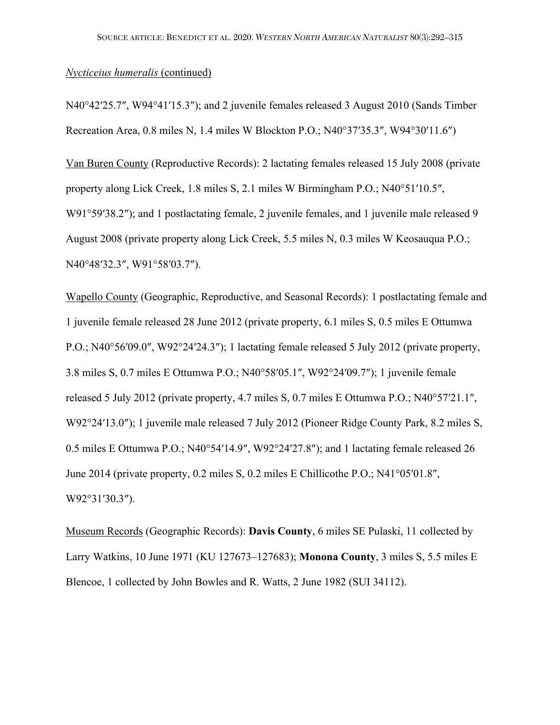### *Nycticeius humeralis* (continued)

N40°42′25.7″, W94°41′15.3″); and 2 juvenile females released 3 August 2010 (Sands Timber Recreation Area, 0.8 miles N, 1.4 miles W Blockton P.O.; N40°37′35.3″, W94°30′11.6″)

Van Buren County (Reproductive Records): 2 lactating females released 15 July 2008 (private property along Lick Creek, 1.8 miles S, 2.1 miles W Birmingham P.O.; N40°51′10.5″, W91°59′38.2″); and 1 postlactating female, 2 juvenile females, and 1 juvenile male released 9 August 2008 (private property along Lick Creek, 5.5 miles N, 0.3 miles W Keosauqua P.O.; N40°48′32.3″, W91°58′03.7″).

Wapello County (Geographic, Reproductive, and Seasonal Records): 1 postlactating female and 1 juvenile female released 28 June 2012 (private property, 6.1 miles S, 0.5 miles E Ottumwa P.O.; N40°56′09.0″, W92°24′24.3″); 1 lactating female released 5 July 2012 (private property, 3.8 miles S, 0.7 miles E Ottumwa P.O.; N40°58′05.1″, W92°24′09.7″); 1 juvenile female released 5 July 2012 (private property, 4.7 miles S, 0.7 miles E Ottumwa P.O.; N40°57′21.1″, W92°24′13.0″); 1 juvenile male released 7 July 2012 (Pioneer Ridge County Park, 8.2 miles S, 0.5 miles E Ottumwa P.O.; N40°54′14.9″, W92°24′27.8″); and 1 lactating female released 26 June 2014 (private property, 0.2 miles S, 0.2 miles E Chillicothe P.O.; N41°05′01.8″, W92°31′30.3″).

Museum Records (Geographic Records): **Davis County**, 6 miles SE Pulaski, 11 collected by Larry Watkins, 10 June 1971 (KU 127673–127683); **Monona County**, 3 miles S, 5.5 miles E Blencoe, 1 collected by John Bowles and R. Watts, 2 June 1982 (SUI 34112).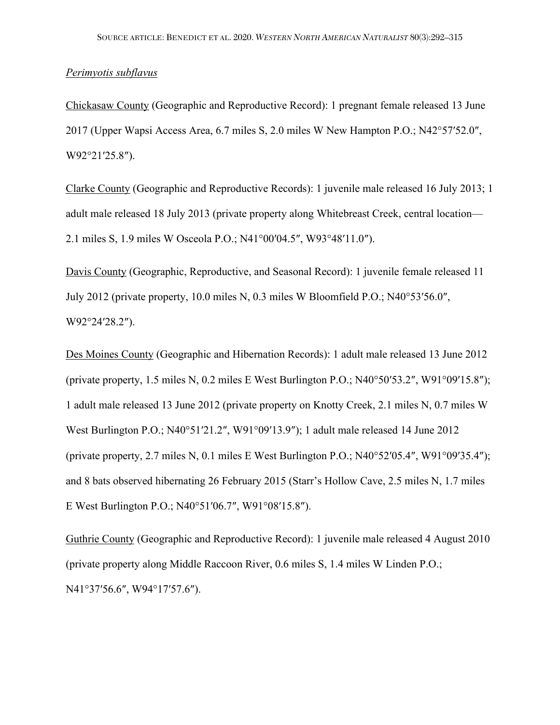### *Perimyotis subflavus*

Chickasaw County (Geographic and Reproductive Record): 1 pregnant female released 13 June 2017 (Upper Wapsi Access Area, 6.7 miles S, 2.0 miles W New Hampton P.O.; N42°57′52.0″, W92°21′25.8″).

Clarke County (Geographic and Reproductive Records): 1 juvenile male released 16 July 2013; 1 adult male released 18 July 2013 (private property along Whitebreast Creek, central location— 2.1 miles S, 1.9 miles W Osceola P.O.; N41°00′04.5″, W93°48′11.0″).

Davis County (Geographic, Reproductive, and Seasonal Record): 1 juvenile female released 11 July 2012 (private property, 10.0 miles N, 0.3 miles W Bloomfield P.O.; N40°53′56.0″, W92°24′28.2″).

Des Moines County (Geographic and Hibernation Records): 1 adult male released 13 June 2012 (private property, 1.5 miles N, 0.2 miles E West Burlington P.O.; N40°50′53.2″, W91°09′15.8″); 1 adult male released 13 June 2012 (private property on Knotty Creek, 2.1 miles N, 0.7 miles W West Burlington P.O.; N40°51′21.2″, W91°09′13.9″); 1 adult male released 14 June 2012 (private property, 2.7 miles N, 0.1 miles E West Burlington P.O.; N40°52′05.4″, W91°09′35.4″); and 8 bats observed hibernating 26 February 2015 (Starr's Hollow Cave, 2.5 miles N, 1.7 miles E West Burlington P.O.; N40°51′06.7″, W91°08′15.8″).

Guthrie County (Geographic and Reproductive Record): 1 juvenile male released 4 August 2010 (private property along Middle Raccoon River, 0.6 miles S, 1.4 miles W Linden P.O.; N41°37′56.6″, W94°17′57.6″).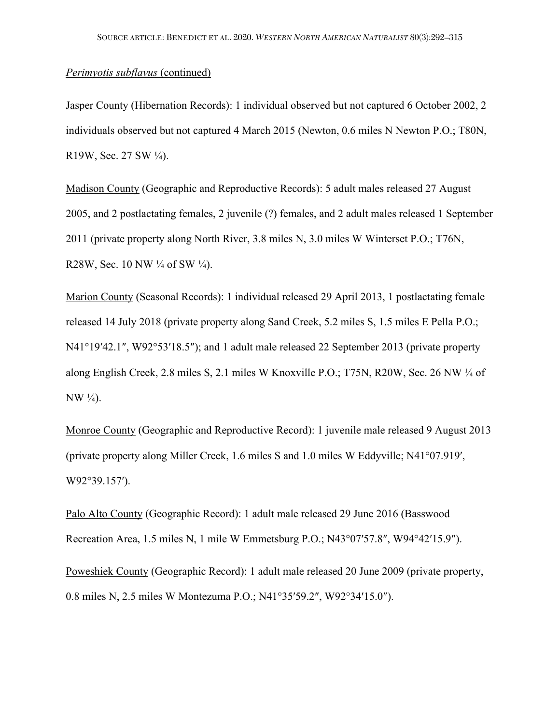## *Perimyotis subflavus* (continued)

Jasper County (Hibernation Records): 1 individual observed but not captured 6 October 2002, 2 individuals observed but not captured 4 March 2015 (Newton, 0.6 miles N Newton P.O.; T80N, R19W, Sec. 27 SW ¼).

Madison County (Geographic and Reproductive Records): 5 adult males released 27 August 2005, and 2 postlactating females, 2 juvenile (?) females, and 2 adult males released 1 September 2011 (private property along North River, 3.8 miles N, 3.0 miles W Winterset P.O.; T76N, R28W, Sec. 10 NW  $\frac{1}{4}$  of SW  $\frac{1}{4}$ ).

Marion County (Seasonal Records): 1 individual released 29 April 2013, 1 postlactating female released 14 July 2018 (private property along Sand Creek, 5.2 miles S, 1.5 miles E Pella P.O.; N41°19'42.1", W92°53'18.5"); and 1 adult male released 22 September 2013 (private property along English Creek, 2.8 miles S, 2.1 miles W Knoxville P.O.; T75N, R20W, Sec. 26 NW ¼ of NW ¼).

Monroe County (Geographic and Reproductive Record): 1 juvenile male released 9 August 2013 (private property along Miller Creek, 1.6 miles S and 1.0 miles W Eddyville; N41°07.919′, W92°39.157′).

Palo Alto County (Geographic Record): 1 adult male released 29 June 2016 (Basswood Recreation Area, 1.5 miles N, 1 mile W Emmetsburg P.O.; N43°07′57.8″, W94°42′15.9″).

Poweshiek County (Geographic Record): 1 adult male released 20 June 2009 (private property, 0.8 miles N, 2.5 miles W Montezuma P.O.; N41°35′59.2″, W92°34′15.0″).